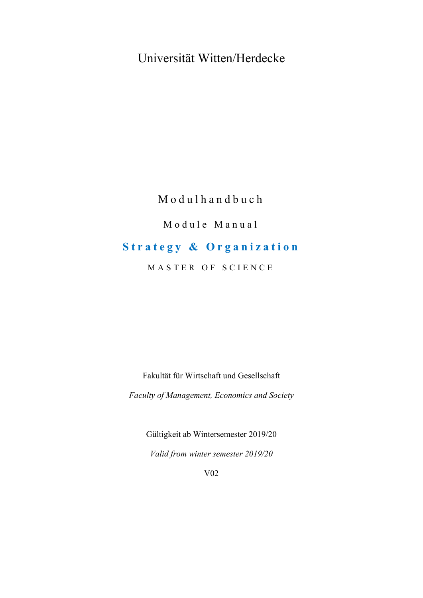## Universität Witten/Herdecke

### Modulhandbuch

### Module Manual

### **Strategy & Organization**

MASTER OF SCIENCE

Fakultät für Wirtschaft und Gesellschaft

*Faculty of Management, Economics and Society* 

Gültigkeit ab Wintersemester 2019/20 *Valid from winter semester 2019/20* 

V02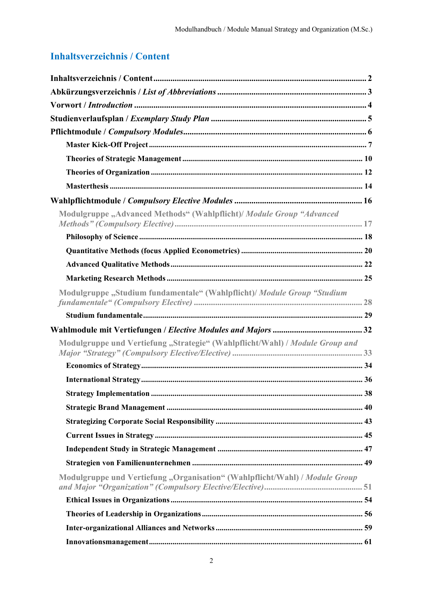### **Inhaltsverzeichnis / Content**

| Modulgruppe "Advanced Methods" (Wahlpflicht)/ Module Group "Advanced         |  |
|------------------------------------------------------------------------------|--|
|                                                                              |  |
|                                                                              |  |
|                                                                              |  |
|                                                                              |  |
| Modulgruppe "Studium fundamentale" (Wahlpflicht)/ Module Group "Studium      |  |
|                                                                              |  |
|                                                                              |  |
| Modulgruppe und Vertiefung "Strategie" (Wahlpflicht/Wahl) / Module Group and |  |
|                                                                              |  |
|                                                                              |  |
|                                                                              |  |
|                                                                              |  |
|                                                                              |  |
|                                                                              |  |
|                                                                              |  |
|                                                                              |  |
| Modulgruppe und Vertiefung "Organisation" (Wahlpflicht/Wahl) / Module Group  |  |
|                                                                              |  |
|                                                                              |  |
|                                                                              |  |
|                                                                              |  |
|                                                                              |  |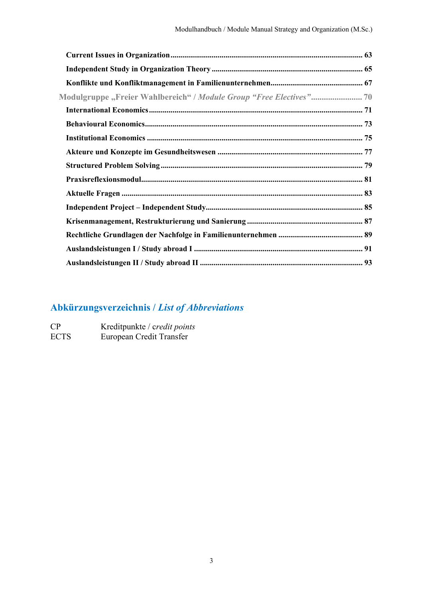## **Abkürzungsverzeichnis /** *List of Abbreviations*

| CP          | Kreditpunkte / credit points |
|-------------|------------------------------|
| <b>ECTS</b> | European Credit Transfer     |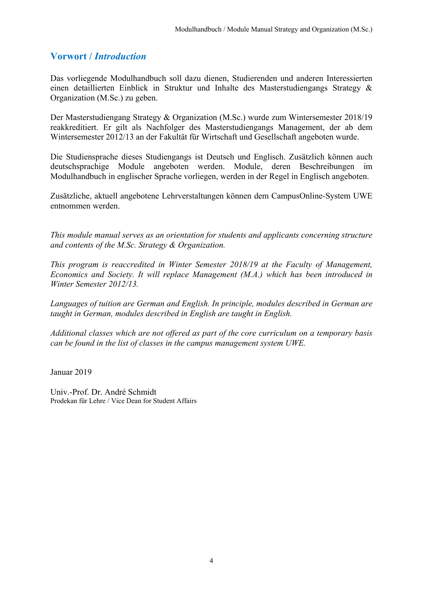#### **Vorwort /** *Introduction*

Das vorliegende Modulhandbuch soll dazu dienen, Studierenden und anderen Interessierten einen detaillierten Einblick in Struktur und Inhalte des Masterstudiengangs Strategy & Organization (M.Sc.) zu geben.

Der Masterstudiengang Strategy & Organization (M.Sc.) wurde zum Wintersemester 2018/19 reakkreditiert. Er gilt als Nachfolger des Masterstudiengangs Management, der ab dem Wintersemester 2012/13 an der Fakultät für Wirtschaft und Gesellschaft angeboten wurde.

Die Studiensprache dieses Studiengangs ist Deutsch und Englisch. Zusätzlich können auch deutschsprachige Module angeboten werden. Module, deren Beschreibungen im Modulhandbuch in englischer Sprache vorliegen, werden in der Regel in Englisch angeboten.

Zusätzliche, aktuell angebotene Lehrverstaltungen können dem CampusOnline-System UWE entnommen werden.

*This module manual serves as an orientation for students and applicants concerning structure and contents of the M.Sc. Strategy & Organization.* 

*This program is reaccredited in Winter Semester 2018/19 at the Faculty of Management, Economics and Society. It will replace Management (M.A.) which has been introduced in Winter Semester 2012/13.* 

*Languages of tuition are German and English. In principle, modules described in German are taught in German, modules described in English are taught in English.* 

*Additional classes which are not offered as part of the core curriculum on a temporary basis can be found in the list of classes in the campus management system UWE.* 

Januar 2019

Univ.-Prof. Dr. André Schmidt Prodekan für Lehre / Vice Dean for Student Affairs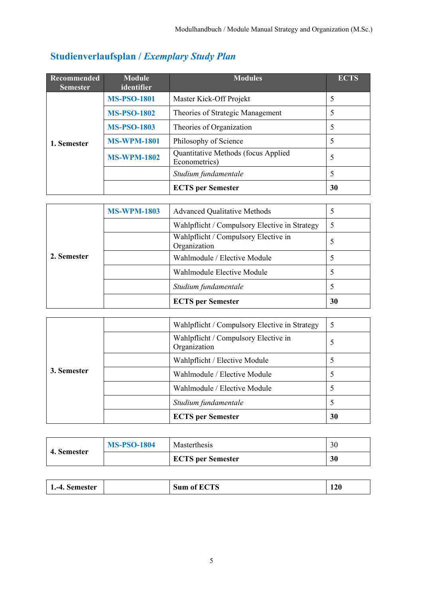## **Studienverlaufsplan /** *Exemplary Study Plan*

| Recommended<br><b>Semester</b> | <b>Module</b><br>identifier | <b>Modules</b>                                       | <b>ECTS</b> |
|--------------------------------|-----------------------------|------------------------------------------------------|-------------|
|                                | <b>MS-PSO-1801</b>          | Master Kick-Off Projekt                              |             |
|                                | <b>MS-PSO-1802</b>          | Theories of Strategic Management                     |             |
| 1. Semester                    | <b>MS-PSO-1803</b>          | Theories of Organization                             | 5           |
|                                | <b>MS-WPM-1801</b>          | Philosophy of Science                                |             |
|                                | <b>MS-WPM-1802</b>          | Quantitative Methods (focus Applied<br>Econometrics) | 5           |
|                                |                             | Studium fundamentale                                 | 5           |
|                                |                             | <b>ECTS</b> per Semester                             | 30          |

|             | <b>MS-WPM-1803</b> | <b>Advanced Qualitative Methods</b>                  |    |
|-------------|--------------------|------------------------------------------------------|----|
|             |                    | Wahlpflicht / Compulsory Elective in Strategy        | 5  |
|             |                    | Wahlpflicht / Compulsory Elective in<br>Organization |    |
| 2. Semester |                    | Wahlmodule / Elective Module                         |    |
|             |                    | Wahlmodule Elective Module                           |    |
|             |                    | Studium fundamentale                                 |    |
|             |                    | <b>ECTS</b> per Semester                             | 30 |

|             | Wahlpflicht / Compulsory Elective in Strategy        | 5  |
|-------------|------------------------------------------------------|----|
| 3. Semester | Wahlpflicht / Compulsory Elective in<br>Organization | 5  |
|             | Wahlpflicht / Elective Module                        |    |
|             | Wahlmodule / Elective Module                         |    |
|             | Wahlmodule / Elective Module                         |    |
|             | Studium fundamentale                                 |    |
|             | <b>ECTS</b> per Semester                             | 30 |

| 4. Semester | <b>MS-PSO-1804</b> | <b>Masterthesis</b>      | 30 |
|-------------|--------------------|--------------------------|----|
|             |                    | <b>ECTS</b> per Semester | 30 |

|  | $-4$<br>. Semester<br>. . |  | CTC<br>Sum of<br>. HU<br>L IJ | 120 |
|--|---------------------------|--|-------------------------------|-----|
|--|---------------------------|--|-------------------------------|-----|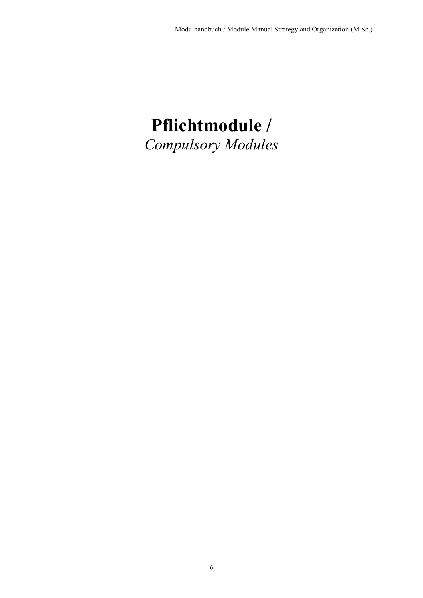# **Pflichtmodule /**  *Compulsory Modules*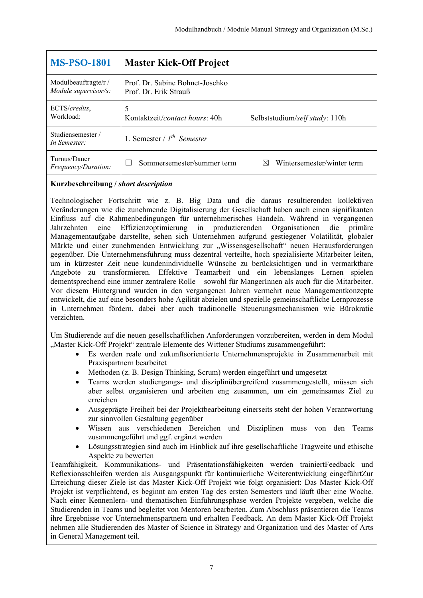| <b>MS-PSO-1801</b>                           | <b>Master Kick-Off Project</b>                           |                                 |
|----------------------------------------------|----------------------------------------------------------|---------------------------------|
| Modulbeauftragte/r /<br>Module supervisor/s: | Prof. Dr. Sabine Bohnet-Joschko<br>Prof. Dr. Erik Strauß |                                 |
| ECTS/credits,<br>Workload:                   | 5<br>Kontaktzeit/contact hours: 40h                      | Selbststudium/self study: 110h  |
| Studiensemester/<br>In Semester:             | 1. Semester / $I^{th}$ Semester                          |                                 |
| Turnus/Dauer<br><i>Frequency/Duration:</i>   | Sommersemester/summer term                               | Wintersemester/winter term<br>M |

Technologischer Fortschritt wie z. B. Big Data und die daraus resultierenden kollektiven Veränderungen wie die zunehmende Digitalisierung der Gesellschaft haben auch einen signifikanten Einfluss auf die Rahmenbedingungen für unternehmerisches Handeln. Während in vergangenen Jahrzehnten eine Effizienzoptimierung in produzierenden Organisationen die primäre Managementaufgabe darstellte, sehen sich Unternehmen aufgrund gestiegener Volatilität, globaler Märkte und einer zunehmenden Entwicklung zur "Wissensgesellschaft" neuen Herausforderungen gegenüber. Die Unternehmensführung muss dezentral verteilte, hoch spezialisierte Mitarbeiter leiten, um in kürzester Zeit neue kundenindividuelle Wünsche zu berücksichtigen und in vermarktbare Angebote zu transformieren. Effektive Teamarbeit und ein lebenslanges Lernen spielen dementsprechend eine immer zentralere Rolle – sowohl für MangerInnen als auch für die Mitarbeiter. Vor diesem Hintergrund wurden in den vergangenen Jahren vermehrt neue Managementkonzepte entwickelt, die auf eine besonders hohe Agilität abzielen und spezielle gemeinschaftliche Lernprozesse in Unternehmen fördern, dabei aber auch traditionelle Steuerungsmechanismen wie Bürokratie verzichten.

Um Studierende auf die neuen gesellschaftlichen Anforderungen vorzubereiten, werden in dem Modul "Master Kick-Off Projekt" zentrale Elemente des Wittener Studiums zusammengeführt:

- Es werden reale und zukunftsorientierte Unternehmensprojekte in Zusammenarbeit mit Praxispartnern bearbeitet
- Methoden (z. B. Design Thinking, Scrum) werden eingeführt und umgesetzt
- Teams werden studiengangs- und disziplinübergreifend zusammengestellt, müssen sich aber selbst organisieren und arbeiten eng zusammen, um ein gemeinsames Ziel zu erreichen
- Ausgeprägte Freiheit bei der Projektbearbeitung einerseits steht der hohen Verantwortung zur sinnvollen Gestaltung gegenüber
- Wissen aus verschiedenen Bereichen und Disziplinen muss von den Teams zusammengeführt und ggf. ergänzt werden
- Lösungsstrategien sind auch im Hinblick auf ihre gesellschaftliche Tragweite und ethische Aspekte zu bewerten

Teamfähigkeit, Kommunikations- und Präsentationsfähigkeiten werden trainiertFeedback und Reflexionsschleifen werden als Ausgangspunkt für kontinuierliche Weiterentwicklung eingeführtZur Erreichung dieser Ziele ist das Master Kick-Off Projekt wie folgt organisiert: Das Master Kick-Off Projekt ist verpflichtend, es beginnt am ersten Tag des ersten Semesters und läuft über eine Woche. Nach einer Kennenlern- und thematischen Einführungsphase werden Projekte vergeben, welche die Studierenden in Teams und begleitet von Mentoren bearbeiten. Zum Abschluss präsentieren die Teams ihre Ergebnisse vor Unternehmenspartnern und erhalten Feedback. An dem Master Kick-Off Projekt nehmen alle Studierenden des Master of Science in Strategy and Organization und des Master of Arts in General Management teil.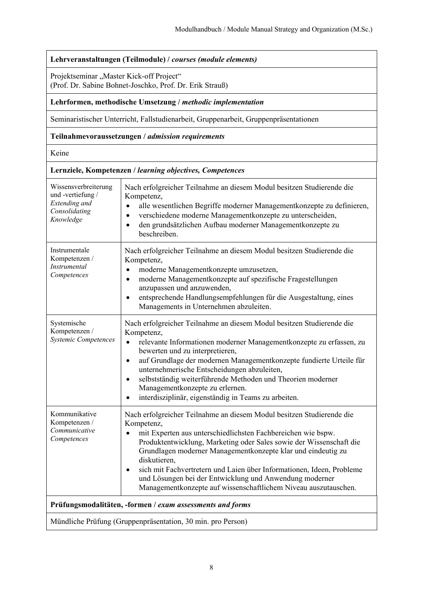#### **Lehrveranstaltungen (Teilmodule) /** *courses (module elements)*

Projektseminar "Master Kick-off Project" (Prof. Dr. Sabine Bohnet-Joschko, Prof. Dr. Erik Strauß)

#### **Lehrformen, methodische Umsetzung /** *methodic implementation*

Seminaristischer Unterricht, Fallstudienarbeit, Gruppenarbeit, Gruppenpräsentationen

#### **Teilnahmevoraussetzungen /** *admission requirements*

Keine

|                                                                                          | Lernziele, Kompetenzen / learning objectives, Competences                                                                                                                                                                                                                                                                                                                                                                                                                                                                      |
|------------------------------------------------------------------------------------------|--------------------------------------------------------------------------------------------------------------------------------------------------------------------------------------------------------------------------------------------------------------------------------------------------------------------------------------------------------------------------------------------------------------------------------------------------------------------------------------------------------------------------------|
| Wissensverbreiterung<br>und -vertiefung /<br>Extending and<br>Consolidating<br>Knowledge | Nach erfolgreicher Teilnahme an diesem Modul besitzen Studierende die<br>Kompetenz,<br>alle wesentlichen Begriffe moderner Managementkonzepte zu definieren,<br>$\bullet$<br>verschiedene moderne Managementkonzepte zu unterscheiden,<br>$\bullet$<br>den grundsätzlichen Aufbau moderner Managementkonzepte zu<br>$\bullet$<br>beschreiben.                                                                                                                                                                                  |
| Instrumentale<br>Kompetenzen /<br>Instrumental<br>Competences                            | Nach erfolgreicher Teilnahme an diesem Modul besitzen Studierende die<br>Kompetenz,<br>moderne Managementkonzepte umzusetzen,<br>$\bullet$<br>moderne Managementkonzepte auf spezifische Fragestellungen<br>$\bullet$<br>anzupassen und anzuwenden,<br>entsprechende Handlungsempfehlungen für die Ausgestaltung, eines<br>Managements in Unternehmen abzuleiten.                                                                                                                                                              |
| Systemische<br>Kompetenzen /<br>Systemic Competences                                     | Nach erfolgreicher Teilnahme an diesem Modul besitzen Studierende die<br>Kompetenz,<br>relevante Informationen moderner Managementkonzepte zu erfassen, zu<br>$\bullet$<br>bewerten und zu interpretieren,<br>auf Grundlage der modernen Managementkonzepte fundierte Urteile für<br>$\bullet$<br>unternehmerische Entscheidungen abzuleiten,<br>selbstständig weiterführende Methoden und Theorien moderner<br>$\bullet$<br>Managementkonzepte zu erlernen.<br>interdisziplinär, eigenständig in Teams zu arbeiten.           |
| Kommunikative<br>Kompetenzen /<br>Communicative<br>Competences                           | Nach erfolgreicher Teilnahme an diesem Modul besitzen Studierende die<br>Kompetenz,<br>mit Experten aus unterschiedlichsten Fachbereichen wie bspw.<br>$\bullet$<br>Produktentwicklung, Marketing oder Sales sowie der Wissenschaft die<br>Grundlagen moderner Managementkonzepte klar und eindeutig zu<br>diskutieren,<br>sich mit Fachvertretern und Laien über Informationen, Ideen, Probleme<br>und Lösungen bei der Entwicklung und Anwendung moderner<br>Managementkonzepte auf wissenschaftlichem Niveau auszutauschen. |
|                                                                                          | Prüfungsmodalitäten, -formen / exam assessments and forms                                                                                                                                                                                                                                                                                                                                                                                                                                                                      |
|                                                                                          | Mündliche Prüfung (Gruppenpräsentation, 30 min. pro Person)                                                                                                                                                                                                                                                                                                                                                                                                                                                                    |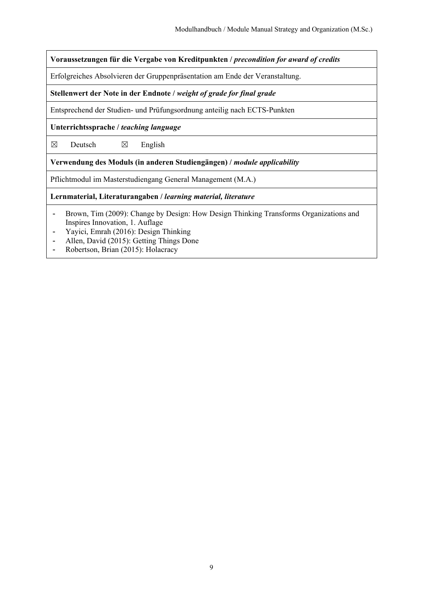**Voraussetzungen für die Vergabe von Kreditpunkten /** *precondition for award of credits*

Erfolgreiches Absolvieren der Gruppenpräsentation am Ende der Veranstaltung.

**Stellenwert der Note in der Endnote /** *weight of grade for final grade*

Entsprechend der Studien- und Prüfungsordnung anteilig nach ECTS-Punkten

**Unterrichtssprache /** *teaching language*

 $\boxtimes$  Deutsch  $\boxtimes$  English

**Verwendung des Moduls (in anderen Studiengängen) /** *module applicability*

Pflichtmodul im Masterstudiengang General Management (M.A.)

**Lernmaterial, Literaturangaben /** *learning material, literature*

- Brown, Tim (2009): Change by Design: How Design Thinking Transforms Organizations and Inspires Innovation, 1. Auflage
- Yayici, Emrah (2016): Design Thinking
- Allen, David (2015): Getting Things Done
- Robertson, Brian (2015): Holacracy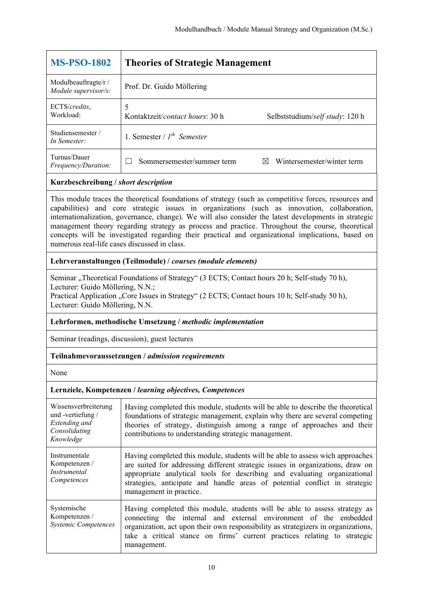| <b>MS-PSO-1802</b>                           | <b>Theories of Strategic Management</b>  |                                 |
|----------------------------------------------|------------------------------------------|---------------------------------|
| Modulbeauftragte/r /<br>Module supervisor/s: | Prof. Dr. Guido Möllering                |                                 |
| ECTS/credits,<br>Workload:                   | Kontaktzeit/ <i>contact hours</i> : 30 h | Selbststudium/self study: 120 h |
| Studiensemester/<br>In Semester:             | 1. Semester / $I^{th}$ Semester          |                                 |
| Turnus/Dauer<br>Frequency/Duration:          | Sommersemester/summer term               | Wintersemester/winter term<br>M |

This module traces the theoretical foundations of strategy (such as competitive forces, resources and capabilities) and core strategic issues in organizations (such as innovation, collaboration, internationalization, governance, change). We will also consider the latest developments in strategic management theory regarding strategy as process and practice. Throughout the course, theoretical concepts will be investigated regarding their practical and organizational implications, based on numerous real-life cases discussed in class.

#### **Lehrveranstaltungen (Teilmodule) /** *courses (module elements)*

Seminar "Theoretical Foundations of Strategy" (3 ECTS; Contact hours 20 h; Self-study 70 h), Lecturer: Guido Möllering, N.N.;

Practical Application "Core Issues in Strategy" (2 ECTS; Contact hours 10 h; Self-study 50 h), Lecturer: Guido Möllering, N.N.

#### **Lehrformen, methodische Umsetzung /** *methodic implementation*

Seminar (readings, discussion), guest lectures

#### **Teilnahmevoraussetzungen /** *admission requirements*

None

| Wissensverbreiterung<br>und -vertiefung /<br>Extending and<br>Consolidating<br>Knowledge | Having completed this module, students will be able to describe the theoretical<br>foundations of strategic management, explain why there are several competing<br>theories of strategy, distinguish among a range of approaches and their<br>contributions to understanding strategic management.                                                    |
|------------------------------------------------------------------------------------------|-------------------------------------------------------------------------------------------------------------------------------------------------------------------------------------------------------------------------------------------------------------------------------------------------------------------------------------------------------|
| Instrumentale<br>Kompetenzen /<br><i>Instrumental</i><br>Competences                     | Having completed this module, students will be able to assess wich approaches<br>are suited for addressing different strategic issues in organizations, draw on<br>appropriate analytical tools for describing and evaluating organizational<br>strategies, anticipate and handle areas of potential conflict in strategic<br>management in practice. |
| Systemische<br>Kompetenzen /<br><b>Systemic Competences</b>                              | Having completed this module, students will be able to assess strategy as<br>connecting the internal and external environment of the embedded<br>organization, act upon their own responsibility as strategizers in organizations,<br>take a critical stance on firms' current practices relating to strategic<br>management.                         |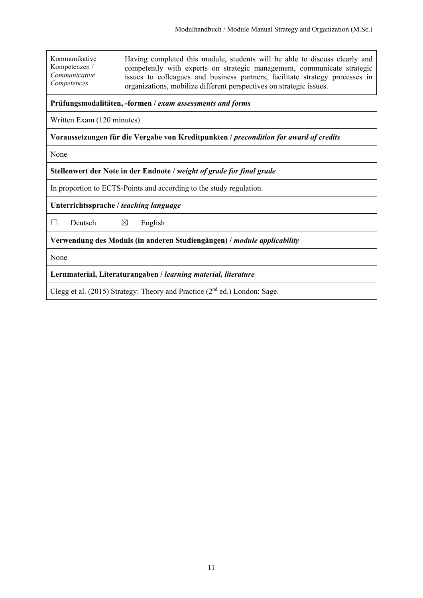| Kommunikative | Having completed this module, students will be able to discuss clearly and   |
|---------------|------------------------------------------------------------------------------|
| Kompetenzen / | competently with experts on strategic management, communicate strategic      |
| Communicative | issues to colleagues and business partners, facilitate strategy processes in |
| Competences   | organizations, mobilize different perspectives on strategic issues.          |

#### **Prüfungsmodalitäten, -formen /** *exam assessments and forms*

Written Exam (120 minutes)

#### **Voraussetzungen für die Vergabe von Kreditpunkten /** *precondition for award of credits*

None

#### **Stellenwert der Note in der Endnote /** *weight of grade for final grade*

In proportion to ECTS-Points and according to the study regulation.

#### **Unterrichtssprache /** *teaching language*

 $\Box$  Deutsch  $\boxtimes$  English

**Verwendung des Moduls (in anderen Studiengängen) /** *module applicability* 

None

**Lernmaterial, Literaturangaben /** *learning material, literature*

Clegg et al. (2015) Strategy: Theory and Practice ( $2<sup>nd</sup>$  ed.) London: Sage.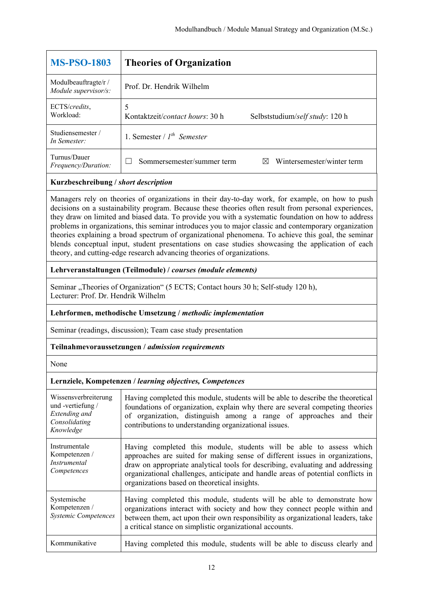| <b>MS-PSO-1803</b>                                                                                                                                                                                    | <b>Theories of Organization</b>                                         |
|-------------------------------------------------------------------------------------------------------------------------------------------------------------------------------------------------------|-------------------------------------------------------------------------|
| Modulbeauftragte/r /<br>Module supervisor/s:                                                                                                                                                          | Prof. Dr. Hendrik Wilhelm                                               |
| ECTS/credits,<br>Workload:                                                                                                                                                                            | 5<br>Kontaktzeit/contact hours: 30 h<br>Selbststudium/self study: 120 h |
| Studiensemester /<br>In Semester:                                                                                                                                                                     | 1. Semester / $I^{th}$ Semester                                         |
| Turnus/Dauer<br>Frequency/Duration:                                                                                                                                                                   | Wintersemester/winter term<br>Sommersemester/summer term<br>$\boxtimes$ |
| Kurzbeschreibung / short description                                                                                                                                                                  |                                                                         |
| Managers rely on theories of organizations in their day-to-day work, for example, on how to push<br>decisions on a systematic ty anogue Decementheon theories often negult from negroual experiences. |                                                                         |

decisions on a sustainability program. Because these theories often result from personal experiences, they draw on limited and biased data. To provide you with a systematic foundation on how to address problems in organizations, this seminar introduces you to major classic and contemporary organization theories explaining a broad spectrum of organizational phenomena. To achieve this goal, the seminar blends conceptual input, student presentations on case studies showcasing the application of each theory, and cutting-edge research advancing theories of organizations.

#### **Lehrveranstaltungen (Teilmodule) /** *courses (module elements)*

Seminar "Theories of Organization" (5 ECTS; Contact hours 30 h; Self-study 120 h), Lecturer: Prof. Dr. Hendrik Wilhelm

#### **Lehrformen, methodische Umsetzung /** *methodic implementation*

Seminar (readings, discussion); Team case study presentation

#### **Teilnahmevoraussetzungen /** *admission requirements*

None

| Wissensverbreiterung<br>und -vertiefung /<br>Extending and<br>Consolidating<br>Knowledge | Having completed this module, students will be able to describe the theoretical<br>foundations of organization, explain why there are several competing theories<br>of organization, distinguish among a range of approaches and their<br>contributions to understanding organizational issues.                                                                           |
|------------------------------------------------------------------------------------------|---------------------------------------------------------------------------------------------------------------------------------------------------------------------------------------------------------------------------------------------------------------------------------------------------------------------------------------------------------------------------|
| Instrumentale<br>Kompetenzen /<br><i>Instrumental</i><br>Competences                     | Having completed this module, students will be able to assess which<br>approaches are suited for making sense of different issues in organizations,<br>draw on appropriate analytical tools for describing, evaluating and addressing<br>organizational challenges, anticipate and handle areas of potential conflicts in<br>organizations based on theoretical insights. |
| Systemische<br>Kompetenzen /<br><b>Systemic Competences</b>                              | Having completed this module, students will be able to demonstrate how<br>organizations interact with society and how they connect people within and<br>between them, act upon their own responsibility as organizational leaders, take<br>a critical stance on simplistic organizational accounts.                                                                       |
| Kommunikative                                                                            | Having completed this module, students will be able to discuss clearly and                                                                                                                                                                                                                                                                                                |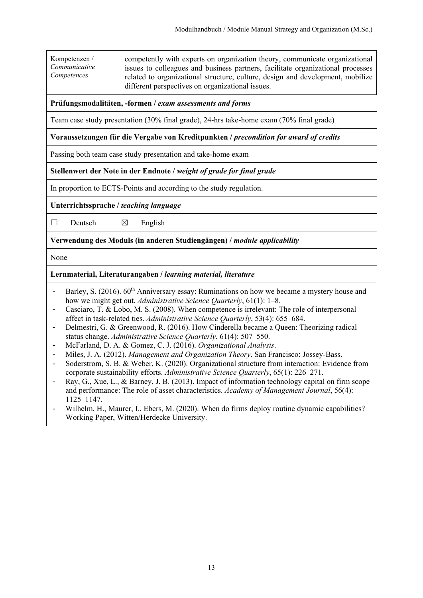Kompetenzen / *Communicative Competences*

competently with experts on organization theory, communicate organizational issues to colleagues and business partners, facilitate organizational processes related to organizational structure, culture, design and development, mobilize different perspectives on organizational issues.

#### **Prüfungsmodalitäten, -formen /** *exam assessments and forms*

Team case study presentation (30% final grade), 24-hrs take-home exam (70% final grade)

#### **Voraussetzungen für die Vergabe von Kreditpunkten /** *precondition for award of credits*

Passing both team case study presentation and take-home exam

#### **Stellenwert der Note in der Endnote /** *weight of grade for final grade*

In proportion to ECTS-Points and according to the study regulation.

#### **Unterrichtssprache /** *teaching language*

 $\Box$  Deutsch  $\boxtimes$  English

**Verwendung des Moduls (in anderen Studiengängen) /** *module applicability* 

None

#### **Lernmaterial, Literaturangaben /** *learning material, literature*

- Barley, S. (2016). 60<sup>th</sup> Anniversary essay: Ruminations on how we became a mystery house and how we might get out. *Administrative Science Quarterly*, 61(1): 1–8.
- Casciaro, T. & Lobo, M. S. (2008). When competence is irrelevant: The role of interpersonal affect in task-related ties. *Administrative Science Quarterly*, 53(4): 655–684.
- Delmestri, G. & Greenwood, R. (2016). How Cinderella became a Queen: Theorizing radical status change. *Administrative Science Quarterly*, 61(4): 507–550.
- McFarland, D. A. & Gomez, C. J. (2016). *Organizational Analysis*.
- Miles, J. A. (2012). *Management and Organization Theory*. San Francisco: Jossey-Bass.
- Soderstrom, S. B. & Weber, K. (2020). Organizational structure from interaction: Evidence from corporate sustainability efforts. *Administrative Science Quarterly*, 65(1): 226–271.
- Ray, G., Xue, L., & Barney, J. B. (2013). Impact of information technology capital on firm scope and performance: The role of asset characteristics. *Academy of Management Journal*, 56(4): 1125–1147.
- Wilhelm, H., Maurer, I., Ebers, M. (2020). When do firms deploy routine dynamic capabilities? Working Paper, Witten/Herdecke University.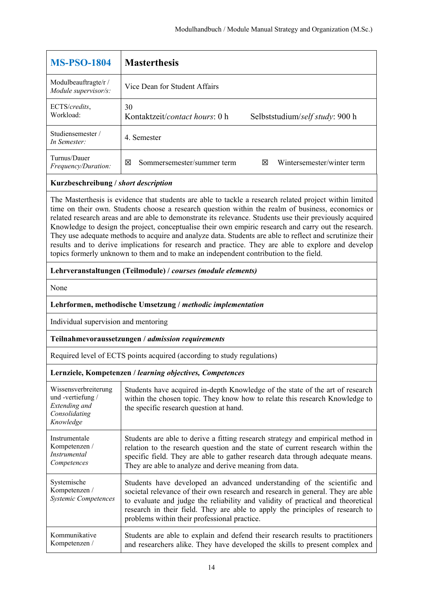| <b>MS-PSO-1804</b>                           | <b>Masterthesis</b>                           |                                 |
|----------------------------------------------|-----------------------------------------------|---------------------------------|
| Modulbeauftragte/r /<br>Module supervisor/s: | Vice Dean for Student Affairs                 |                                 |
| ECTS/credits,<br>Workload:                   | 30<br>Kontaktzeit/ <i>contact hours</i> : 0 h | Selbststudium/self study: 900 h |
| Studiensemester/<br>In Semester:             | 4. Semester                                   |                                 |
| Turnus/Dauer<br>Frequency/Duration:          | Sommersemester/summer term<br>⊠               | Wintersemester/winter term<br>⊠ |

The Masterthesis is evidence that students are able to tackle a research related project within limited time on their own. Students choose a research question within the realm of business, economics or related research areas and are able to demonstrate its relevance. Students use their previously acquired Knowledge to design the project, conceptualise their own empiric research and carry out the research. They use adequate methods to acquire and analyze data. Students are able to reflect and scrutinize their results and to derive implications for research and practice. They are able to explore and develop topics formerly unknown to them and to make an independent contribution to the field.

#### **Lehrveranstaltungen (Teilmodule) /** *courses (module elements)*

None

#### **Lehrformen, methodische Umsetzung /** *methodic implementation*

Individual supervision and mentoring

#### **Teilnahmevoraussetzungen /** *admission requirements*

Required level of ECTS points acquired (according to study regulations)

| Wissensverbreiterung<br>und -vertiefung /<br>Extending and<br>Consolidating<br>Knowledge | Students have acquired in-depth Knowledge of the state of the art of research<br>within the chosen topic. They know how to relate this research Knowledge to<br>the specific research question at hand.                                                                                                                                                                        |
|------------------------------------------------------------------------------------------|--------------------------------------------------------------------------------------------------------------------------------------------------------------------------------------------------------------------------------------------------------------------------------------------------------------------------------------------------------------------------------|
| Instrumentale                                                                            | Students are able to derive a fitting research strategy and empirical method in                                                                                                                                                                                                                                                                                                |
| Kompetenzen /                                                                            | relation to the research question and the state of current research within the                                                                                                                                                                                                                                                                                                 |
| Instrumental                                                                             | specific field. They are able to gather research data through adequate means.                                                                                                                                                                                                                                                                                                  |
| Competences                                                                              | They are able to analyze and derive meaning from data.                                                                                                                                                                                                                                                                                                                         |
| Systemische<br>Kompetenzen /<br><b>Systemic Competences</b>                              | Students have developed an advanced understanding of the scientific and<br>societal relevance of their own research and research in general. They are able<br>to evaluate and judge the reliability and validity of practical and theoretical<br>research in their field. They are able to apply the principles of research to<br>problems within their professional practice. |
| Kommunikative                                                                            | Students are able to explain and defend their research results to practitioners                                                                                                                                                                                                                                                                                                |
| Kompetenzen /                                                                            | and researchers alike. They have developed the skills to present complex and                                                                                                                                                                                                                                                                                                   |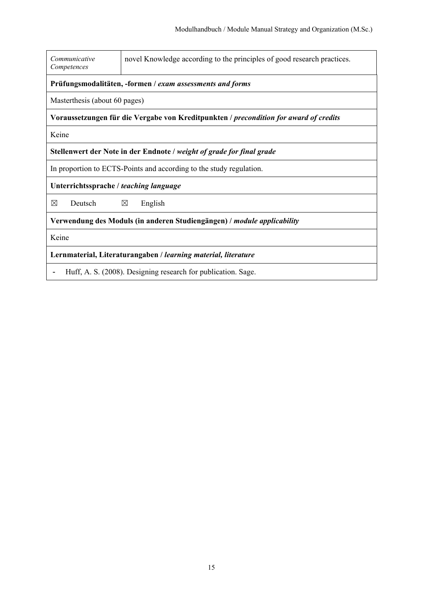| Communicative<br>Competences                                                          | novel Knowledge according to the principles of good research practices. |  |  |
|---------------------------------------------------------------------------------------|-------------------------------------------------------------------------|--|--|
|                                                                                       | Prüfungsmodalitäten, -formen / exam assessments and forms               |  |  |
|                                                                                       | Masterthesis (about 60 pages)                                           |  |  |
| Voraussetzungen für die Vergabe von Kreditpunkten / precondition for award of credits |                                                                         |  |  |
| Keine                                                                                 |                                                                         |  |  |
| Stellenwert der Note in der Endnote / weight of grade for final grade                 |                                                                         |  |  |
| In proportion to ECTS-Points and according to the study regulation.                   |                                                                         |  |  |
| Unterrichtssprache / teaching language                                                |                                                                         |  |  |
| ⊠<br>Deutsch                                                                          | $\boxtimes$<br>English                                                  |  |  |
| Verwendung des Moduls (in anderen Studiengängen) / <i>module applicability</i>        |                                                                         |  |  |
| Keine                                                                                 |                                                                         |  |  |
| Lernmaterial, Literaturangaben / learning material, literature                        |                                                                         |  |  |
| Huff, A. S. (2008). Designing research for publication. Sage.                         |                                                                         |  |  |

H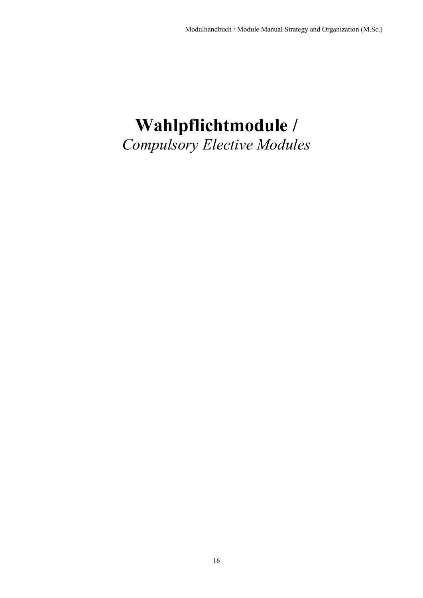## **Wahlpflichtmodule /**  *Compulsory Elective Modules*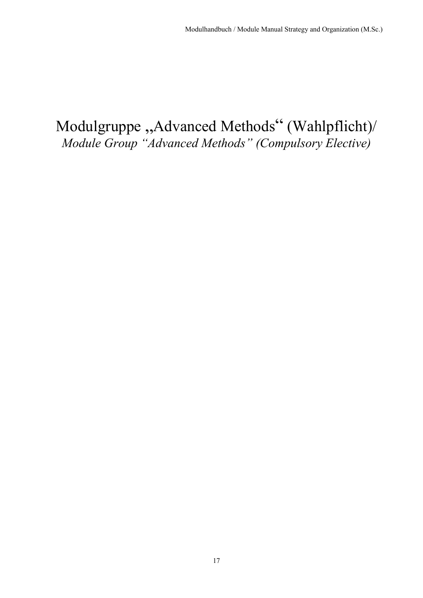## Modulgruppe "Advanced Methods" (Wahlpflicht)/ *Module Group "Advanced Methods" (Compulsory Elective)*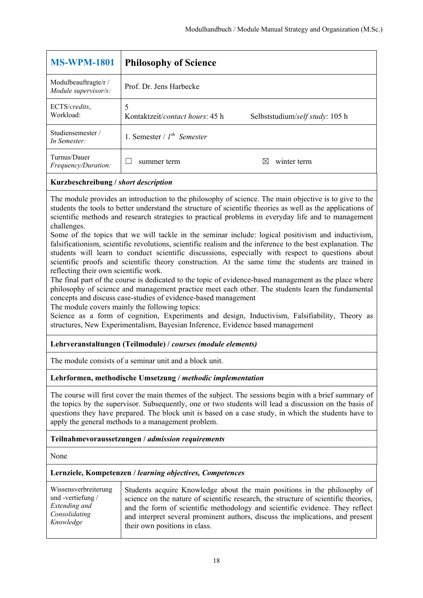| <b>MS-WPM-1801</b>                          | <b>Philosophy of Science</b>         |                                 |
|---------------------------------------------|--------------------------------------|---------------------------------|
| Modulbeauftragte/r/<br>Module supervisor/s: | Prof. Dr. Jens Harbecke              |                                 |
| ECTS/credits,<br>Workload:                  | 5<br>Kontaktzeit/contact hours: 45 h | Selbststudium/self study: 105 h |
| Studiensemester/<br>In Semester:            | 1. Semester / $I^{th}$ Semester      |                                 |
| Turnus/Dauer<br>Frequency/Duration:         | summer term                          | winter term                     |
|                                             |                                      |                                 |

The module provides an introduction to the philosophy of science. The main objective is to give to the students the tools to better understand the structure of scientific theories as well as the applications of scientific methods and research strategies to practical problems in everyday life and to management challenges.

Some of the topics that we will tackle in the seminar include: logical positivism and inductivism, falsificationism, scientific revolutions, scientific realism and the inference to the best explanation. The students will learn to conduct scientific discussions, especially with respect to questions about scientific proofs and scientific theory construction. At the same time the students are trained in reflecting their own scientific work.

The final part of the course is dedicated to the topic of evidence-based management as the place where philosophy of science and management practice meet each other. The students learn the fundamental concepts and discuss case-studies of evidence-based management

The module covers mainly the following topics:

Science as a form of cognition, Experiments and design, Inductivism, Falsifiability, Theory as structures, New Experimentalism, Bayesian Inference, Evidence based management

#### **Lehrveranstaltungen (Teilmodule) /** *courses (module elements)*

The module consists of a seminar unit and a block unit.

#### **Lehrformen, methodische Umsetzung /** *methodic implementation*

The course will first cover the main themes of the subject. The sessions begin with a brief summary of the topics by the supervisor. Subsequently, one or two students will lead a discussion on the basis of questions they have prepared. The block unit is based on a case study, in which the students have to apply the general methods to a management problem.

#### **Teilnahmevoraussetzungen /** *admission requirements*

None

| Wissensverbreiterung       | Students acquire Knowledge about the main positions in the philosophy of            |
|----------------------------|-------------------------------------------------------------------------------------|
| und -vertiefung $\sqrt{ }$ | science on the nature of scientific research, the structure of scientific theories, |
| Extending and              | and the form of scientific methodology and scientific evidence. They reflect        |
| Consolidating              | and interpret several prominent authors, discuss the implications, and present      |
| Knowledge                  | their own positions in class.                                                       |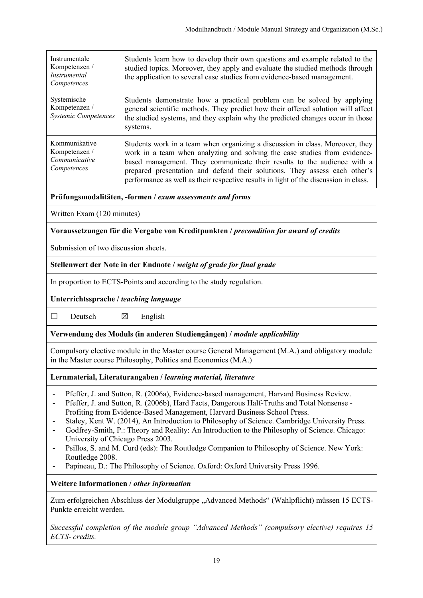| Instrumentale<br>Kompetenzen /<br>Instrumental<br>Competences                                                                                                                                                                                                                                                                                                                                                                                                                                                                                                                                                                                                                                               | Students learn how to develop their own questions and example related to the<br>studied topics. Moreover, they apply and evaluate the studied methods through<br>the application to several case studies from evidence-based management.                                                                                                                                                                    |  |
|-------------------------------------------------------------------------------------------------------------------------------------------------------------------------------------------------------------------------------------------------------------------------------------------------------------------------------------------------------------------------------------------------------------------------------------------------------------------------------------------------------------------------------------------------------------------------------------------------------------------------------------------------------------------------------------------------------------|-------------------------------------------------------------------------------------------------------------------------------------------------------------------------------------------------------------------------------------------------------------------------------------------------------------------------------------------------------------------------------------------------------------|--|
| Systemische<br>Kompetenzen /<br>Systemic Competences                                                                                                                                                                                                                                                                                                                                                                                                                                                                                                                                                                                                                                                        | Students demonstrate how a practical problem can be solved by applying<br>general scientific methods. They predict how their offered solution will affect<br>the studied systems, and they explain why the predicted changes occur in those<br>systems.                                                                                                                                                     |  |
| Kommunikative<br>Kompetenzen /<br>Communicative<br>Competences                                                                                                                                                                                                                                                                                                                                                                                                                                                                                                                                                                                                                                              | Students work in a team when organizing a discussion in class. Moreover, they<br>work in a team when analyzing and solving the case studies from evidence-<br>based management. They communicate their results to the audience with a<br>prepared presentation and defend their solutions. They assess each other's<br>performance as well as their respective results in light of the discussion in class. |  |
|                                                                                                                                                                                                                                                                                                                                                                                                                                                                                                                                                                                                                                                                                                             | Prüfungsmodalitäten, -formen / exam assessments and forms                                                                                                                                                                                                                                                                                                                                                   |  |
| Written Exam (120 minutes)                                                                                                                                                                                                                                                                                                                                                                                                                                                                                                                                                                                                                                                                                  |                                                                                                                                                                                                                                                                                                                                                                                                             |  |
|                                                                                                                                                                                                                                                                                                                                                                                                                                                                                                                                                                                                                                                                                                             | Voraussetzungen für die Vergabe von Kreditpunkten / precondition for award of credits                                                                                                                                                                                                                                                                                                                       |  |
| Submission of two discussion sheets.                                                                                                                                                                                                                                                                                                                                                                                                                                                                                                                                                                                                                                                                        |                                                                                                                                                                                                                                                                                                                                                                                                             |  |
|                                                                                                                                                                                                                                                                                                                                                                                                                                                                                                                                                                                                                                                                                                             | Stellenwert der Note in der Endnote / weight of grade for final grade                                                                                                                                                                                                                                                                                                                                       |  |
| In proportion to ECTS-Points and according to the study regulation.                                                                                                                                                                                                                                                                                                                                                                                                                                                                                                                                                                                                                                         |                                                                                                                                                                                                                                                                                                                                                                                                             |  |
| Unterrichtssprache / teaching language                                                                                                                                                                                                                                                                                                                                                                                                                                                                                                                                                                                                                                                                      |                                                                                                                                                                                                                                                                                                                                                                                                             |  |
| $\Box$<br>Deutsch                                                                                                                                                                                                                                                                                                                                                                                                                                                                                                                                                                                                                                                                                           | $\boxtimes$<br>English                                                                                                                                                                                                                                                                                                                                                                                      |  |
| Verwendung des Moduls (in anderen Studiengängen) / module applicability                                                                                                                                                                                                                                                                                                                                                                                                                                                                                                                                                                                                                                     |                                                                                                                                                                                                                                                                                                                                                                                                             |  |
| Compulsory elective module in the Master course General Management (M.A.) and obligatory module<br>in the Master course Philosophy, Politics and Economics (M.A.)                                                                                                                                                                                                                                                                                                                                                                                                                                                                                                                                           |                                                                                                                                                                                                                                                                                                                                                                                                             |  |
| Lernmaterial, Literaturangaben / learning material, literature                                                                                                                                                                                                                                                                                                                                                                                                                                                                                                                                                                                                                                              |                                                                                                                                                                                                                                                                                                                                                                                                             |  |
| Pfeffer, J. and Sutton, R. (2006a), Evidence-based management, Harvard Business Review.<br>Pfeffer, J. and Sutton, R. (2006b), Hard Facts, Dangerous Half-Truths and Total Nonsense -<br>Profiting from Evidence-Based Management, Harvard Business School Press.<br>Staley, Kent W. (2014), An Introduction to Philosophy of Science. Cambridge University Press.<br>Godfrey-Smith, P.: Theory and Reality: An Introduction to the Philosophy of Science. Chicago:<br>University of Chicago Press 2003.<br>Psillos, S. and M. Curd (eds): The Routledge Companion to Philosophy of Science. New York:<br>Routledge 2008.<br>Papineau, D.: The Philosophy of Science. Oxford: Oxford University Press 1996. |                                                                                                                                                                                                                                                                                                                                                                                                             |  |
| Weitere Informationen / other information                                                                                                                                                                                                                                                                                                                                                                                                                                                                                                                                                                                                                                                                   |                                                                                                                                                                                                                                                                                                                                                                                                             |  |
| Zum erfolgreichen Abschluss der Modulgruppe "Advanced Methods" (Wahlpflicht) müssen 15 ECTS-<br>Punkte erreicht werden.                                                                                                                                                                                                                                                                                                                                                                                                                                                                                                                                                                                     |                                                                                                                                                                                                                                                                                                                                                                                                             |  |
| Successful completion of the module group "Advanced Methods" (compulsory elective) requires 15<br>ECTS- credits.                                                                                                                                                                                                                                                                                                                                                                                                                                                                                                                                                                                            |                                                                                                                                                                                                                                                                                                                                                                                                             |  |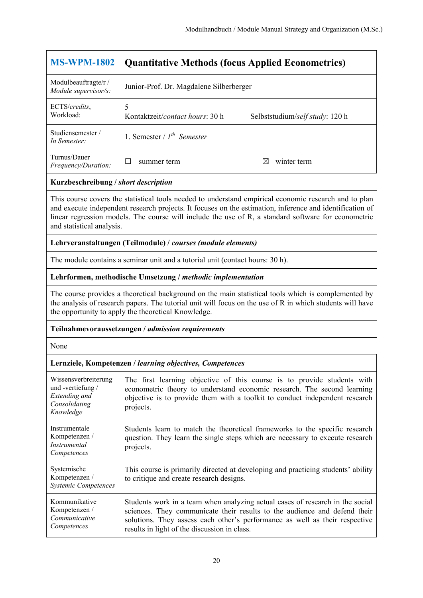| <b>MS-WPM-1802</b>                          | <b>Quantitative Methods (focus Applied Econometrics)</b> |                                 |
|---------------------------------------------|----------------------------------------------------------|---------------------------------|
| Modulbeauftragte/r/<br>Module supervisor/s: | Junior-Prof. Dr. Magdalene Silberberger                  |                                 |
| ECTS/credits,<br>Workload:                  | 5<br>Kontaktzeit/ <i>contact hours</i> : 30 h            | Selbststudium/self study: 120 h |
| Studiensemester /<br>In Semester:           | 1. Semester / $I^{th}$ Semester                          |                                 |
| Turnus/Dauer<br><i>Frequency/Duration:</i>  | П<br>summer term                                         | winter term<br>IX               |
| Kurzbeschreibung / short description        |                                                          |                                 |

This course covers the statistical tools needed to understand empirical economic research and to plan and execute independent research projects. It focuses on the estimation, inference and identification of linear regression models. The course will include the use of R, a standard software for econometric and statistical analysis.

#### **Lehrveranstaltungen (Teilmodule) /** *courses (module elements)*

The module contains a seminar unit and a tutorial unit (contact hours: 30 h).

#### **Lehrformen, methodische Umsetzung /** *methodic implementation*

The course provides a theoretical background on the main statistical tools which is complemented by the analysis of research papers. The tutorial unit will focus on the use of R in which students will have the opportunity to apply the theoretical Knowledge.

#### **Teilnahmevoraussetzungen /** *admission requirements*

None

| Wissensverbreiterung<br>und -vertiefung /<br>Extending and<br>Consolidating<br>Knowledge | The first learning objective of this course is to provide students with<br>econometric theory to understand economic research. The second learning<br>objective is to provide them with a toolkit to conduct independent research<br>projects.                                            |
|------------------------------------------------------------------------------------------|-------------------------------------------------------------------------------------------------------------------------------------------------------------------------------------------------------------------------------------------------------------------------------------------|
| Instrumentale<br>Kompetenzen /<br><i>Instrumental</i><br>Competences                     | Students learn to match the theoretical frameworks to the specific research<br>question. They learn the single steps which are necessary to execute research<br>projects.                                                                                                                 |
| Systemische<br>Kompetenzen /<br><b>Systemic Competences</b>                              | This course is primarily directed at developing and practicing students' ability<br>to critique and create research designs.                                                                                                                                                              |
| Kommunikative<br>Kompetenzen /<br>Communicative<br>Competences                           | Students work in a team when analyzing actual cases of research in the social<br>sciences. They communicate their results to the audience and defend their<br>solutions. They assess each other's performance as well as their respective<br>results in light of the discussion in class. |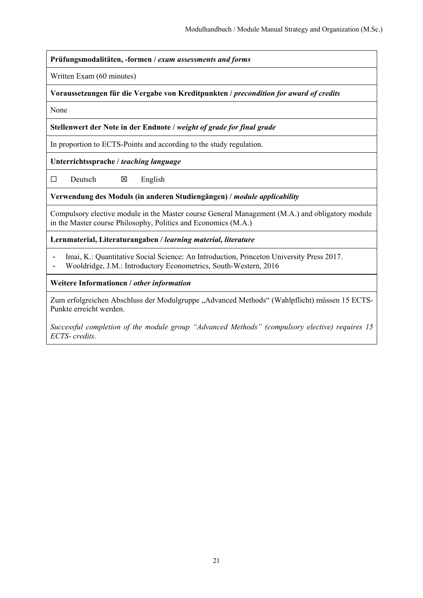**Prüfungsmodalitäten, -formen /** *exam assessments and forms*

Written Exam (60 minutes)

**Voraussetzungen für die Vergabe von Kreditpunkten /** *precondition for award of credits*

None

**Stellenwert der Note in der Endnote /** *weight of grade for final grade*

In proportion to ECTS-Points and according to the study regulation.

**Unterrichtssprache /** *teaching language*

 $\square$  Deutsch  $\square$  English

**Verwendung des Moduls (in anderen Studiengängen) /** *module applicability* 

Compulsory elective module in the Master course General Management (M.A.) and obligatory module in the Master course Philosophy, Politics and Economics (M.A.)

**Lernmaterial, Literaturangaben /** *learning material, literature*

- Imai, K.: Quantitative Social Science: An Introduction, Princeton University Press 2017.
- Wooldridge, J.M.: Introductory Econometrics, South-Western, 2016

**Weitere Informationen /** *other information* 

Zum erfolgreichen Abschluss der Modulgruppe "Advanced Methods" (Wahlpflicht) müssen 15 ECTS-Punkte erreicht werden.

*Successful completion of the module group "Advanced Methods" (compulsory elective) requires 15 ECTS- credits.*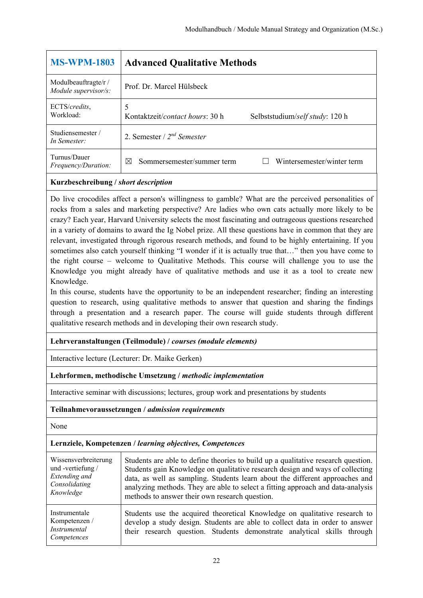| <b>MS-WPM-1803</b>                           | <b>Advanced Qualitative Methods</b>                                              |
|----------------------------------------------|----------------------------------------------------------------------------------|
| Modulbeauftragte/r /<br>Module supervisor/s: | Prof. Dr. Marcel Hülsbeck                                                        |
| ECTS/credits,<br>Workload:                   | 5<br>Kontaktzeit/ <i>contact hours</i> : 30 h<br>Selbststudium/self study: 120 h |
| Studiensemester /<br>In Semester:            | 2. Semester / $2^{nd}$ Semester                                                  |
| Turnus/Dauer<br><i>Frequency/Duration:</i>   | Wintersemester/winter term<br>Sommersemester/summer term<br>⊠                    |

Do live crocodiles affect a person's willingness to gamble? What are the perceived personalities of rocks from a sales and marketing perspective? Are ladies who own cats actually more likely to be crazy? Each year, Harvard University selects the most fascinating and outrageous questions researched in a variety of domains to award the Ig Nobel prize. All these questions have in common that they are relevant, investigated through rigorous research methods, and found to be highly entertaining. If you sometimes also catch yourself thinking "I wonder if it is actually true that…" then you have come to the right course – welcome to Qualitative Methods. This course will challenge you to use the Knowledge you might already have of qualitative methods and use it as a tool to create new Knowledge.

In this course, students have the opportunity to be an independent researcher; finding an interesting question to research, using qualitative methods to answer that question and sharing the findings through a presentation and a research paper. The course will guide students through different qualitative research methods and in developing their own research study.

#### **Lehrveranstaltungen (Teilmodule) /** *courses (module elements)*

Interactive lecture (Lecturer: Dr. Maike Gerken)

#### **Lehrformen, methodische Umsetzung /** *methodic implementation*

Interactive seminar with discussions; lectures, group work and presentations by students

#### **Teilnahmevoraussetzungen /** *admission requirements*

None

| Wissensverbreiterung                                                 | Students are able to define theories to build up a qualitative research question.                                                                                                                                                     |
|----------------------------------------------------------------------|---------------------------------------------------------------------------------------------------------------------------------------------------------------------------------------------------------------------------------------|
| und -vertiefung /                                                    | Students gain Knowledge on qualitative research design and ways of collecting                                                                                                                                                         |
| Extending and                                                        | data, as well as sampling. Students learn about the different approaches and                                                                                                                                                          |
| Consolidating                                                        | analyzing methods. They are able to select a fitting approach and data-analysis                                                                                                                                                       |
| Knowledge                                                            | methods to answer their own research question.                                                                                                                                                                                        |
| Instrumentale<br>Kompetenzen /<br><i>Instrumental</i><br>Competences | Students use the acquired theoretical Knowledge on qualitative research to<br>develop a study design. Students are able to collect data in order to answer<br>their research question. Students demonstrate analytical skills through |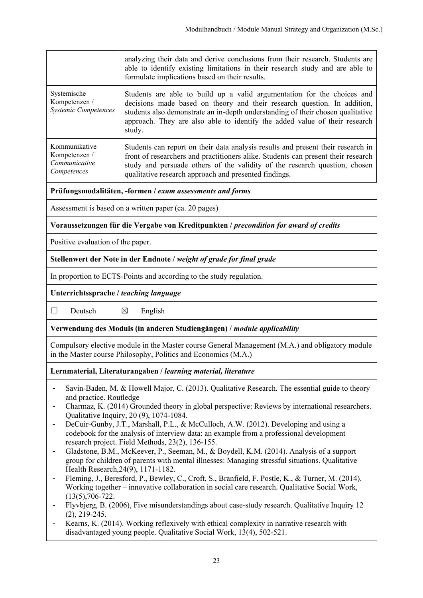|                                                                | analyzing their data and derive conclusions from their research. Students are<br>able to identify existing limitations in their research study and are able to<br>formulate implications based on their results.                                                                                                               |
|----------------------------------------------------------------|--------------------------------------------------------------------------------------------------------------------------------------------------------------------------------------------------------------------------------------------------------------------------------------------------------------------------------|
| Systemische<br>Kompetenzen /<br><b>Systemic Competences</b>    | Students are able to build up a valid argumentation for the choices and<br>decisions made based on theory and their research question. In addition,<br>students also demonstrate an in-depth understanding of their chosen qualitative<br>approach. They are also able to identify the added value of their research<br>study. |
| Kommunikative<br>Kompetenzen /<br>Communicative<br>Competences | Students can report on their data analysis results and present their research in<br>front of researchers and practitioners alike. Students can present their research<br>study and persuade others of the validity of the research question, chosen<br>qualitative research approach and presented findings.                   |

**Prüfungsmodalitäten, -formen /** *exam assessments and forms*

Assessment is based on a written paper (ca. 20 pages)

#### **Voraussetzungen für die Vergabe von Kreditpunkten /** *precondition for award of credits*

Positive evaluation of the paper.

#### **Stellenwert der Note in der Endnote /** *weight of grade for final grade*

In proportion to ECTS-Points and according to the study regulation.

#### **Unterrichtssprache /** *teaching language*

 $\Box$  Deutsch  $\boxtimes$  English

#### **Verwendung des Moduls (in anderen Studiengängen) /** *module applicability*

Compulsory elective module in the Master course General Management (M.A.) and obligatory module in the Master course Philosophy, Politics and Economics (M.A.)

#### **Lernmaterial, Literaturangaben /** *learning material, literature*

- Savin-Baden, M. & Howell Major, C. (2013). Qualitative Research. The essential guide to theory and practice. Routledge
- Charmaz, K. (2014) Grounded theory in global perspective: Reviews by international researchers. Qualitative Inquiry, 20 (9), 1074-1084.
- DeCuir-Gunby, J.T., Marshall, P.L., & McCulloch, A.W. (2012). Developing and using a codebook for the analysis of interview data: an example from a professional development research project. Field Methods, 23(2), 136-155.
- Gladstone, B.M., McKeever, P., Seeman, M., & Boydell, K.M. (2014). Analysis of a support group for children of parents with mental illnesses: Managing stressful situations. Qualitative Health Research,24(9), 1171-1182.
- Fleming, J., Beresford, P., Bewley, C., Croft, S., Branfield, F. Postle, K., & Turner, M. (2014). Working together – innovative collaboration in social care research. Qualitative Social Work, (13(5),706-722.
- Flyvbjerg, B. (2006), Five misunderstandings about case-study research. Qualitative Inquiry 12 (2), 219-245.
- Kearns, K. (2014). Working reflexively with ethical complexity in narrative research with disadvantaged young people. Qualitative Social Work, 13(4), 502-521.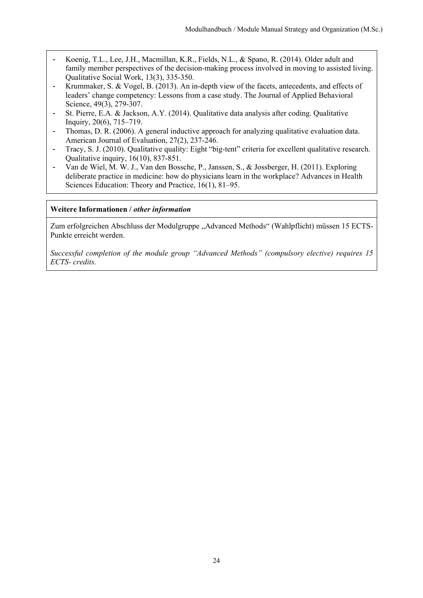- Koenig, T.L., Lee, J.H., Macmillan, K.R., Fields, N.L., & Spano, R. (2014). Older adult and family member perspectives of the decision-making process involved in moving to assisted living. Qualitative Social Work, 13(3), 335-350.
- Krummaker, S. & Vogel, B. (2013). An in-depth view of the facets, antecedents, and effects of leaders' change competency: Lessons from a case study. The Journal of Applied Behavioral Science, 49(3), 279-307.
- St. Pierre, E.A. & Jackson, A.Y. (2014). Qualitative data analysis after coding. Qualitative Inquiry, 20(6), 715–719.
- Thomas, D. R. (2006). A general inductive approach for analyzing qualitative evaluation data. American Journal of Evaluation, 27(2), 237-246.
- Tracy, S. J. (2010). Qualitative quality: Eight "big-tent" criteria for excellent qualitative research. Qualitative inquiry, 16(10), 837-851.
- Van de Wiel, M. W. J., Van den Bossche, P., Janssen, S., & Jossberger, H. (2011). Exploring deliberate practice in medicine: how do physicians learn in the workplace? Advances in Health Sciences Education: Theory and Practice, 16(1), 81–95.

#### **Weitere Informationen /** *other information*

Zum erfolgreichen Abschluss der Modulgruppe "Advanced Methods" (Wahlpflicht) müssen 15 ECTS-Punkte erreicht werden.

*Successful completion of the module group "Advanced Methods" (compulsory elective) requires 15 ECTS- credits.*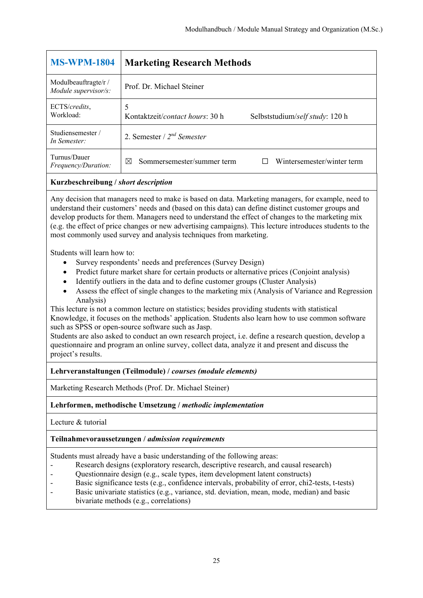| <b>MS-WPM-1804</b>                                                                                                                                                                                                                                                                                                                                                                                                                                                                             | <b>Marketing Research Methods</b>                                       |
|------------------------------------------------------------------------------------------------------------------------------------------------------------------------------------------------------------------------------------------------------------------------------------------------------------------------------------------------------------------------------------------------------------------------------------------------------------------------------------------------|-------------------------------------------------------------------------|
| Modulbeauftragte/r /<br>Module supervisor/s:                                                                                                                                                                                                                                                                                                                                                                                                                                                   | Prof. Dr. Michael Steiner                                               |
| ECTS/credits,<br>Workload:                                                                                                                                                                                                                                                                                                                                                                                                                                                                     | 5<br>Kontaktzeit/contact hours: 30 h<br>Selbststudium/self study: 120 h |
| Studiensemester /<br>In Semester:                                                                                                                                                                                                                                                                                                                                                                                                                                                              | 2. Semester / $2^{nd}$ Semester                                         |
| Turnus/Dauer<br>Frequency/Duration:                                                                                                                                                                                                                                                                                                                                                                                                                                                            | Sommersemester/summer term<br>Wintersemester/winter term<br>⊠           |
| Kurzbeschreibung / short description                                                                                                                                                                                                                                                                                                                                                                                                                                                           |                                                                         |
| Any decision that managers need to make is based on data. Marketing managers, for example, need to<br>understand their customers' needs and (based on this data) can define distinct customer groups and<br>develop products for them. Managers need to understand the effect of changes to the marketing mix<br>(e.g. the effect of price changes or new advertising campaigns). This lecture introduces students to the<br>most commonly used survey and analysis techniques from marketing. |                                                                         |
| Students will learn how to:<br>Survey respondents' needs and preferences (Survey Design)<br>Predict future market share for certain products or alternative prices (Conjoint analysis)<br>$\bullet$                                                                                                                                                                                                                                                                                            |                                                                         |

- Identify outliers in the data and to define customer groups (Cluster Analysis)
- Assess the effect of single changes to the marketing mix (Analysis of Variance and Regression Analysis)

This lecture is not a common lecture on statistics; besides providing students with statistical Knowledge, it focuses on the methods' application. Students also learn how to use common software such as SPSS or open-source software such as Jasp.

Students are also asked to conduct an own research project, i.e. define a research question, develop a questionnaire and program an online survey, collect data, analyze it and present and discuss the project's results.

**Lehrveranstaltungen (Teilmodule) /** *courses (module elements)*

Marketing Research Methods (Prof. Dr. Michael Steiner)

**Lehrformen, methodische Umsetzung /** *methodic implementation*

Lecture & tutorial

**Teilnahmevoraussetzungen /** *admission requirements*

Students must already have a basic understanding of the following areas:

- Research designs (exploratory research, descriptive research, and causal research)
- Questionnaire design (e.g., scale types, item development latent constructs)
- Basic significance tests (e.g., confidence intervals, probability of error, chi2-tests, t-tests)
- Basic univariate statistics (e.g., variance, std. deviation, mean, mode, median) and basic
- bivariate methods (e.g., correlations)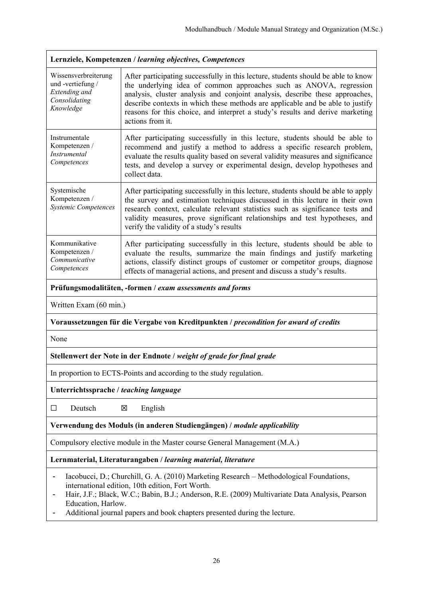| Lernziele, Kompetenzen / learning objectives, Competences                               |                                                                                                                                                                                                                                                                                                                                                                                                                                |
|-----------------------------------------------------------------------------------------|--------------------------------------------------------------------------------------------------------------------------------------------------------------------------------------------------------------------------------------------------------------------------------------------------------------------------------------------------------------------------------------------------------------------------------|
| Wissensverbreiterung<br>und-vertiefung /<br>Extending and<br>Consolidating<br>Knowledge | After participating successfully in this lecture, students should be able to know<br>the underlying idea of common approaches such as ANOVA, regression<br>analysis, cluster analysis and conjoint analysis, describe these approaches,<br>describe contexts in which these methods are applicable and be able to justify<br>reasons for this choice, and interpret a study's results and derive marketing<br>actions from it. |
| Instrumentale<br>Kompetenzen /<br><i>Instrumental</i><br>Competences                    | After participating successfully in this lecture, students should be able to<br>recommend and justify a method to address a specific research problem,<br>evaluate the results quality based on several validity measures and significance<br>tests, and develop a survey or experimental design, develop hypotheses and<br>collect data.                                                                                      |
| Systemische<br>Kompetenzen /<br><b>Systemic Competences</b>                             | After participating successfully in this lecture, students should be able to apply<br>the survey and estimation techniques discussed in this lecture in their own<br>research context, calculate relevant statistics such as significance tests and<br>validity measures, prove significant relationships and test hypotheses, and<br>verify the validity of a study's results                                                 |
| Kommunikative<br>Kompetenzen /<br>Communicative<br>Competences                          | After participating successfully in this lecture, students should be able to<br>evaluate the results, summarize the main findings and justify marketing<br>actions, classify distinct groups of customer or competitor groups, diagnose<br>effects of managerial actions, and present and discuss a study's results.                                                                                                           |
| Prüfungsmodalitäten, -formen / exam assessments and forms                               |                                                                                                                                                                                                                                                                                                                                                                                                                                |

Written Exam (60 min.)

#### **Voraussetzungen für die Vergabe von Kreditpunkten /** *precondition for award of credits*

None

#### **Stellenwert der Note in der Endnote /** *weight of grade for final grade*

In proportion to ECTS-Points and according to the study regulation.

**Unterrichtssprache /** *teaching language*

 $\Box$  Deutsch  $\boxtimes$  English

#### **Verwendung des Moduls (in anderen Studiengängen) /** *module applicability*

Compulsory elective module in the Master course General Management (M.A.)

**Lernmaterial, Literaturangaben /** *learning material, literature* 

- Iacobucci, D.; Churchill, G. A. (2010) Marketing Research Methodological Foundations, international edition, 10th edition, Fort Worth.
- Hair, J.F.; Black, W.C.; Babin, B.J.; Anderson, R.E. (2009) Multivariate Data Analysis, Pearson Education, Harlow.
- Additional journal papers and book chapters presented during the lecture.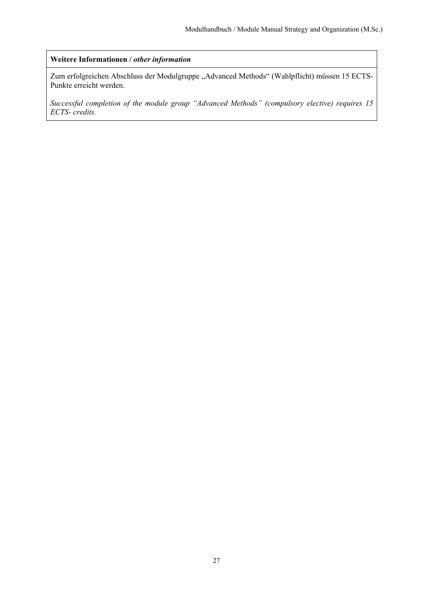#### **Weitere Informationen /** *other information*

Zum erfolgreichen Abschluss der Modulgruppe "Advanced Methods" (Wahlpflicht) müssen 15 ECTS-Punkte erreicht werden.

*Successful completion of the module group "Advanced Methods" (compulsory elective) requires 15 ECTS- credits.*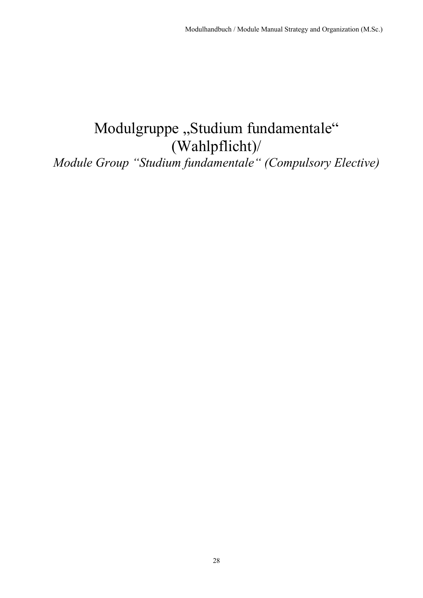## Modulgruppe "Studium fundamentale" (Wahlpflicht)/

*Module Group "Studium fundamentale" (Compulsory Elective)*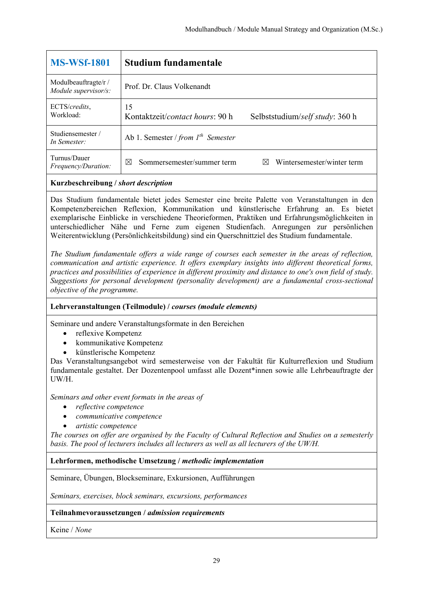| <b>MS-WSf-1801</b>                           | Studium fundamentale                                                     |
|----------------------------------------------|--------------------------------------------------------------------------|
| Modulbeauftragte/r /<br>Module supervisor/s: | Prof. Dr. Claus Volkenandt                                               |
| ECTS/credits,<br>Workload:                   | 15<br>Kontaktzeit/contact hours: 90 h<br>Selbststudium/self study: 360 h |
| Studiensemester/<br>In Semester:             | Ab 1. Semester / from $I^{th}$ Semester                                  |
| Turnus/Dauer<br>Frequency/Duration:          | Wintersemester/winter term<br>Sommersemester/summer term<br>⊠<br>M       |

Das Studium fundamentale bietet jedes Semester eine breite Palette von Veranstaltungen in den Kompetenzbereichen Reflexion, Kommunikation und künstlerische Erfahrung an. Es bietet exemplarische Einblicke in verschiedene Theorieformen, Praktiken und Erfahrungsmöglichkeiten in unterschiedlicher Nähe und Ferne zum eigenen Studienfach. Anregungen zur persönlichen Weiterentwicklung (Persönlichkeitsbildung) sind ein Querschnittziel des Studium fundamentale.

*The Studium fundamentale offers a wide range of courses each semester in the areas of reflection, communication and artistic experience. It offers exemplary insights into different theoretical forms, practices and possibilities of experience in different proximity and distance to one's own field of study. Suggestions for personal development (personality development) are a fundamental cross-sectional objective of the programme.*

#### **Lehrveranstaltungen (Teilmodule) /** *courses (module elements)*

Seminare und andere Veranstaltungsformate in den Bereichen

- reflexive Kompetenz
- kommunikative Kompetenz
- künstlerische Kompetenz

Das Veranstaltungsangebot wird semesterweise von der Fakultät für Kulturreflexion und Studium fundamentale gestaltet. Der Dozentenpool umfasst alle Dozent\*innen sowie alle Lehrbeauftragte der UW/H.

*Seminars and other event formats in the areas of* 

- *reflective competence*
- *communicative competence*
- *artistic competence*

*The courses on offer are organised by the Faculty of Cultural Reflection and Studies on a semesterly basis. The pool of lecturers includes all lecturers as well as all lecturers of the UW/H.*

#### **Lehrformen, methodische Umsetzung /** *methodic implementation*

Seminare, Übungen, Blockseminare, Exkursionen, Aufführungen

*Seminars, exercises, block seminars, excursions, performances* 

#### **Teilnahmevoraussetzungen /** *admission requirements*

Keine / *None*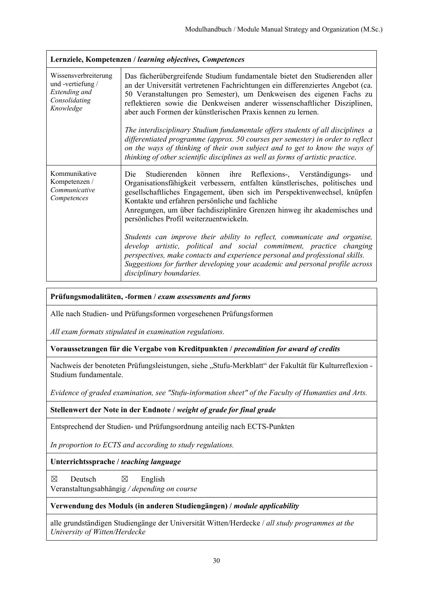| Lernziele, Kompetenzen / learning objectives, Competences                              |                                                                                                                                                                                                                                                                                                                                                                                                                                                                                                                                                                                                                                                                                                                                                           |
|----------------------------------------------------------------------------------------|-----------------------------------------------------------------------------------------------------------------------------------------------------------------------------------------------------------------------------------------------------------------------------------------------------------------------------------------------------------------------------------------------------------------------------------------------------------------------------------------------------------------------------------------------------------------------------------------------------------------------------------------------------------------------------------------------------------------------------------------------------------|
| Wissensverbreiterung<br>und-vertiefung/<br>Extending and<br>Consolidating<br>Knowledge | Das fächerübergreifende Studium fundamentale bietet den Studierenden aller<br>an der Universität vertretenen Fachrichtungen ein differenziertes Angebot (ca.<br>50 Veranstaltungen pro Semester), um Denkweisen des eigenen Fachs zu<br>reflektieren sowie die Denkweisen anderer wissenschaftlicher Disziplinen,<br>aber auch Formen der künstlerischen Praxis kennen zu lernen.<br>The interdisciplinary Studium fundamentale offers students of all disciplines a<br>differentiated programme (approx. 50 courses per semester) in order to reflect<br>on the ways of thinking of their own subject and to get to know the ways of<br>thinking of other scientific disciplines as well as forms of artistic practice.                                  |
| Kommunikative<br>Kompetenzen /<br>Communicative<br>Competences                         | Studierenden können ihre Reflexions-, Verständigungs-<br>Die<br>und<br>Organisationsfähigkeit verbessern, entfalten künstlerisches, politisches und<br>gesellschaftliches Engagement, üben sich im Perspektivenwechsel, knüpfen<br>Kontakte und erfahren persönliche und fachliche<br>Anregungen, um über fachdisziplinäre Grenzen hinweg ihr akademisches und<br>persönliches Profil weiterzuentwickeln.<br>Students can improve their ability to reflect, communicate and organise,<br>develop artistic, political and social commitment, practice changing<br>perspectives, make contacts and experience personal and professional skills.<br>Suggestions for further developing your academic and personal profile across<br>disciplinary boundaries. |

#### **Prüfungsmodalitäten, -formen /** *exam assessments and forms*

Alle nach Studien- und Prüfungsformen vorgesehenen Prüfungsformen

*All exam formats stipulated in examination regulations.* 

**Voraussetzungen für die Vergabe von Kreditpunkten /** *precondition for award of credits*

Nachweis der benoteten Prüfungsleistungen, siehe "Stufu-Merkblatt" der Fakultät für Kulturreflexion -Studium fundamentale.

*Evidence of graded examination, see "Stufu-information sheet" of the Faculty of Humanties and Arts.* 

**Stellenwert der Note in der Endnote /** *weight of grade for final grade*

Entsprechend der Studien- und Prüfungsordnung anteilig nach ECTS-Punkten

*In proportion to ECTS and according to study regulations.* 

**Unterrichtssprache /** *teaching language*

 $\boxtimes$  Deutsch  $\boxtimes$  English Veranstaltungsabhängig */ depending on course*

#### **Verwendung des Moduls (in anderen Studiengängen) /** *module applicability*

alle grundständigen Studiengänge der Universität Witten/Herdecke / *all study programmes at the University of Witten/Herdecke*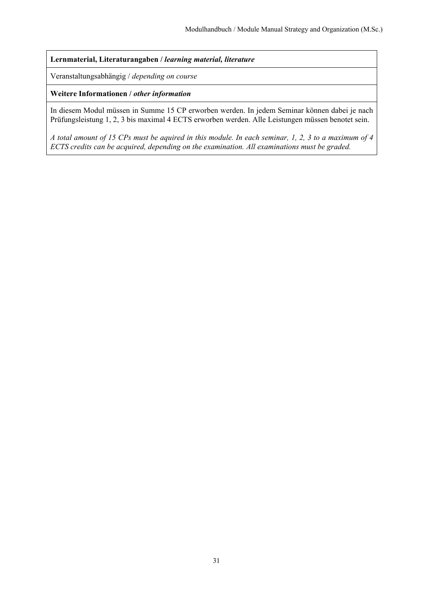**Lernmaterial, Literaturangaben /** *learning material, literature*

Veranstaltungsabhängig / *depending on course*

**Weitere Informationen /** *other information*

In diesem Modul müssen in Summe 15 CP erworben werden. In jedem Seminar können dabei je nach Prüfungsleistung 1, 2, 3 bis maximal 4 ECTS erworben werden. Alle Leistungen müssen benotet sein.

*A total amount of 15 CPs must be aquired in this module. In each seminar, 1, 2, 3 to a maximum of 4 ECTS credits can be acquired, depending on the examination. All examinations must be graded.*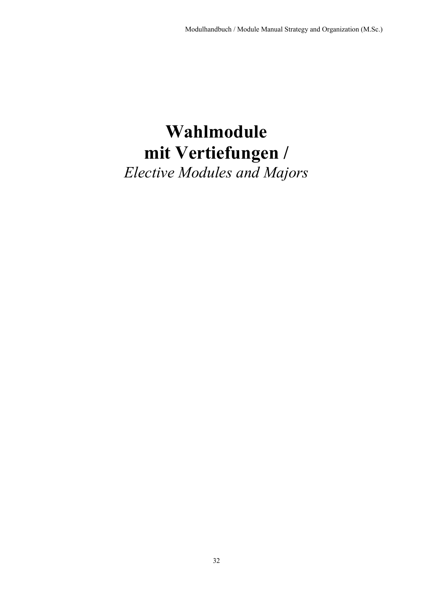# **Wahlmodule mit Vertiefungen /**

*Elective Modules and Majors*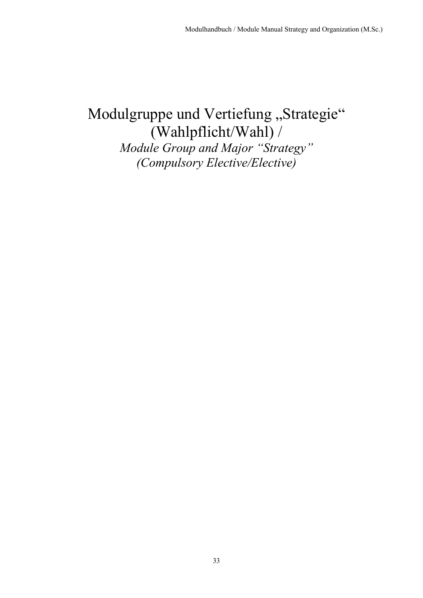## Modulgruppe und Vertiefung "Strategie" (Wahlpflicht/Wahl) / *Module Group and Major "Strategy"*

*(Compulsory Elective/Elective)*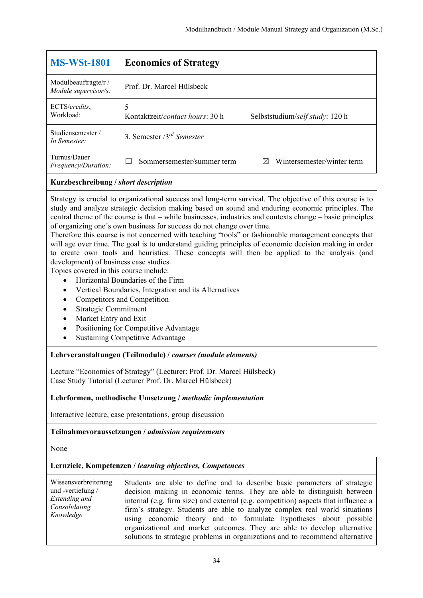| <b>MS-WSt-1801</b>                           | <b>Economics of Strategy</b>         |                                 |
|----------------------------------------------|--------------------------------------|---------------------------------|
| Modulbeauftragte/r /<br>Module supervisor/s: | Prof. Dr. Marcel Hülsbeck            |                                 |
| ECTS/credits,<br>Workload:                   | 5<br>Kontaktzeit/contact hours: 30 h | Selbststudium/self study: 120 h |
| Studiensemester /<br>In Semester:            | 3. Semester $3^{rd}$ Semester        |                                 |
| Turnus/Dauer<br>Frequency/Duration:          | Sommersemester/summer term           | Wintersemester/winter term<br>M |
|                                              |                                      |                                 |

Strategy is crucial to organizational success and long-term survival. The objective of this course is to study and analyze strategic decision making based on sound and enduring economic principles. The central theme of the course is that – while businesses, industries and contexts change – basic principles of organizing one´s own business for success do not change over time.

Therefore this course is not concerned with teaching "tools" or fashionable management concepts that will age over time. The goal is to understand guiding principles of economic decision making in order to create own tools and heuristics. These concepts will then be applied to the analysis (and development) of business case studies.

Topics covered in this course include:

- Horizontal Boundaries of the Firm
- Vertical Boundaries, Integration and its Alternatives
- Competitors and Competition
- Strategic Commitment
- Market Entry and Exit
- Positioning for Competitive Advantage
- Sustaining Competitive Advantage

#### **Lehrveranstaltungen (Teilmodule) /** *courses (module elements)*

Lecture "Economics of Strategy" (Lecturer: Prof. Dr. Marcel Hülsbeck) Case Study Tutorial (Lecturer Prof. Dr. Marcel Hülsbeck)

#### **Lehrformen, methodische Umsetzung /** *methodic implementation*

Interactive lecture, case presentations, group discussion

#### **Teilnahmevoraussetzungen /** *admission requirements*

None

| Wissensverbreiterung<br>und -vertiefung $/$<br>Extending and<br>Consolidating<br>Knowledge | Students are able to define and to describe basic parameters of strategic<br>decision making in economic terms. They are able to distinguish between<br>internal (e.g. firm size) and external (e.g. competition) aspects that influence a<br>firm's strategy. Students are able to analyze complex real world situations<br>using economic theory and to formulate hypotheses about possible<br>organizational and market outcomes. They are able to develop alternative<br>solutions to strategic problems in organizations and to recommend alternative |
|--------------------------------------------------------------------------------------------|------------------------------------------------------------------------------------------------------------------------------------------------------------------------------------------------------------------------------------------------------------------------------------------------------------------------------------------------------------------------------------------------------------------------------------------------------------------------------------------------------------------------------------------------------------|
|--------------------------------------------------------------------------------------------|------------------------------------------------------------------------------------------------------------------------------------------------------------------------------------------------------------------------------------------------------------------------------------------------------------------------------------------------------------------------------------------------------------------------------------------------------------------------------------------------------------------------------------------------------------|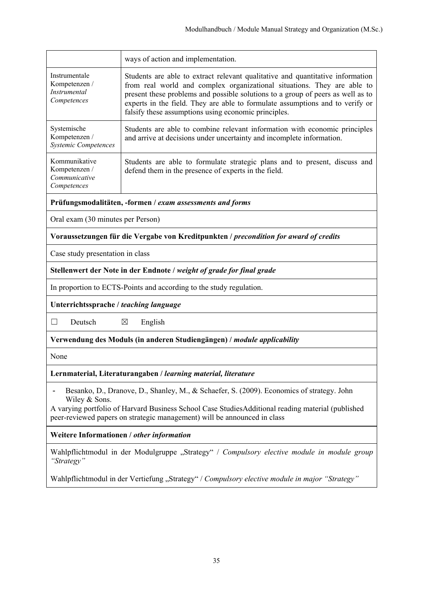|                                                                                                                                                                                                                                                                                              | ways of action and implementation.                                                                                                                                                                                                                                                                                                                                                    |  |
|----------------------------------------------------------------------------------------------------------------------------------------------------------------------------------------------------------------------------------------------------------------------------------------------|---------------------------------------------------------------------------------------------------------------------------------------------------------------------------------------------------------------------------------------------------------------------------------------------------------------------------------------------------------------------------------------|--|
| Instrumentale<br>Kompetenzen /<br>Instrumental<br>Competences                                                                                                                                                                                                                                | Students are able to extract relevant qualitative and quantitative information<br>from real world and complex organizational situations. They are able to<br>present these problems and possible solutions to a group of peers as well as to<br>experts in the field. They are able to formulate assumptions and to verify or<br>falsify these assumptions using economic principles. |  |
| Systemische<br>Kompetenzen /<br><b>Systemic Competences</b>                                                                                                                                                                                                                                  | Students are able to combine relevant information with economic principles<br>and arrive at decisions under uncertainty and incomplete information.                                                                                                                                                                                                                                   |  |
| Kommunikative<br>Kompetenzen /<br>Communicative<br>Competences                                                                                                                                                                                                                               | Students are able to formulate strategic plans and to present, discuss and<br>defend them in the presence of experts in the field.                                                                                                                                                                                                                                                    |  |
|                                                                                                                                                                                                                                                                                              | Prüfungsmodalitäten, -formen / exam assessments and forms                                                                                                                                                                                                                                                                                                                             |  |
| Oral exam (30 minutes per Person)                                                                                                                                                                                                                                                            |                                                                                                                                                                                                                                                                                                                                                                                       |  |
| Voraussetzungen für die Vergabe von Kreditpunkten / precondition for award of credits                                                                                                                                                                                                        |                                                                                                                                                                                                                                                                                                                                                                                       |  |
| Case study presentation in class                                                                                                                                                                                                                                                             |                                                                                                                                                                                                                                                                                                                                                                                       |  |
| Stellenwert der Note in der Endnote / weight of grade for final grade                                                                                                                                                                                                                        |                                                                                                                                                                                                                                                                                                                                                                                       |  |
| In proportion to ECTS-Points and according to the study regulation.                                                                                                                                                                                                                          |                                                                                                                                                                                                                                                                                                                                                                                       |  |
| Unterrichtssprache / teaching language                                                                                                                                                                                                                                                       |                                                                                                                                                                                                                                                                                                                                                                                       |  |
| Deutsch<br>$\boxtimes$<br>English<br>$\Box$                                                                                                                                                                                                                                                  |                                                                                                                                                                                                                                                                                                                                                                                       |  |
| Verwendung des Moduls (in anderen Studiengängen) / module applicability                                                                                                                                                                                                                      |                                                                                                                                                                                                                                                                                                                                                                                       |  |
| None                                                                                                                                                                                                                                                                                         |                                                                                                                                                                                                                                                                                                                                                                                       |  |
|                                                                                                                                                                                                                                                                                              | Lernmaterial, Literaturangaben / learning material, literature                                                                                                                                                                                                                                                                                                                        |  |
| Besanko, D., Dranove, D., Shanley, M., & Schaefer, S. (2009). Economics of strategy. John<br>Wiley & Sons.<br>A varying portfolio of Harvard Business School Case Studies Additional reading material (published<br>peer-reviewed papers on strategic management) will be announced in class |                                                                                                                                                                                                                                                                                                                                                                                       |  |
| Weitere Informationen / other information                                                                                                                                                                                                                                                    |                                                                                                                                                                                                                                                                                                                                                                                       |  |
| "Strategy"                                                                                                                                                                                                                                                                                   | Wahlpflichtmodul in der Modulgruppe "Strategy" / Compulsory elective module in module group                                                                                                                                                                                                                                                                                           |  |
| Wahlpflichtmodul in der Vertiefung "Strategy" / Compulsory elective module in major "Strategy"                                                                                                                                                                                               |                                                                                                                                                                                                                                                                                                                                                                                       |  |
|                                                                                                                                                                                                                                                                                              |                                                                                                                                                                                                                                                                                                                                                                                       |  |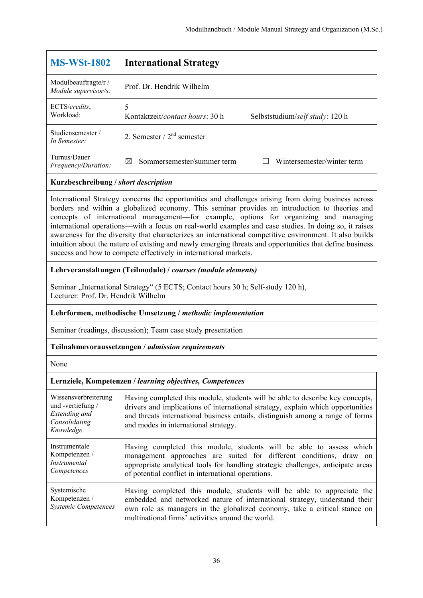| <b>International Strategy</b>                                           |
|-------------------------------------------------------------------------|
| Prof. Dr. Hendrik Wilhelm                                               |
| 5<br>Kontaktzeit/contact hours: 30 h<br>Selbststudium/self study: 120 h |
| 2. Semester $/2nd$ semester                                             |
| Wintersemester/winter term<br>Sommersemester/summer term<br>⊠           |
|                                                                         |

International Strategy concerns the opportunities and challenges arising from doing business across borders and within a globalized economy. This seminar provides an introduction to theories and concepts of international management—for example, options for organizing and managing international operations—with a focus on real-world examples and case studies. In doing so, it raises awareness for the diversity that characterizes an international competitive environment. It also builds intuition about the nature of existing and newly emerging threats and opportunities that define business success and how to compete effectively in international markets.

#### **Lehrveranstaltungen (Teilmodule) /** *courses (module elements)*

Seminar "International Strategy" (5 ECTS; Contact hours 30 h; Self-study 120 h), Lecturer: Prof. Dr. Hendrik Wilhelm

#### **Lehrformen, methodische Umsetzung /** *methodic implementation*

Seminar (readings, discussion); Team case study presentation

#### **Teilnahmevoraussetzungen /** *admission requirements*

None

| Wissensverbreiterung<br>und -vertiefung /<br>Extending and<br>Consolidating<br>Knowledge | Having completed this module, students will be able to describe key concepts,<br>drivers and implications of international strategy, explain which opportunities<br>and threats international business entails, distinguish among a range of forms<br>and modes in international strategy. |
|------------------------------------------------------------------------------------------|--------------------------------------------------------------------------------------------------------------------------------------------------------------------------------------------------------------------------------------------------------------------------------------------|
| Instrumentale<br>Kompetenzen /<br><i>Instrumental</i><br>Competences                     | Having completed this module, students will be able to assess which<br>management approaches are suited for different conditions, draw on<br>appropriate analytical tools for handling strategic challenges, anticipate areas<br>of potential conflict in international operations.        |
| Systemische<br>Kompetenzen /<br><b>Systemic Competences</b>                              | Having completed this module, students will be able to appreciate the<br>embedded and networked nature of international strategy, understand their<br>own role as managers in the globalized economy, take a critical stance on<br>multinational firms' activities around the world.       |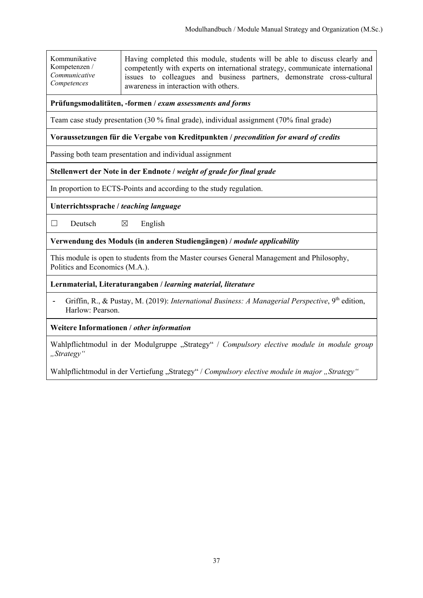Kommunikative Kompetenzen / *Communicative Competences* Having completed this module, students will be able to discuss clearly and competently with experts on international strategy, communicate international issues to colleagues and business partners, demonstrate cross-cultural awareness in interaction with others.

#### **Prüfungsmodalitäten, -formen /** *exam assessments and forms*

Team case study presentation (30 % final grade), individual assignment (70% final grade)

#### **Voraussetzungen für die Vergabe von Kreditpunkten /** *precondition for award of credits*

Passing both team presentation and individual assignment

## **Stellenwert der Note in der Endnote /** *weight of grade for final grade*

In proportion to ECTS-Points and according to the study regulation.

**Unterrichtssprache /** *teaching language* 

 $\Box$  Deutsch  $\boxtimes$  English

**Verwendung des Moduls (in anderen Studiengängen) /** *module applicability* 

This module is open to students from the Master courses General Management and Philosophy, Politics and Economics (M.A.).

**Lernmaterial, Literaturangaben /** *learning material, literature*

- Griffin, R., & Pustay, M. (2019): *International Business: A Managerial Perspective*, 9<sup>th</sup> edition, Harlow: Pearson.

**Weitere Informationen /** *other information* 

Wahlpflichtmodul in der Modulgruppe "Strategy" / Compulsory elective module in module group *"Strategy"* 

Wahlpflichtmodul in der Vertiefung "Strategy" / Compulsory elective module in major "Strategy"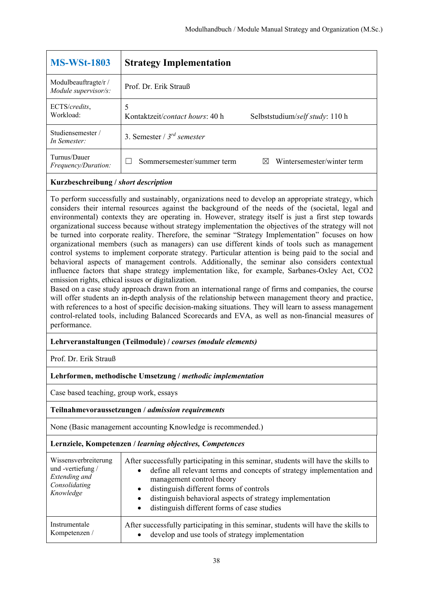| <b>MS-WSt-1803</b>                           | <b>Strategy Implementation</b>       |                                 |
|----------------------------------------------|--------------------------------------|---------------------------------|
| Modulbeauftragte/r /<br>Module supervisor/s: | Prof. Dr. Erik Strauß                |                                 |
| ECTS/credits,<br>Workload:                   | 5<br>Kontaktzeit/contact hours: 40 h | Selbststudium/self study: 110 h |
| Studiensemester /<br>In Semester:            | 3. Semester / $3^{rd}$ semester      |                                 |
| Turnus/Dauer<br><i>Frequency/Duration:</i>   | Sommersemester/summer term           | Wintersemester/winter term<br>⊠ |

To perform successfully and sustainably, organizations need to develop an appropriate strategy, which considers their internal resources against the background of the needs of the (societal, legal and environmental) contexts they are operating in. However, strategy itself is just a first step towards organizational success because without strategy implementation the objectives of the strategy will not be turned into corporate reality. Therefore, the seminar "Strategy Implementation" focuses on how organizational members (such as managers) can use different kinds of tools such as management control systems to implement corporate strategy. Particular attention is being paid to the social and behavioral aspects of management controls. Additionally, the seminar also considers contextual influence factors that shape strategy implementation like, for example, Sarbanes-Oxley Act, CO2 emission rights, ethical issues or digitalization.

Based on a case study approach drawn from an international range of firms and companies, the course will offer students an in-depth analysis of the relationship between management theory and practice, with references to a host of specific decision-making situations. They will learn to assess management control-related tools, including Balanced Scorecards and EVA, as well as non-financial measures of performance.

## **Lehrveranstaltungen (Teilmodule) /** *courses (module elements)*

Prof. Dr. Erik Strauß

## **Lehrformen, methodische Umsetzung /** *methodic implementation*

Case based teaching, group work, essays

## **Teilnahmevoraussetzungen /** *admission requirements*

None (Basic management accounting Knowledge is recommended.)

| Wissensverbreiterung<br>und -vertiefung /<br>Extending and<br>Consolidating<br>Knowledge | After successfully participating in this seminar, students will have the skills to<br>define all relevant terms and concepts of strategy implementation and<br>$\bullet$<br>management control theory<br>distinguish different forms of controls<br>$\bullet$<br>distinguish behavioral aspects of strategy implementation<br>$\bullet$<br>distinguish different forms of case studies |
|------------------------------------------------------------------------------------------|----------------------------------------------------------------------------------------------------------------------------------------------------------------------------------------------------------------------------------------------------------------------------------------------------------------------------------------------------------------------------------------|
| Instrumentale                                                                            | After successfully participating in this seminar, students will have the skills to                                                                                                                                                                                                                                                                                                     |
| Kompetenzen /                                                                            | develop and use tools of strategy implementation                                                                                                                                                                                                                                                                                                                                       |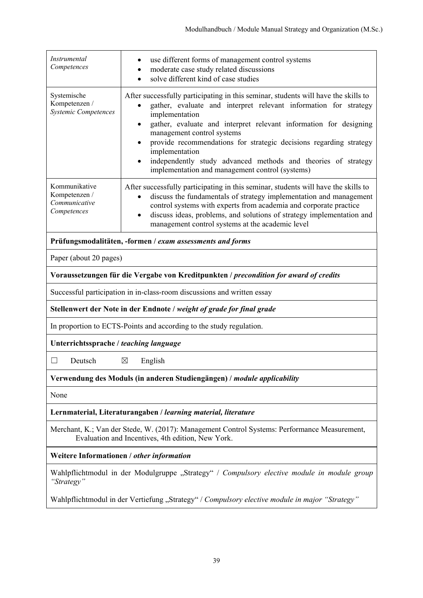| Instrumental<br>use different forms of management control systems<br>Competences<br>moderate case study related discussions<br>$\bullet$<br>solve different kind of case studies<br>$\bullet$<br>Systemische<br>After successfully participating in this seminar, students will have the skills to<br>Kompetenzen /<br>gather, evaluate and interpret relevant information for strategy<br><b>Systemic Competences</b><br>implementation<br>gather, evaluate and interpret relevant information for designing<br>٠<br>management control systems<br>provide recommendations for strategic decisions regarding strategy<br>implementation<br>independently study advanced methods and theories of strategy<br>implementation and management control (systems)<br>Kommunikative<br>After successfully participating in this seminar, students will have the skills to<br>Kompetenzen /<br>discuss the fundamentals of strategy implementation and management<br>$\bullet$<br>Communicative<br>control systems with experts from academia and corporate practice<br>Competences<br>discuss ideas, problems, and solutions of strategy implementation and<br>$\bullet$<br>management control systems at the academic level<br>Prüfungsmodalitäten, -formen / exam assessments and forms<br>Paper (about 20 pages)<br>Voraussetzungen für die Vergabe von Kreditpunkten / precondition for award of credits<br>Successful participation in in-class-room discussions and written essay<br>Stellenwert der Note in der Endnote / weight of grade for final grade<br>In proportion to ECTS-Points and according to the study regulation.<br>Unterrichtssprache / teaching language<br>English<br>⊠<br>Deutsch<br>Verwendung des Moduls (in anderen Studiengängen) / module applicability<br>None<br>Lernmaterial, Literaturangaben / learning material, literature<br>Merchant, K.; Van der Stede, W. (2017): Management Control Systems: Performance Measurement,<br>Evaluation and Incentives, 4th edition, New York.<br>Weitere Informationen / other information<br>Wahlpflichtmodul in der Modulgruppe "Strategy" / Compulsory elective module in module group<br>"Strategy"<br>Wahlpflichtmodul in der Vertiefung "Strategy" / Compulsory elective module in major "Strategy" |  |  |  |
|------------------------------------------------------------------------------------------------------------------------------------------------------------------------------------------------------------------------------------------------------------------------------------------------------------------------------------------------------------------------------------------------------------------------------------------------------------------------------------------------------------------------------------------------------------------------------------------------------------------------------------------------------------------------------------------------------------------------------------------------------------------------------------------------------------------------------------------------------------------------------------------------------------------------------------------------------------------------------------------------------------------------------------------------------------------------------------------------------------------------------------------------------------------------------------------------------------------------------------------------------------------------------------------------------------------------------------------------------------------------------------------------------------------------------------------------------------------------------------------------------------------------------------------------------------------------------------------------------------------------------------------------------------------------------------------------------------------------------------------------------------------------------------------------------------------------------------------------------------------------------------------------------------------------------------------------------------------------------------------------------------------------------------------------------------------------------------------------------------------------------------------------------------------------------------------------------------------------------------------------------------------------------|--|--|--|
|                                                                                                                                                                                                                                                                                                                                                                                                                                                                                                                                                                                                                                                                                                                                                                                                                                                                                                                                                                                                                                                                                                                                                                                                                                                                                                                                                                                                                                                                                                                                                                                                                                                                                                                                                                                                                                                                                                                                                                                                                                                                                                                                                                                                                                                                              |  |  |  |
|                                                                                                                                                                                                                                                                                                                                                                                                                                                                                                                                                                                                                                                                                                                                                                                                                                                                                                                                                                                                                                                                                                                                                                                                                                                                                                                                                                                                                                                                                                                                                                                                                                                                                                                                                                                                                                                                                                                                                                                                                                                                                                                                                                                                                                                                              |  |  |  |
|                                                                                                                                                                                                                                                                                                                                                                                                                                                                                                                                                                                                                                                                                                                                                                                                                                                                                                                                                                                                                                                                                                                                                                                                                                                                                                                                                                                                                                                                                                                                                                                                                                                                                                                                                                                                                                                                                                                                                                                                                                                                                                                                                                                                                                                                              |  |  |  |
|                                                                                                                                                                                                                                                                                                                                                                                                                                                                                                                                                                                                                                                                                                                                                                                                                                                                                                                                                                                                                                                                                                                                                                                                                                                                                                                                                                                                                                                                                                                                                                                                                                                                                                                                                                                                                                                                                                                                                                                                                                                                                                                                                                                                                                                                              |  |  |  |
|                                                                                                                                                                                                                                                                                                                                                                                                                                                                                                                                                                                                                                                                                                                                                                                                                                                                                                                                                                                                                                                                                                                                                                                                                                                                                                                                                                                                                                                                                                                                                                                                                                                                                                                                                                                                                                                                                                                                                                                                                                                                                                                                                                                                                                                                              |  |  |  |
|                                                                                                                                                                                                                                                                                                                                                                                                                                                                                                                                                                                                                                                                                                                                                                                                                                                                                                                                                                                                                                                                                                                                                                                                                                                                                                                                                                                                                                                                                                                                                                                                                                                                                                                                                                                                                                                                                                                                                                                                                                                                                                                                                                                                                                                                              |  |  |  |
|                                                                                                                                                                                                                                                                                                                                                                                                                                                                                                                                                                                                                                                                                                                                                                                                                                                                                                                                                                                                                                                                                                                                                                                                                                                                                                                                                                                                                                                                                                                                                                                                                                                                                                                                                                                                                                                                                                                                                                                                                                                                                                                                                                                                                                                                              |  |  |  |
|                                                                                                                                                                                                                                                                                                                                                                                                                                                                                                                                                                                                                                                                                                                                                                                                                                                                                                                                                                                                                                                                                                                                                                                                                                                                                                                                                                                                                                                                                                                                                                                                                                                                                                                                                                                                                                                                                                                                                                                                                                                                                                                                                                                                                                                                              |  |  |  |
|                                                                                                                                                                                                                                                                                                                                                                                                                                                                                                                                                                                                                                                                                                                                                                                                                                                                                                                                                                                                                                                                                                                                                                                                                                                                                                                                                                                                                                                                                                                                                                                                                                                                                                                                                                                                                                                                                                                                                                                                                                                                                                                                                                                                                                                                              |  |  |  |
|                                                                                                                                                                                                                                                                                                                                                                                                                                                                                                                                                                                                                                                                                                                                                                                                                                                                                                                                                                                                                                                                                                                                                                                                                                                                                                                                                                                                                                                                                                                                                                                                                                                                                                                                                                                                                                                                                                                                                                                                                                                                                                                                                                                                                                                                              |  |  |  |
|                                                                                                                                                                                                                                                                                                                                                                                                                                                                                                                                                                                                                                                                                                                                                                                                                                                                                                                                                                                                                                                                                                                                                                                                                                                                                                                                                                                                                                                                                                                                                                                                                                                                                                                                                                                                                                                                                                                                                                                                                                                                                                                                                                                                                                                                              |  |  |  |
|                                                                                                                                                                                                                                                                                                                                                                                                                                                                                                                                                                                                                                                                                                                                                                                                                                                                                                                                                                                                                                                                                                                                                                                                                                                                                                                                                                                                                                                                                                                                                                                                                                                                                                                                                                                                                                                                                                                                                                                                                                                                                                                                                                                                                                                                              |  |  |  |
|                                                                                                                                                                                                                                                                                                                                                                                                                                                                                                                                                                                                                                                                                                                                                                                                                                                                                                                                                                                                                                                                                                                                                                                                                                                                                                                                                                                                                                                                                                                                                                                                                                                                                                                                                                                                                                                                                                                                                                                                                                                                                                                                                                                                                                                                              |  |  |  |
|                                                                                                                                                                                                                                                                                                                                                                                                                                                                                                                                                                                                                                                                                                                                                                                                                                                                                                                                                                                                                                                                                                                                                                                                                                                                                                                                                                                                                                                                                                                                                                                                                                                                                                                                                                                                                                                                                                                                                                                                                                                                                                                                                                                                                                                                              |  |  |  |
|                                                                                                                                                                                                                                                                                                                                                                                                                                                                                                                                                                                                                                                                                                                                                                                                                                                                                                                                                                                                                                                                                                                                                                                                                                                                                                                                                                                                                                                                                                                                                                                                                                                                                                                                                                                                                                                                                                                                                                                                                                                                                                                                                                                                                                                                              |  |  |  |
|                                                                                                                                                                                                                                                                                                                                                                                                                                                                                                                                                                                                                                                                                                                                                                                                                                                                                                                                                                                                                                                                                                                                                                                                                                                                                                                                                                                                                                                                                                                                                                                                                                                                                                                                                                                                                                                                                                                                                                                                                                                                                                                                                                                                                                                                              |  |  |  |
|                                                                                                                                                                                                                                                                                                                                                                                                                                                                                                                                                                                                                                                                                                                                                                                                                                                                                                                                                                                                                                                                                                                                                                                                                                                                                                                                                                                                                                                                                                                                                                                                                                                                                                                                                                                                                                                                                                                                                                                                                                                                                                                                                                                                                                                                              |  |  |  |
|                                                                                                                                                                                                                                                                                                                                                                                                                                                                                                                                                                                                                                                                                                                                                                                                                                                                                                                                                                                                                                                                                                                                                                                                                                                                                                                                                                                                                                                                                                                                                                                                                                                                                                                                                                                                                                                                                                                                                                                                                                                                                                                                                                                                                                                                              |  |  |  |
|                                                                                                                                                                                                                                                                                                                                                                                                                                                                                                                                                                                                                                                                                                                                                                                                                                                                                                                                                                                                                                                                                                                                                                                                                                                                                                                                                                                                                                                                                                                                                                                                                                                                                                                                                                                                                                                                                                                                                                                                                                                                                                                                                                                                                                                                              |  |  |  |
|                                                                                                                                                                                                                                                                                                                                                                                                                                                                                                                                                                                                                                                                                                                                                                                                                                                                                                                                                                                                                                                                                                                                                                                                                                                                                                                                                                                                                                                                                                                                                                                                                                                                                                                                                                                                                                                                                                                                                                                                                                                                                                                                                                                                                                                                              |  |  |  |
|                                                                                                                                                                                                                                                                                                                                                                                                                                                                                                                                                                                                                                                                                                                                                                                                                                                                                                                                                                                                                                                                                                                                                                                                                                                                                                                                                                                                                                                                                                                                                                                                                                                                                                                                                                                                                                                                                                                                                                                                                                                                                                                                                                                                                                                                              |  |  |  |
|                                                                                                                                                                                                                                                                                                                                                                                                                                                                                                                                                                                                                                                                                                                                                                                                                                                                                                                                                                                                                                                                                                                                                                                                                                                                                                                                                                                                                                                                                                                                                                                                                                                                                                                                                                                                                                                                                                                                                                                                                                                                                                                                                                                                                                                                              |  |  |  |
|                                                                                                                                                                                                                                                                                                                                                                                                                                                                                                                                                                                                                                                                                                                                                                                                                                                                                                                                                                                                                                                                                                                                                                                                                                                                                                                                                                                                                                                                                                                                                                                                                                                                                                                                                                                                                                                                                                                                                                                                                                                                                                                                                                                                                                                                              |  |  |  |
|                                                                                                                                                                                                                                                                                                                                                                                                                                                                                                                                                                                                                                                                                                                                                                                                                                                                                                                                                                                                                                                                                                                                                                                                                                                                                                                                                                                                                                                                                                                                                                                                                                                                                                                                                                                                                                                                                                                                                                                                                                                                                                                                                                                                                                                                              |  |  |  |
|                                                                                                                                                                                                                                                                                                                                                                                                                                                                                                                                                                                                                                                                                                                                                                                                                                                                                                                                                                                                                                                                                                                                                                                                                                                                                                                                                                                                                                                                                                                                                                                                                                                                                                                                                                                                                                                                                                                                                                                                                                                                                                                                                                                                                                                                              |  |  |  |
|                                                                                                                                                                                                                                                                                                                                                                                                                                                                                                                                                                                                                                                                                                                                                                                                                                                                                                                                                                                                                                                                                                                                                                                                                                                                                                                                                                                                                                                                                                                                                                                                                                                                                                                                                                                                                                                                                                                                                                                                                                                                                                                                                                                                                                                                              |  |  |  |
|                                                                                                                                                                                                                                                                                                                                                                                                                                                                                                                                                                                                                                                                                                                                                                                                                                                                                                                                                                                                                                                                                                                                                                                                                                                                                                                                                                                                                                                                                                                                                                                                                                                                                                                                                                                                                                                                                                                                                                                                                                                                                                                                                                                                                                                                              |  |  |  |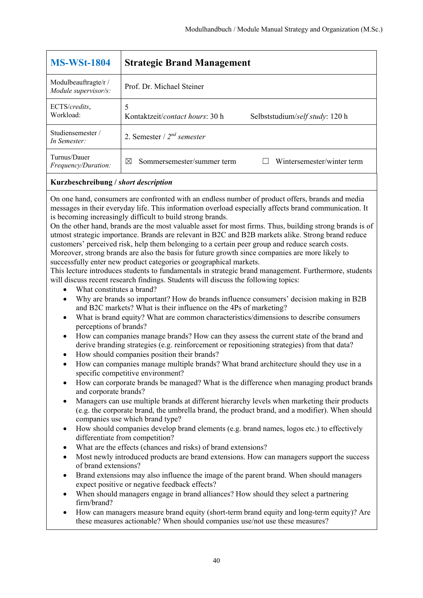| <b>MS-WSt-1804</b>                           | <b>Strategic Brand Management</b>                                                |
|----------------------------------------------|----------------------------------------------------------------------------------|
| Modulbeauftragte/r /<br>Module supervisor/s: | Prof. Dr. Michael Steiner                                                        |
| ECTS/credits,<br>Workload:                   | 5<br>Kontaktzeit/ <i>contact hours</i> : 30 h<br>Selbststudium/self study: 120 h |
| Studiensemester /<br>In Semester:            | 2. Semester / $2^{nd}$ semester                                                  |
| Turnus/Dauer<br><i>Frequency/Duration:</i>   | Wintersemester/winter term<br>Sommersemester/summer term<br>⊠                    |

On one hand, consumers are confronted with an endless number of product offers, brands and media messages in their everyday life. This information overload especially affects brand communication. It is becoming increasingly difficult to build strong brands.

On the other hand, brands are the most valuable asset for most firms. Thus, building strong brands is of utmost strategic importance. Brands are relevant in B2C and B2B markets alike. Strong brand reduce customers' perceived risk, help them belonging to a certain peer group and reduce search costs. Moreover, strong brands are also the basis for future growth since companies are more likely to successfully enter new product categories or geographical markets.

This lecture introduces students to fundamentals in strategic brand management. Furthermore, students will discuss recent research findings. Students will discuss the following topics:

- What constitutes a brand?
- Why are brands so important? How do brands influence consumers' decision making in B2B and B2C markets? What is their influence on the 4Ps of marketing?
- What is brand equity? What are common characteristics/dimensions to describe consumers perceptions of brands?
- How can companies manage brands? How can they assess the current state of the brand and derive branding strategies (e.g. reinforcement or repositioning strategies) from that data?
- How should companies position their brands?
- How can companies manage multiple brands? What brand architecture should they use in a specific competitive environment?
- How can corporate brands be managed? What is the difference when managing product brands and corporate brands?
- Managers can use multiple brands at different hierarchy levels when marketing their products (e.g. the corporate brand, the umbrella brand, the product brand, and a modifier). When should companies use which brand type?
- How should companies develop brand elements (e.g. brand names, logos etc.) to effectively differentiate from competition?
- What are the effects (chances and risks) of brand extensions?
- Most newly introduced products are brand extensions. How can managers support the success of brand extensions?
- Brand extensions may also influence the image of the parent brand. When should managers expect positive or negative feedback effects?
- When should managers engage in brand alliances? How should they select a partnering firm/brand?
- How can managers measure brand equity (short-term brand equity and long-term equity)? Are these measures actionable? When should companies use/not use these measures?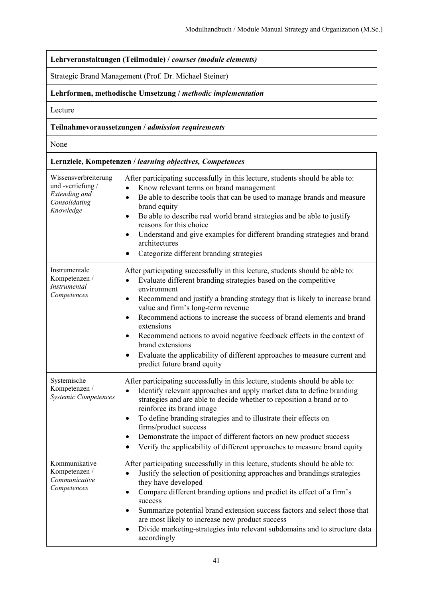| Lehrveranstaltungen (Teilmodule) / courses (module elements)                            |                                                                                                                                                                                                                                                                                                                                                                                                                                                                                                                                                                                                                             |  |
|-----------------------------------------------------------------------------------------|-----------------------------------------------------------------------------------------------------------------------------------------------------------------------------------------------------------------------------------------------------------------------------------------------------------------------------------------------------------------------------------------------------------------------------------------------------------------------------------------------------------------------------------------------------------------------------------------------------------------------------|--|
| Strategic Brand Management (Prof. Dr. Michael Steiner)                                  |                                                                                                                                                                                                                                                                                                                                                                                                                                                                                                                                                                                                                             |  |
|                                                                                         | Lehrformen, methodische Umsetzung / methodic implementation                                                                                                                                                                                                                                                                                                                                                                                                                                                                                                                                                                 |  |
| Lecture                                                                                 |                                                                                                                                                                                                                                                                                                                                                                                                                                                                                                                                                                                                                             |  |
|                                                                                         | Teilnahmevoraussetzungen / admission requirements                                                                                                                                                                                                                                                                                                                                                                                                                                                                                                                                                                           |  |
| None                                                                                    |                                                                                                                                                                                                                                                                                                                                                                                                                                                                                                                                                                                                                             |  |
|                                                                                         | Lernziele, Kompetenzen / learning objectives, Competences                                                                                                                                                                                                                                                                                                                                                                                                                                                                                                                                                                   |  |
| Wissensverbreiterung<br>und-vertiefung /<br>Extending and<br>Consolidating<br>Knowledge | After participating successfully in this lecture, students should be able to:<br>Know relevant terms on brand management<br>$\bullet$<br>Be able to describe tools that can be used to manage brands and measure<br>$\bullet$<br>brand equity<br>Be able to describe real world brand strategies and be able to justify<br>$\bullet$<br>reasons for this choice<br>Understand and give examples for different branding strategies and brand<br>$\bullet$<br>architectures<br>Categorize different branding strategies                                                                                                       |  |
| Instrumentale<br>Kompetenzen /<br>Instrumental<br>Competences                           | After participating successfully in this lecture, students should be able to:<br>Evaluate different branding strategies based on the competitive<br>$\bullet$<br>environment<br>Recommend and justify a branding strategy that is likely to increase brand<br>$\bullet$<br>value and firm's long-term revenue<br>Recommend actions to increase the success of brand elements and brand<br>$\bullet$<br>extensions<br>Recommend actions to avoid negative feedback effects in the context of<br>brand extensions<br>Evaluate the applicability of different approaches to measure current and<br>predict future brand equity |  |
| Systemische<br>Kompetenzen /<br>Systemic Competences                                    | After participating successfully in this lecture, students should be able to:<br>Identify relevant approaches and apply market data to define branding<br>strategies and are able to decide whether to reposition a brand or to<br>reinforce its brand image<br>To define branding strategies and to illustrate their effects on<br>$\bullet$<br>firms/product success<br>Demonstrate the impact of different factors on new product success<br>Verify the applicability of different approaches to measure brand equity                                                                                                    |  |
| Kommunikative<br>Kompetenzen /<br>Communicative<br>Competences                          | After participating successfully in this lecture, students should be able to:<br>Justify the selection of positioning approaches and brandings strategies<br>$\bullet$<br>they have developed<br>Compare different branding options and predict its effect of a firm's<br>$\bullet$<br>success<br>Summarize potential brand extension success factors and select those that<br>٠<br>are most likely to increase new product success<br>Divide marketing-strategies into relevant subdomains and to structure data<br>٠<br>accordingly                                                                                       |  |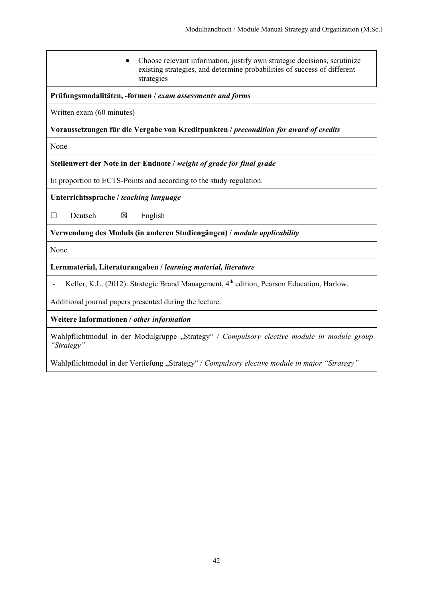| Choose relevant information, justify own strategic decisions, scrutinize<br>existing strategies, and determine probabilities of success of different<br>strategies |
|--------------------------------------------------------------------------------------------------------------------------------------------------------------------|
| Prüfungsmodalitäten, -formen / exam assessments and forms                                                                                                          |
| Written exam (60 minutes)                                                                                                                                          |
| Voraussetzungen für die Vergabe von Kreditpunkten / precondition for award of credits                                                                              |
| None                                                                                                                                                               |
| Stellenwert der Note in der Endnote / weight of grade for final grade                                                                                              |
| In proportion to ECTS-Points and according to the study regulation.                                                                                                |
| Unterrichtssprache / teaching language                                                                                                                             |
| Deutsch<br>English<br>$\Box$<br>X                                                                                                                                  |
| Verwendung des Moduls (in anderen Studiengängen) / module applicability                                                                                            |
| None                                                                                                                                                               |
| Lernmaterial, Literaturangaben / learning material, literature                                                                                                     |
| Keller, K.L. (2012): Strategic Brand Management, 4 <sup>th</sup> edition, Pearson Education, Harlow.                                                               |
| Additional journal papers presented during the lecture.                                                                                                            |
| Weitere Informationen / other information                                                                                                                          |
| Wahlpflichtmodul in der Modulgruppe "Strategy" / Compulsory elective module in module group<br>"Strategy"                                                          |
|                                                                                                                                                                    |

Wahlpflichtmodul in der Vertiefung "Strategy" / Compulsory elective module in major "Strategy"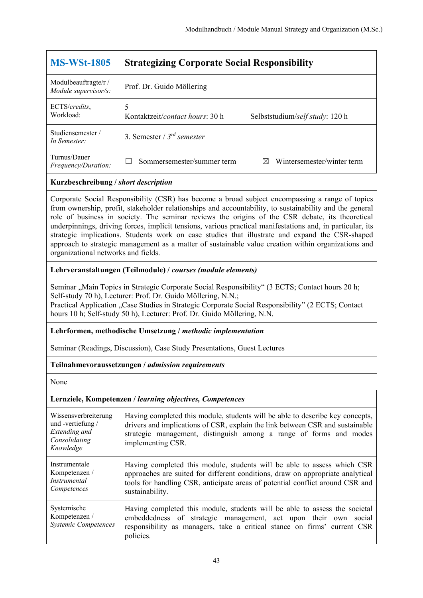| <b>MS-WSt-1805</b>                           | <b>Strategizing Corporate Social Responsibility</b>                     |
|----------------------------------------------|-------------------------------------------------------------------------|
| Modulbeauftragte/r /<br>Module supervisor/s: | Prof. Dr. Guido Möllering                                               |
| ECTS/credits,<br>Workload:                   | 5<br>Kontaktzeit/contact hours: 30 h<br>Selbststudium/self study: 120 h |
| Studiensemester/<br>In Semester:             | 3. Semester / $3^{rd}$ semester                                         |
| Turnus/Dauer<br><i>Frequency/Duration:</i>   | Sommersemester/summer term<br>Wintersemester/winter term<br>$\boxtimes$ |

Corporate Social Responsibility (CSR) has become a broad subject encompassing a range of topics from ownership, profit, stakeholder relationships and accountability, to sustainability and the general role of business in society. The seminar reviews the origins of the CSR debate, its theoretical underpinnings, driving forces, implicit tensions, various practical manifestations and, in particular, its strategic implications. Students work on case studies that illustrate and expand the CSR-shaped approach to strategic management as a matter of sustainable value creation within organizations and organizational networks and fields.

## **Lehrveranstaltungen (Teilmodule) /** *courses (module elements)*

Seminar "Main Topics in Strategic Corporate Social Responsibility" (3 ECTS; Contact hours 20 h; Self-study 70 h), Lecturer: Prof. Dr. Guido Möllering, N.N.;

Practical Application "Case Studies in Strategic Corporate Social Responsibility" (2 ECTS; Contact hours 10 h; Self-study 50 h), Lecturer: Prof. Dr. Guido Möllering, N.N.

## **Lehrformen, methodische Umsetzung /** *methodic implementation*

Seminar (Readings, Discussion), Case Study Presentations, Guest Lectures

## **Teilnahmevoraussetzungen /** *admission requirements*

None

| Wissensverbreiterung<br>und -vertiefung /<br>Extending and<br>Consolidating<br>Knowledge | Having completed this module, students will be able to describe key concepts,<br>drivers and implications of CSR, explain the link between CSR and sustainable<br>strategic management, distinguish among a range of forms and modes<br>implementing CSR.     |
|------------------------------------------------------------------------------------------|---------------------------------------------------------------------------------------------------------------------------------------------------------------------------------------------------------------------------------------------------------------|
| Instrumentale<br>Kompetenzen /<br><i>Instrumental</i><br>Competences                     | Having completed this module, students will be able to assess which CSR<br>approaches are suited for different conditions, draw on appropriate analytical<br>tools for handling CSR, anticipate areas of potential conflict around CSR and<br>sustainability. |
| Systemische<br>Kompetenzen /<br><b>Systemic Competences</b>                              | Having completed this module, students will be able to assess the societal<br>embeddedness of strategic management, act upon their own<br>social<br>responsibility as managers, take a critical stance on firms' current CSR<br>policies.                     |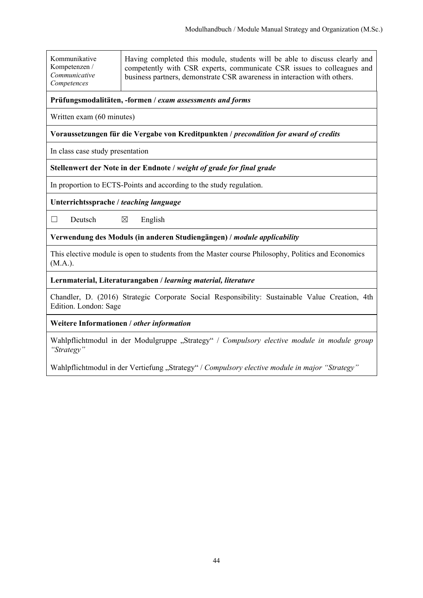| Kommunikative |  |
|---------------|--|
| Kompetenzen / |  |
| Communicative |  |
| Competences   |  |

Having completed this module, students will be able to discuss clearly and competently with CSR experts, communicate CSR issues to colleagues and business partners, demonstrate CSR awareness in interaction with others.

## **Prüfungsmodalitäten, -formen /** *exam assessments and forms*

Written exam (60 minutes)

**Voraussetzungen für die Vergabe von Kreditpunkten /** *precondition for award of credits*

In class case study presentation

## **Stellenwert der Note in der Endnote /** *weight of grade for final grade*

In proportion to ECTS-Points and according to the study regulation.

**Unterrichtssprache /** *teaching language* 

 $\Box$  Deutsch  $\boxtimes$  English

**Verwendung des Moduls (in anderen Studiengängen) /** *module applicability* 

This elective module is open to students from the Master course Philosophy, Politics and Economics (M.A.).

#### **Lernmaterial, Literaturangaben /** *learning material, literature*

Chandler, D. (2016) Strategic Corporate Social Responsibility: Sustainable Value Creation, 4th Edition. London: Sage

## **Weitere Informationen /** *other information*

Wahlpflichtmodul in der Modulgruppe "Strategy" / Compulsory elective module in module group *"Strategy"* 

Wahlpflichtmodul in der Vertiefung "Strategy" / Compulsory elective module in major "Strategy"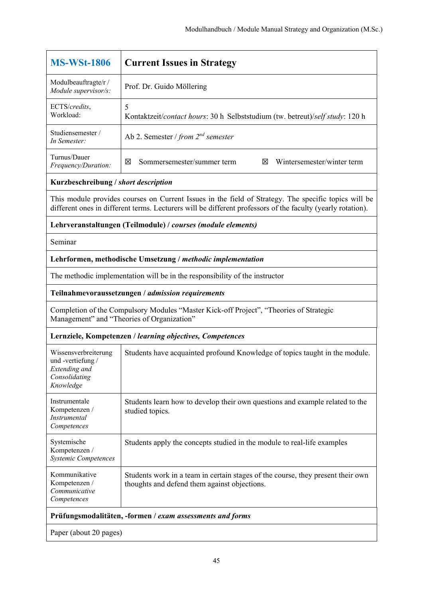| <b>MS-WSt-1806</b>                                                                                                                   | <b>Current Issues in Strategy</b>                                                                                                                                                                                   |  |
|--------------------------------------------------------------------------------------------------------------------------------------|---------------------------------------------------------------------------------------------------------------------------------------------------------------------------------------------------------------------|--|
| Modulbeauftragte/r /<br>Module supervisor/s:                                                                                         | Prof. Dr. Guido Möllering                                                                                                                                                                                           |  |
| ECTS/credits,<br>Workload:                                                                                                           | 5<br>Kontaktzeit/contact hours: 30 h Selbststudium (tw. betreut)/self study: 120 h                                                                                                                                  |  |
| Studiensemester /<br>In Semester:                                                                                                    | Ab 2. Semester / from $2^{nd}$ semester                                                                                                                                                                             |  |
| Turnus/Dauer<br>Frequency/Duration:                                                                                                  | Sommersemester/summer term<br>Wintersemester/winter term<br>図<br>⊠                                                                                                                                                  |  |
| Kurzbeschreibung / short description                                                                                                 |                                                                                                                                                                                                                     |  |
|                                                                                                                                      | This module provides courses on Current Issues in the field of Strategy. The specific topics will be<br>different ones in different terms. Lecturers will be different professors of the faculty (yearly rotation). |  |
|                                                                                                                                      | Lehrveranstaltungen (Teilmodule) / courses (module elements)                                                                                                                                                        |  |
| Seminar                                                                                                                              |                                                                                                                                                                                                                     |  |
| Lehrformen, methodische Umsetzung / methodic implementation                                                                          |                                                                                                                                                                                                                     |  |
| The methodic implementation will be in the responsibility of the instructor                                                          |                                                                                                                                                                                                                     |  |
| Teilnahmevoraussetzungen / admission requirements                                                                                    |                                                                                                                                                                                                                     |  |
| Completion of the Compulsory Modules "Master Kick-off Project", "Theories of Strategic<br>Management" and "Theories of Organization" |                                                                                                                                                                                                                     |  |
| Lernziele, Kompetenzen / learning objectives, Competences                                                                            |                                                                                                                                                                                                                     |  |
| Wissensverbreiterung<br>und -vertiefung /<br>Extending and<br>Consolidating<br>Knowledge                                             | Students have acquainted profound Knowledge of topics taught in the module.                                                                                                                                         |  |
| Instrumentale<br>Kompetenzen /<br>Instrumental<br>Competences                                                                        | Students learn how to develop their own questions and example related to the<br>studied topics.                                                                                                                     |  |
| Systemische<br>Kompetenzen /                                                                                                         | Students apply the concepts studied in the module to real-life examples                                                                                                                                             |  |

*Systemic Competences* Kommunikative Kompetenzen / *Communicative Competences* Students work in a team in certain stages of the course, they present their own thoughts and defend them against objections.

# **Prüfungsmodalitäten, -formen /** *exam assessments and forms*

Paper (about 20 pages)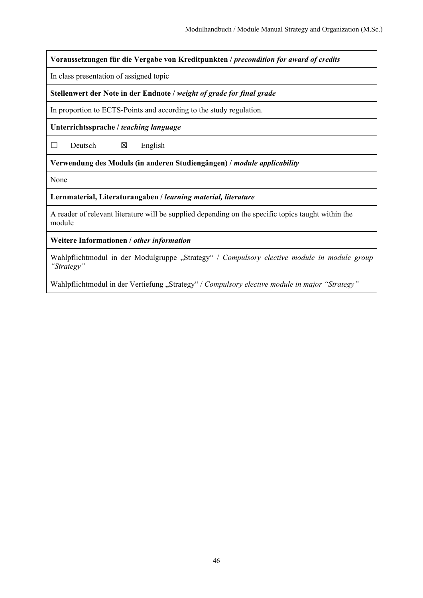**Voraussetzungen für die Vergabe von Kreditpunkten /** *precondition for award of credits*

In class presentation of assigned topic

**Stellenwert der Note in der Endnote /** *weight of grade for final grade*

In proportion to ECTS-Points and according to the study regulation.

**Unterrichtssprache /** *teaching language*

 $\Box$  Deutsch  $\boxtimes$  English

**Verwendung des Moduls (in anderen Studiengängen) /** *module applicability* 

None

**Lernmaterial, Literaturangaben /** *learning material, literature*

A reader of relevant literature will be supplied depending on the specific topics taught within the module

**Weitere Informationen /** *other information*

Wahlpflichtmodul in der Modulgruppe "Strategy" / Compulsory elective module in module group *"Strategy"* 

Wahlpflichtmodul in der Vertiefung "Strategy" / Compulsory elective module in major "Strategy"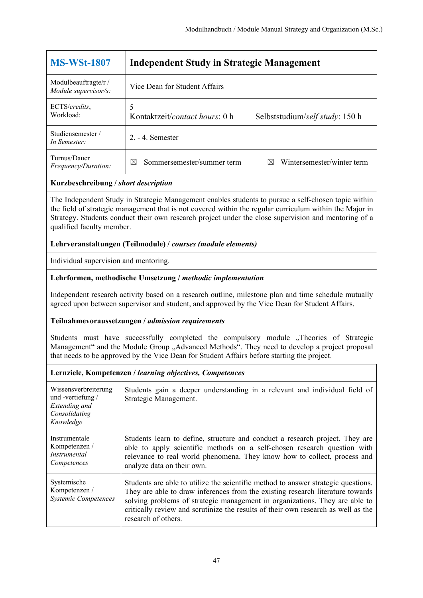| <b>MS-WSt-1807</b>                           | <b>Independent Study in Strategic Management</b>                             |
|----------------------------------------------|------------------------------------------------------------------------------|
| Modulbeauftragte/r /<br>Module supervisor/s: | Vice Dean for Student Affairs                                                |
| ECTS/credits,<br>Workload:                   | Kontaktzeit/ <i>contact hours</i> : 0 h<br>Selbststudium/self study: 150 h   |
| Studiensemester/<br>In Semester:             | $2. - 4.$ Semester                                                           |
| Turnus/Dauer<br><i>Frequency/Duration:</i>   | Wintersemester/winter term<br>Sommersemester/summer term<br>$\boxtimes$<br>M |

The Independent Study in Strategic Management enables students to pursue a self-chosen topic within the field of strategic management that is not covered within the regular curriculum within the Major in Strategy. Students conduct their own research project under the close supervision and mentoring of a qualified faculty member.

## **Lehrveranstaltungen (Teilmodule) /** *courses (module elements)*

Individual supervision and mentoring.

## **Lehrformen, methodische Umsetzung /** *methodic implementation*

Independent research activity based on a research outline, milestone plan and time schedule mutually agreed upon between supervisor and student, and approved by the Vice Dean for Student Affairs.

#### **Teilnahmevoraussetzungen /** *admission requirements*

Students must have successfully completed the compulsory module , Theories of Strategic Management" and the Module Group "Advanced Methods". They need to develop a project proposal that needs to be approved by the Vice Dean for Student Affairs before starting the project.

| Wissensverbreiterung<br>und-vertiefung/<br>Extending and<br>Consolidating<br>Knowledge | Students gain a deeper understanding in a relevant and individual field of<br>Strategic Management.                                                                                                                                                                                                                                                            |
|----------------------------------------------------------------------------------------|----------------------------------------------------------------------------------------------------------------------------------------------------------------------------------------------------------------------------------------------------------------------------------------------------------------------------------------------------------------|
| Instrumentale<br>Kompetenzen /<br>Instrumental<br>Competences                          | Students learn to define, structure and conduct a research project. They are<br>able to apply scientific methods on a self-chosen research question with<br>relevance to real world phenomena. They know how to collect, process and<br>analyze data on their own.                                                                                             |
| Systemische<br>Kompetenzen /<br><b>Systemic Competences</b>                            | Students are able to utilize the scientific method to answer strategic questions.<br>They are able to draw inferences from the existing research literature towards<br>solving problems of strategic management in organizations. They are able to<br>critically review and scrutinize the results of their own research as well as the<br>research of others. |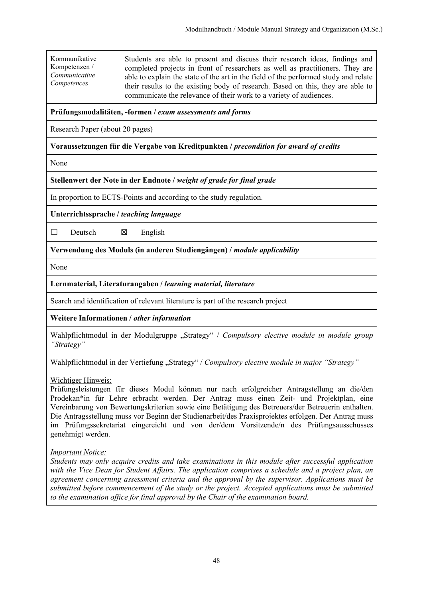Kommunikative Kompetenzen / *Communicative Competences*

Students are able to present and discuss their research ideas, findings and completed projects in front of researchers as well as practitioners. They are able to explain the state of the art in the field of the performed study and relate their results to the existing body of research. Based on this, they are able to communicate the relevance of their work to a variety of audiences.

## **Prüfungsmodalitäten, -formen /** *exam assessments and forms*

Research Paper (about 20 pages)

## **Voraussetzungen für die Vergabe von Kreditpunkten /** *precondition for award of credits*

None

## **Stellenwert der Note in der Endnote /** *weight of grade for final grade*

In proportion to ECTS-Points and according to the study regulation.

**Unterrichtssprache /** *teaching language*

 $\Box$  Deutsch  $\boxtimes$  English

**Verwendung des Moduls (in anderen Studiengängen) /** *module applicability* 

None

## **Lernmaterial, Literaturangaben /** *learning material, literature*

Search and identification of relevant literature is part of the research project

**Weitere Informationen /** *other information*

Wahlpflichtmodul in der Modulgruppe "Strategy" / Compulsory elective module in module group *"Strategy"* 

Wahlpflichtmodul in der Vertiefung "Strategy" / *Compulsory elective module in major "Strategy"* 

## Wichtiger Hinweis:

Prüfungsleistungen für dieses Modul können nur nach erfolgreicher Antragstellung an die/den Prodekan\*in für Lehre erbracht werden. Der Antrag muss einen Zeit- und Projektplan, eine Vereinbarung von Bewertungskriterien sowie eine Betätigung des Betreuers/der Betreuerin enthalten. Die Antragsstellung muss vor Beginn der Studienarbeit/des Praxisprojektes erfolgen. Der Antrag muss im Prüfungssekretariat eingereicht und von der/dem Vorsitzende/n des Prüfungsausschusses genehmigt werden.

## *Important Notice:*

*Students may only acquire credits and take examinations in this module after successful application with the Vice Dean for Student Affairs. The application comprises a schedule and a project plan, an agreement concerning assessment criteria and the approval by the supervisor. Applications must be submitted before commencement of the study or the project. Accepted applications must be submitted to the examination office for final approval by the Chair of the examination board.*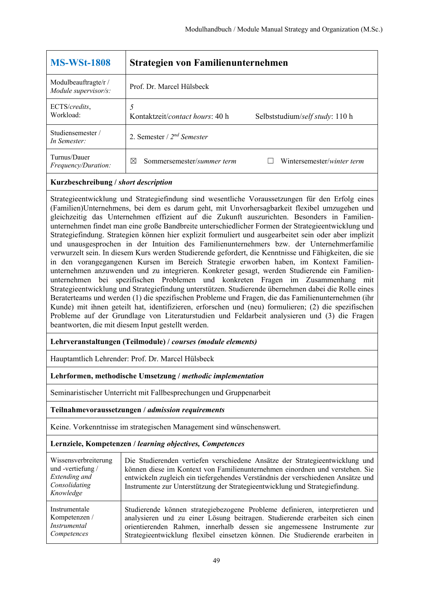| <b>MS-WSt-1808</b>                           | Strategien von Familienunternehmen                                          |
|----------------------------------------------|-----------------------------------------------------------------------------|
| Modulbeauftragte/r /<br>Module supervisor/s: | Prof. Dr. Marcel Hülsbeck                                                   |
| ECTS/credits,<br>Workload:                   | Kontaktzeit/ <i>contact hours</i> : 40 h<br>Selbststudium/self study: 110 h |
| Studiensemester/<br>In Semester:             | 2. Semester / $2^{nd}$ Semester                                             |
| Turnus/Dauer<br><i>Frequency/Duration:</i>   | Sommersemester/summer term<br>Wintersemester/winter term<br>⊠               |

Strategieentwicklung und Strategiefindung sind wesentliche Voraussetzungen für den Erfolg eines (Familien)Unternehmens, bei dem es darum geht, mit Unvorhersagbarkeit flexibel umzugehen und gleichzeitig das Unternehmen effizient auf die Zukunft auszurichten. Besonders in Familienunternehmen findet man eine große Bandbreite unterschiedlicher Formen der Strategieentwicklung und Strategiefindung. Strategien können hier explizit formuliert und ausgearbeitet sein oder aber implizit und unausgesprochen in der Intuition des Familienunternehmers bzw. der Unternehmerfamilie verwurzelt sein. In diesem Kurs werden Studierende gefordert, die Kenntnisse und Fähigkeiten, die sie in den vorangegangenen Kursen im Bereich Strategie erworben haben, im Kontext Familienunternehmen anzuwenden und zu integrieren. Konkreter gesagt, werden Studierende ein Familienunternehmen bei spezifischen Problemen und konkreten Fragen im Zusammenhang mit Strategieentwicklung und Strategiefindung unterstützen. Studierende übernehmen dabei die Rolle eines Beraterteams und werden (1) die spezifischen Probleme und Fragen, die das Familienunternehmen (ihr Kunde) mit ihnen geteilt hat, identifizieren, erforschen und (neu) formulieren; (2) die spezifischen Probleme auf der Grundlage von Literaturstudien und Feldarbeit analysieren und (3) die Fragen beantworten, die mit diesem Input gestellt werden.

## **Lehrveranstaltungen (Teilmodule) /** *courses (module elements)*

Hauptamtlich Lehrender: Prof. Dr. Marcel Hülsbeck

#### **Lehrformen, methodische Umsetzung /** *methodic implementation*

Seminaristischer Unterricht mit Fallbesprechungen und Gruppenarbeit

#### **Teilnahmevoraussetzungen /** *admission requirements*

Keine. Vorkenntnisse im strategischen Management sind wünschenswert.

| Wissensverbreiterung<br>und -vertiefung /<br>Extending and<br>Consolidating<br>Knowledge | Die Studierenden vertiefen verschiedene Ansätze der Strategieentwicklung und<br>können diese im Kontext von Familienunternehmen einordnen und verstehen. Sie<br>entwickeln zugleich ein tiefergehendes Verständnis der verschiedenen Ansätze und<br>Instrumente zur Unterstützung der Strategieentwicklung und Strategiefindung. |
|------------------------------------------------------------------------------------------|----------------------------------------------------------------------------------------------------------------------------------------------------------------------------------------------------------------------------------------------------------------------------------------------------------------------------------|
| Instrumentale                                                                            | Studierende können strategiebezogene Probleme definieren, interpretieren und                                                                                                                                                                                                                                                     |
| Kompetenzen /                                                                            | analysieren und zu einer Lösung beitragen. Studierende erarbeiten sich einen                                                                                                                                                                                                                                                     |
| Instrumental                                                                             | orientierenden Rahmen, innerhalb dessen sie angemessene Instrumente zur                                                                                                                                                                                                                                                          |
| Competences                                                                              | Strategieentwicklung flexibel einsetzen können. Die Studierende erarbeiten in                                                                                                                                                                                                                                                    |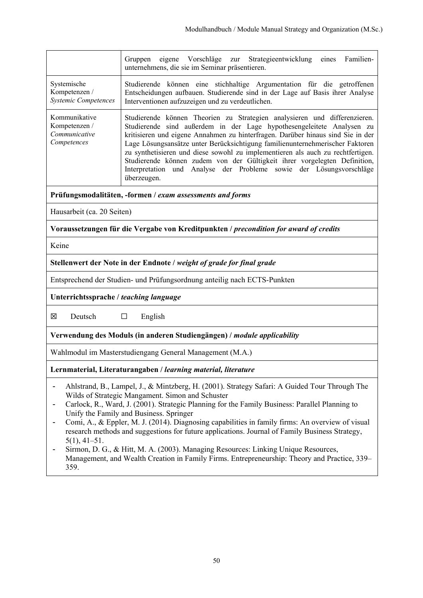|                                                                                                                                                                                                                                                                                                                                                                                                                                                                                                                                                                                                                                                                                                                      | eigene Vorschläge<br>Strategieentwicklung eines Familien-<br>Gruppen<br>zur<br>unternehmens, die sie im Seminar präsentieren.                                                                                                                                                                                                                                                                                                                                                                                                                                                |  |  |
|----------------------------------------------------------------------------------------------------------------------------------------------------------------------------------------------------------------------------------------------------------------------------------------------------------------------------------------------------------------------------------------------------------------------------------------------------------------------------------------------------------------------------------------------------------------------------------------------------------------------------------------------------------------------------------------------------------------------|------------------------------------------------------------------------------------------------------------------------------------------------------------------------------------------------------------------------------------------------------------------------------------------------------------------------------------------------------------------------------------------------------------------------------------------------------------------------------------------------------------------------------------------------------------------------------|--|--|
| Systemische<br>Kompetenzen /<br><b>Systemic Competences</b>                                                                                                                                                                                                                                                                                                                                                                                                                                                                                                                                                                                                                                                          | Studierende können eine stichhaltige Argumentation für die getroffenen<br>Entscheidungen aufbauen. Studierende sind in der Lage auf Basis ihrer Analyse<br>Interventionen aufzuzeigen und zu verdeutlichen.                                                                                                                                                                                                                                                                                                                                                                  |  |  |
| Kommunikative<br>Kompetenzen /<br>Communicative<br>Competences                                                                                                                                                                                                                                                                                                                                                                                                                                                                                                                                                                                                                                                       | Studierende können Theorien zu Strategien analysieren und differenzieren.<br>Studierende sind außerdem in der Lage hypothesengeleitete Analysen zu<br>kritisieren und eigene Annahmen zu hinterfragen. Darüber hinaus sind Sie in der<br>Lage Lösungsansätze unter Berücksichtigung familienunternehmerischer Faktoren<br>zu synthetisieren und diese sowohl zu implementieren als auch zu rechtfertigen.<br>Studierende können zudem von der Gültigkeit ihrer vorgelegten Definition,<br>Interpretation und Analyse der Probleme sowie der Lösungsvorschläge<br>überzeugen. |  |  |
|                                                                                                                                                                                                                                                                                                                                                                                                                                                                                                                                                                                                                                                                                                                      | Prüfungsmodalitäten, -formen / exam assessments and forms                                                                                                                                                                                                                                                                                                                                                                                                                                                                                                                    |  |  |
| Hausarbeit (ca. 20 Seiten)                                                                                                                                                                                                                                                                                                                                                                                                                                                                                                                                                                                                                                                                                           |                                                                                                                                                                                                                                                                                                                                                                                                                                                                                                                                                                              |  |  |
|                                                                                                                                                                                                                                                                                                                                                                                                                                                                                                                                                                                                                                                                                                                      | Voraussetzungen für die Vergabe von Kreditpunkten / precondition for award of credits                                                                                                                                                                                                                                                                                                                                                                                                                                                                                        |  |  |
| Keine                                                                                                                                                                                                                                                                                                                                                                                                                                                                                                                                                                                                                                                                                                                |                                                                                                                                                                                                                                                                                                                                                                                                                                                                                                                                                                              |  |  |
|                                                                                                                                                                                                                                                                                                                                                                                                                                                                                                                                                                                                                                                                                                                      | Stellenwert der Note in der Endnote / weight of grade for final grade                                                                                                                                                                                                                                                                                                                                                                                                                                                                                                        |  |  |
| Entsprechend der Studien- und Prüfungsordnung anteilig nach ECTS-Punkten                                                                                                                                                                                                                                                                                                                                                                                                                                                                                                                                                                                                                                             |                                                                                                                                                                                                                                                                                                                                                                                                                                                                                                                                                                              |  |  |
| Unterrichtssprache / teaching language                                                                                                                                                                                                                                                                                                                                                                                                                                                                                                                                                                                                                                                                               |                                                                                                                                                                                                                                                                                                                                                                                                                                                                                                                                                                              |  |  |
| X<br>Deutsch                                                                                                                                                                                                                                                                                                                                                                                                                                                                                                                                                                                                                                                                                                         | $\Box$<br>English                                                                                                                                                                                                                                                                                                                                                                                                                                                                                                                                                            |  |  |
|                                                                                                                                                                                                                                                                                                                                                                                                                                                                                                                                                                                                                                                                                                                      | Verwendung des Moduls (in anderen Studiengängen) / module applicability                                                                                                                                                                                                                                                                                                                                                                                                                                                                                                      |  |  |
|                                                                                                                                                                                                                                                                                                                                                                                                                                                                                                                                                                                                                                                                                                                      | Wahlmodul im Masterstudiengang General Management (M.A.)                                                                                                                                                                                                                                                                                                                                                                                                                                                                                                                     |  |  |
|                                                                                                                                                                                                                                                                                                                                                                                                                                                                                                                                                                                                                                                                                                                      | Lernmaterial, Literaturangaben / learning material, literature                                                                                                                                                                                                                                                                                                                                                                                                                                                                                                               |  |  |
| Ahlstrand, B., Lampel, J., & Mintzberg, H. (2001). Strategy Safari: A Guided Tour Through The<br>Wilds of Strategic Mangament. Simon and Schuster<br>Carlock, R., Ward, J. (2001). Strategic Planning for the Family Business: Parallel Planning to<br>Unify the Family and Business. Springer<br>Comi, A., & Eppler, M. J. (2014). Diagnosing capabilities in family firms: An overview of visual<br>research methods and suggestions for future applications. Journal of Family Business Strategy,<br>$5(1), 41-51.$<br>Sirmon, D. G., & Hitt, M. A. (2003). Managing Resources: Linking Unique Resources,<br>Management, and Wealth Creation in Family Firms. Entrepreneurship: Theory and Practice, 339–<br>359. |                                                                                                                                                                                                                                                                                                                                                                                                                                                                                                                                                                              |  |  |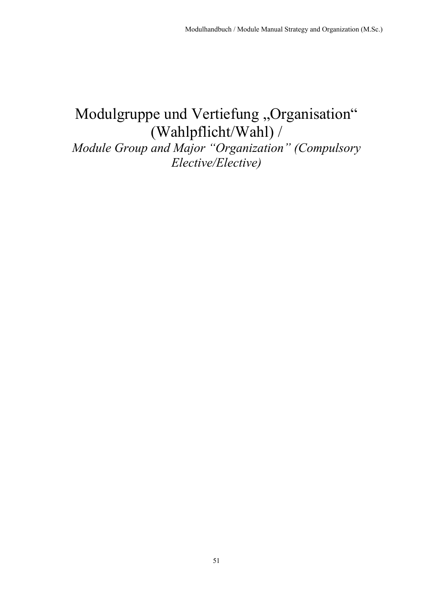# Modulgruppe und Vertiefung "Organisation" (Wahlpflicht/Wahl) /

*Module Group and Major "Organization" (Compulsory Elective/Elective)*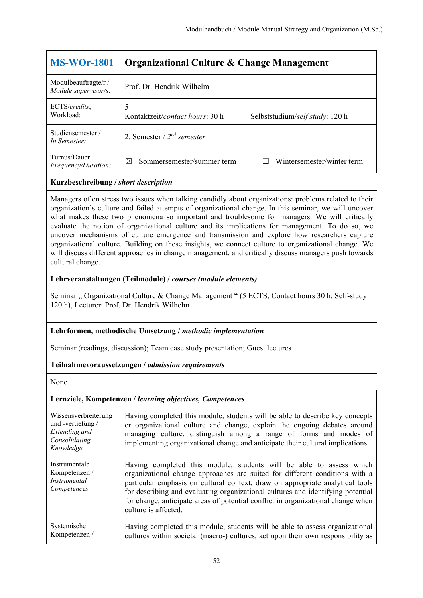| <b>MS-WOr-1801</b>                           | Organizational Culture & Change Management                              |
|----------------------------------------------|-------------------------------------------------------------------------|
| Modulbeauftragte/r /<br>Module supervisor/s: | Prof. Dr. Hendrik Wilhelm                                               |
| ECTS/credits,<br>Workload:                   | Kontaktzeit/contact hours: 30 h<br>Selbststudium/self study: 120 h      |
| Studiensemester /<br>In Semester:            | 2. Semester / $2^{nd}$ semester                                         |
| Turnus/Dauer<br><i>Frequency/Duration:</i>   | Wintersemester/winter term<br>Sommersemester/summer term<br>$\boxtimes$ |

Managers often stress two issues when talking candidly about organizations: problems related to their organization's culture and failed attempts of organizational change. In this seminar, we will uncover what makes these two phenomena so important and troublesome for managers. We will critically evaluate the notion of organizational culture and its implications for management. To do so, we uncover mechanisms of culture emergence and transmission and explore how researchers capture organizational culture. Building on these insights, we connect culture to organizational change. We will discuss different approaches in change management, and critically discuss managers push towards cultural change.

#### **Lehrveranstaltungen (Teilmodule) /** *courses (module elements)*

Seminar " Organizational Culture & Change Management " (5 ECTS; Contact hours 30 h; Self-study 120 h), Lecturer: Prof. Dr. Hendrik Wilhelm

## **Lehrformen, methodische Umsetzung /** *methodic implementation*

Seminar (readings, discussion); Team case study presentation; Guest lectures

## **Teilnahmevoraussetzungen /** *admission requirements*

None

| Wissensverbreiterung<br>und-vertiefung/<br>Extending and<br>Consolidating<br>Knowledge | Having completed this module, students will be able to describe key concepts<br>or organizational culture and change, explain the ongoing debates around<br>managing culture, distinguish among a range of forms and modes of<br>implementing organizational change and anticipate their cultural implications.                                                                                                                    |
|----------------------------------------------------------------------------------------|------------------------------------------------------------------------------------------------------------------------------------------------------------------------------------------------------------------------------------------------------------------------------------------------------------------------------------------------------------------------------------------------------------------------------------|
| Instrumentale<br>Kompetenzen /<br><i>Instrumental</i><br>Competences                   | Having completed this module, students will be able to assess which<br>organizational change approaches are suited for different conditions with a<br>particular emphasis on cultural context, draw on appropriate analytical tools<br>for describing and evaluating organizational cultures and identifying potential<br>for change, anticipate areas of potential conflict in organizational change when<br>culture is affected. |
| Systemische<br>Kompetenzen /                                                           | Having completed this module, students will be able to assess organizational<br>cultures within societal (macro-) cultures, act upon their own responsibility as                                                                                                                                                                                                                                                                   |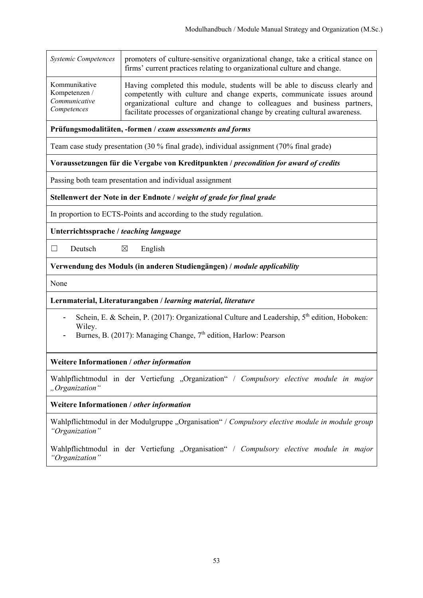| <b>Systemic Competences</b> | promoters of culture-sensitive organizational change, take a critical stance on<br>firms' current practices relating to organizational culture and change. |
|-----------------------------|------------------------------------------------------------------------------------------------------------------------------------------------------------|
| Kommunikative               | Having completed this module, students will be able to discuss clearly and                                                                                 |
| Kompetenzen /               | competently with culture and change experts, communicate issues around                                                                                     |
| Communicative               | organizational culture and change to colleagues and business partners,                                                                                     |
| Competences                 | facilitate processes of organizational change by creating cultural awareness.                                                                              |

**Prüfungsmodalitäten, -formen /** *exam assessments and forms*

Team case study presentation (30 % final grade), individual assignment (70% final grade)

**Voraussetzungen für die Vergabe von Kreditpunkten /** *precondition for award of credits*

Passing both team presentation and individual assignment

**Stellenwert der Note in der Endnote /** *weight of grade for final grade*

In proportion to ECTS-Points and according to the study regulation.

**Unterrichtssprache /** *teaching language*

 $\Box$  Deutsch  $\boxtimes$  English

**Verwendung des Moduls (in anderen Studiengängen) /** *module applicability* 

None

#### **Lernmaterial, Literaturangaben /** *learning material, literature*

- Schein, E. & Schein, P. (2017): Organizational Culture and Leadership,  $5<sup>th</sup>$  edition, Hoboken: Wiley.
- Burnes, B. (2017): Managing Change, 7<sup>th</sup> edition, Harlow: Pearson

## **Weitere Informationen /** *other information*

Wahlpflichtmodul in der Vertiefung "Organization" / Compulsory elective module in major *"Organization"* 

**Weitere Informationen /** *other information*

Wahlpflichtmodul in der Modulgruppe "Organisation" / Compulsory elective module in module group *"Organization"* 

Wahlpflichtmodul in der Vertiefung "Organisation" / Compulsory elective module in major *"Organization"*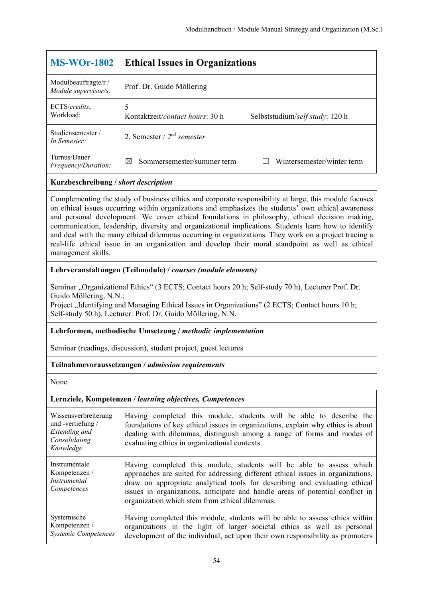| <b>MS-WOr-1802</b>                                                                                                                                                                                                                                                                                             | <b>Ethical Issues in Organizations</b>                                           |
|----------------------------------------------------------------------------------------------------------------------------------------------------------------------------------------------------------------------------------------------------------------------------------------------------------------|----------------------------------------------------------------------------------|
| Modulbeauftragte/r /<br>Module supervisor/s:                                                                                                                                                                                                                                                                   | Prof. Dr. Guido Möllering                                                        |
| ECTS/credits,<br>Workload:                                                                                                                                                                                                                                                                                     | 5<br>Kontaktzeit/ <i>contact hours</i> : 30 h<br>Selbststudium/self study: 120 h |
| Studiensemester /<br>In Semester:                                                                                                                                                                                                                                                                              | 2. Semester / $2^{nd}$ semester                                                  |
| Turnus/Dauer<br>Frequency/Duration:                                                                                                                                                                                                                                                                            | Wintersemester/winter term<br>Sommersemester/summer term<br>$\boxtimes$          |
| Kurzbeschreibung / short description                                                                                                                                                                                                                                                                           |                                                                                  |
| Complementing the study of business ethics and corporate responsibility at large, this module focuses<br>on ethical issues occurring within organizations and emphasizes the students' own ethical awareness<br>ond negative development. We care othical foundations in philosophy, sthingly decision molting |                                                                                  |

and personal development. We cover ethical foundations in philosophy, ethical decision making, communication, leadership, diversity and organizational implications. Students learn how to identify and deal with the many ethical dilemmas occurring in organizations. They work on a project tracing a real-life ethical issue in an organization and develop their moral standpoint as well as ethical management skills.

## **Lehrveranstaltungen (Teilmodule) /** *courses (module elements)*

Seminar "Organizational Ethics" (3 ECTS; Contact hours 20 h; Self-study 70 h), Lecturer Prof. Dr. Guido Möllering, N.N.;

Project , Identifying and Managing Ethical Issues in Organizations" (2 ECTS; Contact hours 10 h; Self-study 50 h), Lecturer: Prof. Dr. Guido Möllering, N.N.

## **Lehrformen, methodische Umsetzung /** *methodic implementation*

Seminar (readings, discussion), student project, guest lectures

## **Teilnahmevoraussetzungen /** *admission requirements*

None

| Wissensverbreiterung<br>und -vertiefung /<br>Extending and<br>Consolidating<br>Knowledge | Having completed this module, students will be able to describe the<br>foundations of key ethical issues in organizations, explain why ethics is about<br>dealing with dilemmas, distinguish among a range of forms and modes of<br>evaluating ethics in organizational contexts.                                                                                       |
|------------------------------------------------------------------------------------------|-------------------------------------------------------------------------------------------------------------------------------------------------------------------------------------------------------------------------------------------------------------------------------------------------------------------------------------------------------------------------|
| Instrumentale<br>Kompetenzen /<br><i>Instrumental</i><br>Competences                     | Having completed this module, students will be able to assess which<br>approaches are suited for addressing different ethical issues in organizations,<br>draw on appropriate analytical tools for describing and evaluating ethical<br>issues in organizations, anticipate and handle areas of potential conflict in<br>organization which stem from ethical dilemmas. |
| Systemische<br>Kompetenzen /<br><b>Systemic Competences</b>                              | Having completed this module, students will be able to assess ethics within<br>organizations in the light of larger societal ethics as well as personal<br>development of the individual, act upon their own responsibility as promoters                                                                                                                                |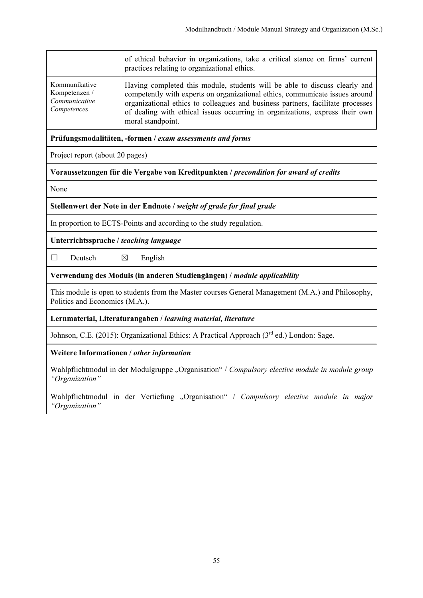|                                                                | of ethical behavior in organizations, take a critical stance on firms' current<br>practices relating to organizational ethics.                                                                                                                                                                                                                     |
|----------------------------------------------------------------|----------------------------------------------------------------------------------------------------------------------------------------------------------------------------------------------------------------------------------------------------------------------------------------------------------------------------------------------------|
| Kommunikative<br>Kompetenzen /<br>Communicative<br>Competences | Having completed this module, students will be able to discuss clearly and<br>competently with experts on organizational ethics, communicate issues around<br>organizational ethics to colleagues and business partners, facilitate processes<br>of dealing with ethical issues occurring in organizations, express their own<br>moral standpoint. |

**Prüfungsmodalitäten, -formen /** *exam assessments and forms*

Project report (about 20 pages)

**Voraussetzungen für die Vergabe von Kreditpunkten /** *precondition for award of credits*

None

**Stellenwert der Note in der Endnote /** *weight of grade for final grade*

In proportion to ECTS-Points and according to the study regulation.

**Unterrichtssprache /** *teaching language*

 $\Box$  Deutsch  $\boxtimes$  English

**Verwendung des Moduls (in anderen Studiengängen) /** *module applicability* 

This module is open to students from the Master courses General Management (M.A.) and Philosophy, Politics and Economics (M.A.).

**Lernmaterial, Literaturangaben /** *learning material, literature*

Johnson, C.E. (2015): Organizational Ethics: A Practical Approach (3<sup>rd</sup> ed.) London: Sage.

**Weitere Informationen /** *other information*

Wahlpflichtmodul in der Modulgruppe "Organisation" / Compulsory elective module in module group *"Organization"* 

Wahlpflichtmodul in der Vertiefung "Organisation" / Compulsory elective module in major *"Organization"*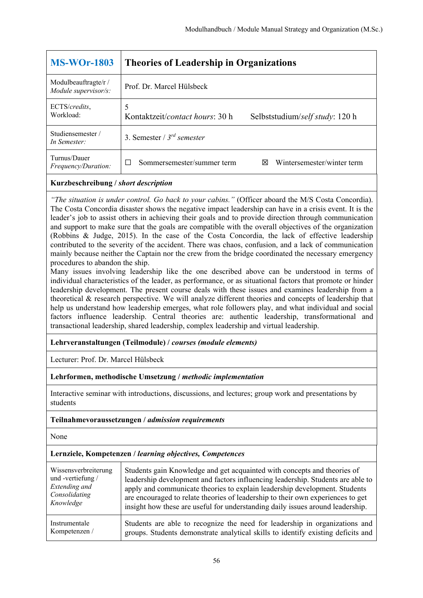| <b>MS-WOr-1803</b>                          | <b>Theories of Leadership in Organizations</b>                     |
|---------------------------------------------|--------------------------------------------------------------------|
| Modulbeauftragte/r/<br>Module supervisor/s: | Prof. Dr. Marcel Hülsbeck                                          |
| ECTS/credits,<br>Workload:                  | Kontaktzeit/contact hours: 30 h<br>Selbststudium/self study: 120 h |
| Studiensemester /<br>In Semester:           | 3. Semester / $3^{rd}$ semester                                    |
| Turnus/Dauer<br><i>Frequency/Duration:</i>  | Wintersemester/winter term<br>Sommersemester/summer term<br>⋈      |

*"The situation is under control. Go back to your cabins."* (Officer aboard the M/S Costa Concordia). The Costa Concordia disaster shows the negative impact leadership can have in a crisis event. It is the leader's job to assist others in achieving their goals and to provide direction through communication and support to make sure that the goals are compatible with the overall objectives of the organization (Robbins & Judge, 2015). In the case of the Costa Concordia, the lack of effective leadership contributed to the severity of the accident. There was chaos, confusion, and a lack of communication mainly because neither the Captain nor the crew from the bridge coordinated the necessary emergency procedures to abandon the ship.

Many issues involving leadership like the one described above can be understood in terms of individual characteristics of the leader, as performance, or as situational factors that promote or hinder leadership development. The present course deals with these issues and examines leadership from a theoretical & research perspective. We will analyze different theories and concepts of leadership that help us understand how leadership emerges, what role followers play, and what individual and social factors influence leadership. Central theories are: authentic leadership, transformational and transactional leadership, shared leadership, complex leadership and virtual leadership.

## **Lehrveranstaltungen (Teilmodule) /** *courses (module elements)*

Lecturer: Prof. Dr. Marcel Hülsbeck

#### **Lehrformen, methodische Umsetzung /** *methodic implementation*

Interactive seminar with introductions, discussions, and lectures; group work and presentations by students

#### **Teilnahmevoraussetzungen /** *admission requirements*

None

| Wissensverbreiterung | Students gain Knowledge and get acquainted with concepts and theories of         |
|----------------------|----------------------------------------------------------------------------------|
| und -vertiefung /    | leadership development and factors influencing leadership. Students are able to  |
| Extending and        | apply and communicate theories to explain leadership development. Students       |
| Consolidating        | are encouraged to relate theories of leadership to their own experiences to get  |
| Knowledge            | insight how these are useful for understanding daily issues around leadership.   |
| Instrumentale        | Students are able to recognize the need for leadership in organizations and      |
| Kompetenzen /        | groups. Students demonstrate analytical skills to identify existing deficits and |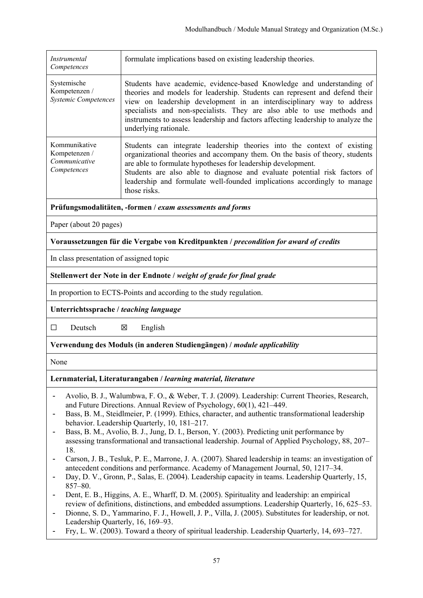| Instrumental<br>Competences                                             | formulate implications based on existing leadership theories.                                                                                                                                                                                                                                                                                                                                                        |  |
|-------------------------------------------------------------------------|----------------------------------------------------------------------------------------------------------------------------------------------------------------------------------------------------------------------------------------------------------------------------------------------------------------------------------------------------------------------------------------------------------------------|--|
| Systemische<br>Kompetenzen /<br><b>Systemic Competences</b>             | Students have academic, evidence-based Knowledge and understanding of<br>theories and models for leadership. Students can represent and defend their<br>view on leadership development in an interdisciplinary way to address<br>specialists and non-specialists. They are also able to use methods and<br>instruments to assess leadership and factors affecting leadership to analyze the<br>underlying rationale. |  |
| Kommunikative<br>Kompetenzen /<br>Communicative<br>Competences          | Students can integrate leadership theories into the context of existing<br>organizational theories and accompany them. On the basis of theory, students<br>are able to formulate hypotheses for leadership development.<br>Students are also able to diagnose and evaluate potential risk factors of<br>leadership and formulate well-founded implications accordingly to manage<br>those risks.                     |  |
|                                                                         | Prüfungsmodalitäten, -formen / exam assessments and forms                                                                                                                                                                                                                                                                                                                                                            |  |
| Paper (about 20 pages)                                                  |                                                                                                                                                                                                                                                                                                                                                                                                                      |  |
|                                                                         | Voraussetzungen für die Vergabe von Kreditpunkten / precondition for award of credits                                                                                                                                                                                                                                                                                                                                |  |
| In class presentation of assigned topic                                 |                                                                                                                                                                                                                                                                                                                                                                                                                      |  |
| Stellenwert der Note in der Endnote / weight of grade for final grade   |                                                                                                                                                                                                                                                                                                                                                                                                                      |  |
| In proportion to ECTS-Points and according to the study regulation.     |                                                                                                                                                                                                                                                                                                                                                                                                                      |  |
| Unterrichtssprache / teaching language                                  |                                                                                                                                                                                                                                                                                                                                                                                                                      |  |
| $\Box$<br>Deutsch                                                       | X<br>English                                                                                                                                                                                                                                                                                                                                                                                                         |  |
| Verwendung des Moduls (in anderen Studiengängen) / module applicability |                                                                                                                                                                                                                                                                                                                                                                                                                      |  |
| None                                                                    |                                                                                                                                                                                                                                                                                                                                                                                                                      |  |
| Lernmaterial, Literaturangaben / learning material, literature          |                                                                                                                                                                                                                                                                                                                                                                                                                      |  |
|                                                                         | Avolio, B. J., Walumbwa, F. O., & Weber, T. J. (2009). Leadership: Current Theories, Research,                                                                                                                                                                                                                                                                                                                       |  |

- and Future Directions. Annual Review of Psychology, 60(1), 421–449.
- Bass, B. M., Steidlmeier, P. (1999). Ethics, character, and authentic transformational leadership behavior. Leadership Quarterly, 10, 181–217.
- Bass, B. M., Avolio, B. J., Jung, D. I., Berson, Y. (2003). Predicting unit performance by assessing transformational and transactional leadership. Journal of Applied Psychology, 88, 207– 18.
- Carson, J. B., Tesluk, P. E., Marrone, J. A. (2007). Shared leadership in teams: an investigation of antecedent conditions and performance. Academy of Management Journal, 50, 1217–34.
- Day, D. V., Gronn, P., Salas, E. (2004). Leadership capacity in teams. Leadership Quarterly, 15, 857–80.
- Dent, E. B., Higgins, A. E., Wharff, D. M. (2005). Spirituality and leadership: an empirical review of definitions, distinctions, and embedded assumptions. Leadership Quarterly, 16, 625–53.
- Dionne, S. D., Yammarino, F. J., Howell, J. P., Villa, J. (2005). Substitutes for leadership, or not. Leadership Quarterly, 16, 169–93.
- Fry, L. W. (2003). Toward a theory of spiritual leadership. Leadership Quarterly, 14, 693–727.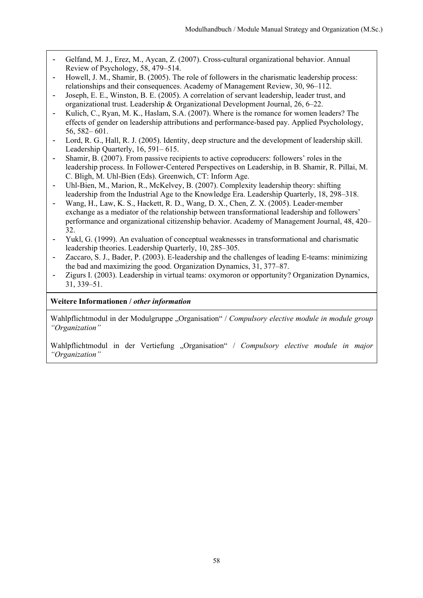- Gelfand, M. J., Erez, M., Aycan, Z. (2007). Cross-cultural organizational behavior. Annual Review of Psychology, 58, 479–514.
- Howell, J. M., Shamir, B. (2005). The role of followers in the charismatic leadership process: relationships and their consequences. Academy of Management Review, 30, 96–112.
- Joseph, E. E., Winston, B. E. (2005). A correlation of servant leadership, leader trust, and organizational trust. Leadership & Organizational Development Journal, 26, 6–22.
- Kulich, C., Ryan, M. K., Haslam, S.A. (2007). Where is the romance for women leaders? The effects of gender on leadership attributions and performance-based pay. Applied Psycholology, 56, 582– 601.
- Lord, R. G., Hall, R. J. (2005). Identity, deep structure and the development of leadership skill. Leadership Quarterly, 16, 591– 615.
- Shamir, B. (2007). From passive recipients to active coproducers: followers' roles in the leadership process. In Follower-Centered Perspectives on Leadership, in B. Shamir, R. Pillai, M. C. Bligh, M. Uhl-Bien (Eds). Greenwich, CT: Inform Age.
- Uhl-Bien, M., Marion, R., McKelvey, B. (2007). Complexity leadership theory: shifting leadership from the Industrial Age to the Knowledge Era. Leadership Quarterly, 18, 298–318.
- Wang, H., Law, K. S., Hackett, R. D., Wang, D. X., Chen, Z. X. (2005). Leader-member exchange as a mediator of the relationship between transformational leadership and followers' performance and organizational citizenship behavior. Academy of Management Journal, 48, 420– 32.
- Yukl, G. (1999). An evaluation of conceptual weaknesses in transformational and charismatic leadership theories. Leadership Quarterly, 10, 285–305.
- Zaccaro, S. J., Bader, P. (2003). E-leadership and the challenges of leading E-teams: minimizing the bad and maximizing the good. Organization Dynamics, 31, 377–87.
- Zigurs I. (2003). Leadership in virtual teams: oxymoron or opportunity? Organization Dynamics, 31, 339–51.

## **Weitere Informationen /** *other information*

Wahlpflichtmodul in der Modulgruppe "Organisation" / *Compulsory elective module in module group "Organization"* 

Wahlpflichtmodul in der Vertiefung "Organisation" / Compulsory elective module in major *"Organization"*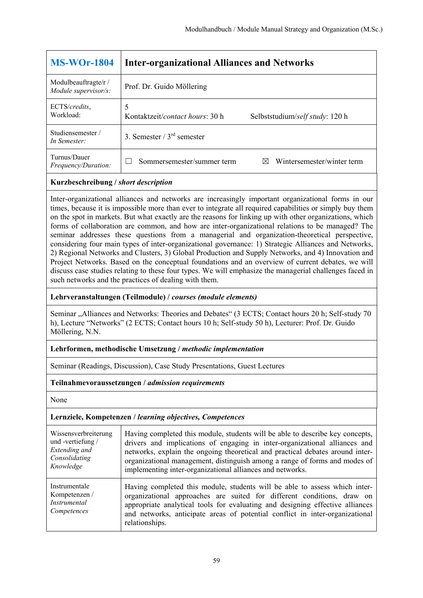| <b>MS-WOr-1804</b>                           | <b>Inter-organizational Alliances and Networks</b>                      |
|----------------------------------------------|-------------------------------------------------------------------------|
| Modulbeauftragte/r /<br>Module supervisor/s: | Prof. Dr. Guido Möllering                                               |
| ECTS/credits,<br>Workload:                   | 5<br>Kontaktzeit/contact hours: 30 h<br>Selbststudium/self study: 120 h |
| Studiensemester/<br>In Semester:             | 3. Semester $/3^{rd}$ semester                                          |
| Turnus/Dauer<br>Frequency/Duration:          | Wintersemester/winter term<br>Sommersemester/summer term<br>$\boxtimes$ |

Inter-organizational alliances and networks are increasingly important organizational forms in our times, because it is impossible more than ever to integrate all required capabilities or simply buy them on the spot in markets. But what exactly are the reasons for linking up with other organizations, which forms of collaboration are common, and how are inter-organizational relations to be managed? The seminar addresses these questions from a managerial and organization-theoretical perspective, considering four main types of inter-organizational governance: 1) Strategic Alliances and Networks, 2) Regional Networks and Clusters, 3) Global Production and Supply Networks, and 4) Innovation and Project Networks. Based on the conceptual foundations and an overview of current debates, we will discuss case studies relating to these four types. We will emphasize the managerial challenges faced in such networks and the practices of dealing with them.

## **Lehrveranstaltungen (Teilmodule) /** *courses (module elements)*

Seminar "Alliances and Networks: Theories and Debates" (3 ECTS; Contact hours 20 h; Self-study 70 h), Lecture "Networks" (2 ECTS; Contact hours 10 h; Self-study 50 h), Lecturer: Prof. Dr. Guido Möllering, N.N.

## **Lehrformen, methodische Umsetzung /** *methodic implementation*

Seminar (Readings, Discussion), Case Study Presentations, Guest Lectures

## **Teilnahmevoraussetzungen /** *admission requirements*

None

| Wissensverbreiterung                                                 | Having completed this module, students will be able to describe key concepts,                                                                                                                                                                                                                                                           |
|----------------------------------------------------------------------|-----------------------------------------------------------------------------------------------------------------------------------------------------------------------------------------------------------------------------------------------------------------------------------------------------------------------------------------|
| und -vertiefung /                                                    | drivers and implications of engaging in inter-organizational alliances and                                                                                                                                                                                                                                                              |
| Extending and                                                        | networks, explain the ongoing theoretical and practical debates around inter-                                                                                                                                                                                                                                                           |
| Consolidating                                                        | organizational management, distinguish among a range of forms and modes of                                                                                                                                                                                                                                                              |
| Knowledge                                                            | implementing inter-organizational alliances and networks.                                                                                                                                                                                                                                                                               |
| Instrumentale<br>Kompetenzen /<br><i>Instrumental</i><br>Competences | Having completed this module, students will be able to assess which inter-<br>organizational approaches are suited for different conditions, draw on<br>appropriate analytical tools for evaluating and designing effective alliances<br>and networks, anticipate areas of potential conflict in inter-organizational<br>relationships. |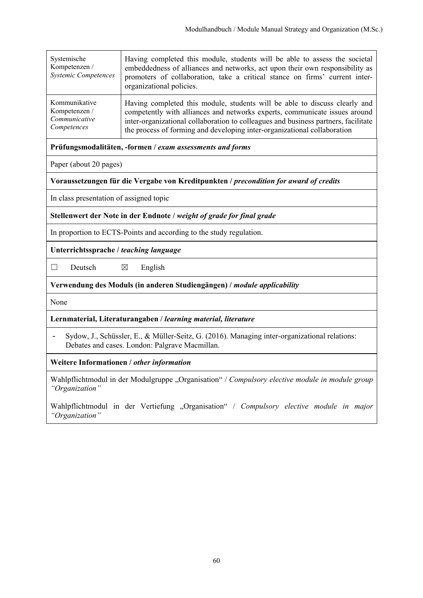| Systemische<br>Kompetenzen /<br><b>Systemic Competences</b> | Having completed this module, students will be able to assess the societal<br>embeddedness of alliances and networks, act upon their own responsibility as<br>promoters of collaboration, take a critical stance on firms' current inter-<br>organizational policies. |
|-------------------------------------------------------------|-----------------------------------------------------------------------------------------------------------------------------------------------------------------------------------------------------------------------------------------------------------------------|
| Kommunikative                                               | Having completed this module, students will be able to discuss clearly and                                                                                                                                                                                            |
| Kompetenzen /                                               | competently with alliances and networks experts, communicate issues around                                                                                                                                                                                            |
| Communicative                                               | inter-organizational collaboration to colleagues and business partners, facilitate                                                                                                                                                                                    |
| Competences                                                 | the process of forming and developing inter-organizational collaboration                                                                                                                                                                                              |

**Prüfungsmodalitäten, -formen /** *exam assessments and forms* 

Paper (about 20 pages)

**Voraussetzungen für die Vergabe von Kreditpunkten /** *precondition for award of credits* 

In class presentation of assigned topic

**Stellenwert der Note in der Endnote /** *weight of grade for final grade* 

In proportion to ECTS-Points and according to the study regulation.

**Unterrichtssprache /** *teaching language* 

 $\Box$  Deutsch  $\boxtimes$  English

#### **Verwendung des Moduls (in anderen Studiengängen) /** *module applicability*

None

**Lernmaterial, Literaturangaben /** *learning material, literature* 

- Sydow, J., Schüssler, E., & Müller-Seitz, G. (2016). Managing inter-organizational relations: Debates and cases. London: Palgrave Macmillan.

**Weitere Informationen /** *other information* 

Wahlpflichtmodul in der Modulgruppe "Organisation" / *Compulsory elective module in module group "Organization"* 

Wahlpflichtmodul in der Vertiefung "Organisation" / Compulsory elective module in major *"Organization"*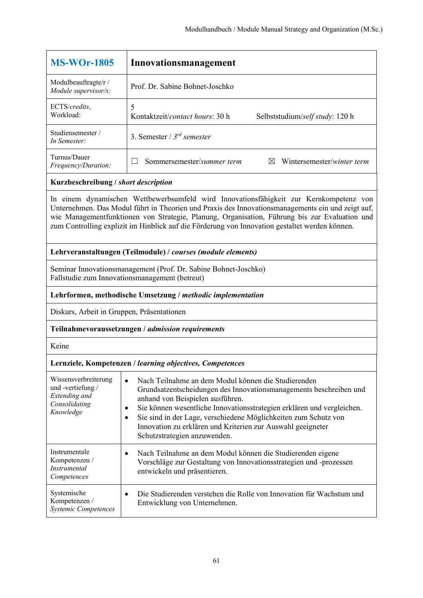| <b>MS-WOr-1805</b>                           | Innovationsmanagement                         |                                 |
|----------------------------------------------|-----------------------------------------------|---------------------------------|
| Modulbeauftragte/r /<br>Module supervisor/s: | Prof. Dr. Sabine Bohnet-Joschko               |                                 |
| ECTS/credits,<br>Workload:                   | 5<br>Kontaktzeit/ <i>contact hours</i> : 30 h | Selbststudium/self study: 120 h |
| Studiensemester/<br>In Semester:             | 3. Semester / $3^{rd}$ semester               |                                 |
| Turnus/Dauer<br>Frequency/Duration:          | Sommersemester/summer term                    | Wintersemester/winter term      |
|                                              |                                               |                                 |

In einem dynamischen Wettbewerbsumfeld wird Innovationsfähigkeit zur Kernkompetenz von Unternehmen. Das Modul führt in Theorien und Praxis des Innovationsmanagements ein und zeigt auf, wie Managementfunktionen von Strategie, Planung, Organisation, Führung bis zur Evaluation und zum Controlling explizit im Hinblick auf die Förderung von Innovation gestaltet werden können.

## **Lehrveranstaltungen (Teilmodule) /** *courses (module elements)*

Seminar Innovationsmanagement (Prof. Dr. Sabine Bohnet-Joschko) Fallstudie zum Innovationsmanagement (betreut)

## **Lehrformen, methodische Umsetzung /** *methodic implementation*

Diskurs, Arbeit in Gruppen, Präsentationen

#### **Teilnahmevoraussetzungen /** *admission requirements*

Keine

| Wissensverbreiterung<br>und -vertiefung /<br>Extending and<br>Consolidating<br>Knowledge | Nach Teilnahme an dem Modul können die Studierenden<br>$\bullet$<br>Grundsatzentscheidungen des Innovationsmanagements beschreiben und<br>anhand von Beispielen ausführen.<br>Sie können wesentliche Innovationsstrategien erklären und vergleichen.<br>Sie sind in der Lage, verschiedene Möglichkeiten zum Schutz von<br>٠<br>Innovation zu erklären und Kriterien zur Auswahl geeigneter<br>Schutzstrategien anzuwenden. |
|------------------------------------------------------------------------------------------|-----------------------------------------------------------------------------------------------------------------------------------------------------------------------------------------------------------------------------------------------------------------------------------------------------------------------------------------------------------------------------------------------------------------------------|
| Instrumentale<br>Kompetenzen /<br><i>Instrumental</i><br>Competences                     | Nach Teilnahme an dem Modul können die Studierenden eigene<br>$\bullet$<br>Vorschläge zur Gestaltung von Innovationsstrategien und -prozessen<br>entwickeln und präsentieren.                                                                                                                                                                                                                                               |
| Systemische<br>Kompetenzen /<br><b>Systemic Competences</b>                              | Die Studierenden verstehen die Rolle von Innovation für Wachstum und<br>Entwicklung von Unternehmen.                                                                                                                                                                                                                                                                                                                        |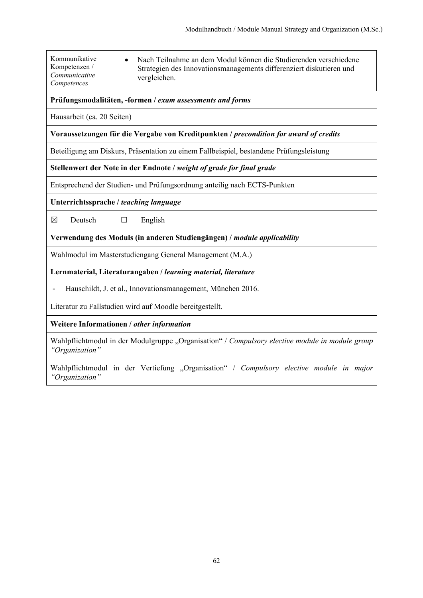| Kommunikative<br>Kompetenzen /<br>Communicative<br>Competences                                                    | Nach Teilnahme an dem Modul können die Studierenden verschiedene<br>$\bullet$<br>Strategien des Innovationsmanagements differenziert diskutieren und<br>vergleichen. |  |
|-------------------------------------------------------------------------------------------------------------------|----------------------------------------------------------------------------------------------------------------------------------------------------------------------|--|
|                                                                                                                   | Prüfungsmodalitäten, -formen / exam assessments and forms                                                                                                            |  |
| Hausarbeit (ca. 20 Seiten)                                                                                        |                                                                                                                                                                      |  |
| Voraussetzungen für die Vergabe von Kreditpunkten / precondition for award of credits                             |                                                                                                                                                                      |  |
| Beteiligung am Diskurs, Präsentation zu einem Fallbeispiel, bestandene Prüfungsleistung                           |                                                                                                                                                                      |  |
| Stellenwert der Note in der Endnote / weight of grade for final grade                                             |                                                                                                                                                                      |  |
| Entsprechend der Studien- und Prüfungsordnung anteilig nach ECTS-Punkten                                          |                                                                                                                                                                      |  |
| Unterrichtssprache / teaching language                                                                            |                                                                                                                                                                      |  |
| $\boxtimes$<br>Deutsch                                                                                            | English<br>$\Box$                                                                                                                                                    |  |
| Verwendung des Moduls (in anderen Studiengängen) / module applicability                                           |                                                                                                                                                                      |  |
| Wahlmodul im Masterstudiengang General Management (M.A.)                                                          |                                                                                                                                                                      |  |
| Lernmaterial, Literaturangaben / learning material, literature                                                    |                                                                                                                                                                      |  |
| Hauschildt, J. et al., Innovationsmanagement, München 2016.                                                       |                                                                                                                                                                      |  |
| Literatur zu Fallstudien wird auf Moodle bereitgestellt.                                                          |                                                                                                                                                                      |  |
| Weitere Informationen / other information                                                                         |                                                                                                                                                                      |  |
| Wahlpflichtmodul in der Modulgruppe "Organisation" / Compulsory elective module in module group<br>"Organization" |                                                                                                                                                                      |  |

Wahlpflichtmodul in der Vertiefung "Organisation" / Compulsory elective module in major *"Organization"*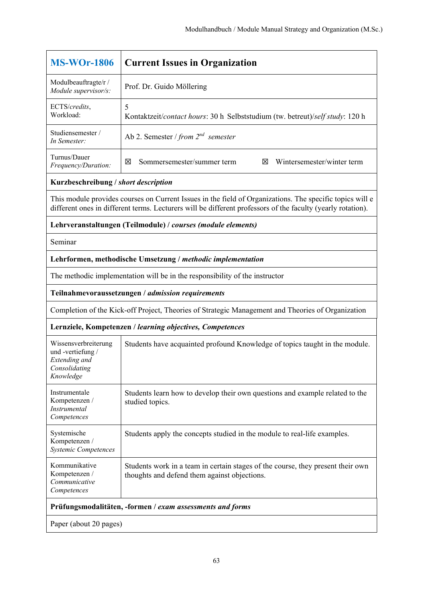| <b>MS-WOr-1806</b>                                                                                | <b>Current Issues in Organization</b>                                                                                                                                                                                   |  |  |
|---------------------------------------------------------------------------------------------------|-------------------------------------------------------------------------------------------------------------------------------------------------------------------------------------------------------------------------|--|--|
| Modulbeauftragte/r /<br>Module supervisor/s:                                                      | Prof. Dr. Guido Möllering                                                                                                                                                                                               |  |  |
| ECTS/credits,<br>Workload:                                                                        | 5<br>Kontaktzeit/contact hours: 30 h Selbststudium (tw. betreut)/self study: 120 h                                                                                                                                      |  |  |
| Studiensemester /<br>In Semester:                                                                 | Ab 2. Semester / from $2^{nd}$ semester                                                                                                                                                                                 |  |  |
| Turnus/Dauer<br>Frequency/Duration:                                                               | 図<br>Sommersemester/summer term<br>Wintersemester/winter term<br>⊠                                                                                                                                                      |  |  |
| Kurzbeschreibung / short description                                                              |                                                                                                                                                                                                                         |  |  |
|                                                                                                   | This module provides courses on Current Issues in the field of Organizations. The specific topics will e<br>different ones in different terms. Lecturers will be different professors of the faculty (yearly rotation). |  |  |
|                                                                                                   | Lehrveranstaltungen (Teilmodule) / courses (module elements)                                                                                                                                                            |  |  |
| Seminar                                                                                           |                                                                                                                                                                                                                         |  |  |
| Lehrformen, methodische Umsetzung / methodic implementation                                       |                                                                                                                                                                                                                         |  |  |
|                                                                                                   | The methodic implementation will be in the responsibility of the instructor                                                                                                                                             |  |  |
| Teilnahmevoraussetzungen / admission requirements                                                 |                                                                                                                                                                                                                         |  |  |
| Completion of the Kick-off Project, Theories of Strategic Management and Theories of Organization |                                                                                                                                                                                                                         |  |  |
| Lernziele, Kompetenzen / learning objectives, Competences                                         |                                                                                                                                                                                                                         |  |  |
| Wissensverbreiterung<br>und -vertiefung /<br>Extending and<br>Consolidating<br>Knowledge          | Students have acquainted profound Knowledge of topics taught in the module.                                                                                                                                             |  |  |
| Instrumentale<br>Kompetenzen /<br>Instrumental<br>Competences                                     | Students learn how to develop their own questions and example related to the<br>studied topics.                                                                                                                         |  |  |
| Systemische<br>Kompetenzen /<br>Systemic Competences                                              | Students apply the concepts studied in the module to real-life examples.                                                                                                                                                |  |  |
| Kommunikative<br>Kompetenzen /<br>Communicative<br>Competences                                    | Students work in a team in certain stages of the course, they present their own<br>thoughts and defend them against objections.                                                                                         |  |  |
|                                                                                                   | Prüfungsmodalitäten, -formen / exam assessments and forms                                                                                                                                                               |  |  |
| Paper (about 20 pages)                                                                            |                                                                                                                                                                                                                         |  |  |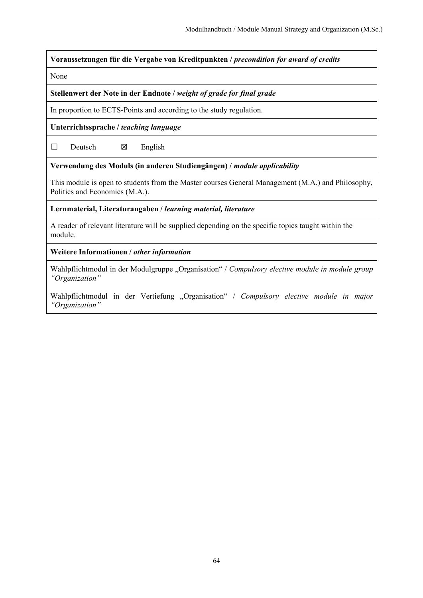**Voraussetzungen für die Vergabe von Kreditpunkten /** *precondition for award of credits*

None

**Stellenwert der Note in der Endnote /** *weight of grade for final grade*

In proportion to ECTS-Points and according to the study regulation.

**Unterrichtssprache /** *teaching language*

 $\Box$  Deutsch  $\boxtimes$  English

**Verwendung des Moduls (in anderen Studiengängen) /** *module applicability* 

This module is open to students from the Master courses General Management (M.A.) and Philosophy, Politics and Economics (M.A.).

**Lernmaterial, Literaturangaben /** *learning material, literature*

A reader of relevant literature will be supplied depending on the specific topics taught within the module.

**Weitere Informationen /** *other information*

Wahlpflichtmodul in der Modulgruppe "Organisation" / Compulsory elective module in module group *"Organization"* 

Wahlpflichtmodul in der Vertiefung "Organisation" / Compulsory elective module in major *"Organization"*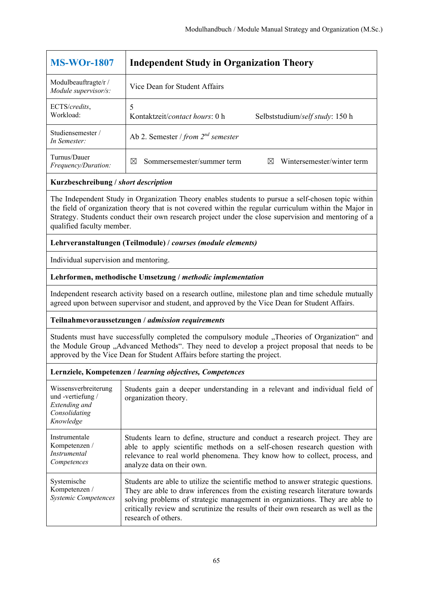| <b>MS-WOr-1807</b>                           | <b>Independent Study in Organization Theory</b>                            |
|----------------------------------------------|----------------------------------------------------------------------------|
| Modulbeauftragte/r /<br>Module supervisor/s: | Vice Dean for Student Affairs                                              |
| ECTS/credits,<br>Workload:                   | Kontaktzeit/ <i>contact hours</i> : 0 h<br>Selbststudium/self study: 150 h |
| Studiensemester/<br>In Semester:             | Ab 2. Semester / from $2^{nd}$ semester                                    |
| Turnus/Dauer<br>Frequency/Duration:          | Wintersemester/winter term<br>Sommersemester/summer term<br>X<br>⋈         |

The Independent Study in Organization Theory enables students to pursue a self-chosen topic within the field of organization theory that is not covered within the regular curriculum within the Major in Strategy. Students conduct their own research project under the close supervision and mentoring of a qualified faculty member.

## **Lehrveranstaltungen (Teilmodule) /** *courses (module elements)*

Individual supervision and mentoring.

## **Lehrformen, methodische Umsetzung /** *methodic implementation*

Independent research activity based on a research outline, milestone plan and time schedule mutually agreed upon between supervisor and student, and approved by the Vice Dean for Student Affairs.

#### **Teilnahmevoraussetzungen /** *admission requirements*

Students must have successfully completed the compulsory module "Theories of Organization" and the Module Group "Advanced Methods". They need to develop a project proposal that needs to be approved by the Vice Dean for Student Affairs before starting the project.

| Wissensverbreiterung<br>und -vertiefung /<br>Extending and<br>Consolidating<br>Knowledge | Students gain a deeper understanding in a relevant and individual field of<br>organization theory.                                                                                                                                                                                                                                                             |
|------------------------------------------------------------------------------------------|----------------------------------------------------------------------------------------------------------------------------------------------------------------------------------------------------------------------------------------------------------------------------------------------------------------------------------------------------------------|
| Instrumentale<br>Kompetenzen /<br><i>Instrumental</i><br>Competences                     | Students learn to define, structure and conduct a research project. They are<br>able to apply scientific methods on a self-chosen research question with<br>relevance to real world phenomena. They know how to collect, process, and<br>analyze data on their own.                                                                                            |
| Systemische<br>Kompetenzen /<br><b>Systemic Competences</b>                              | Students are able to utilize the scientific method to answer strategic questions.<br>They are able to draw inferences from the existing research literature towards<br>solving problems of strategic management in organizations. They are able to<br>critically review and scrutinize the results of their own research as well as the<br>research of others. |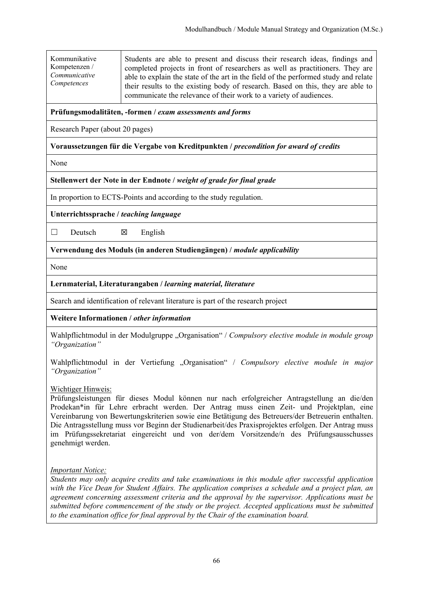Kommunikative Kompetenzen / *Communicative Competences*

Students are able to present and discuss their research ideas, findings and completed projects in front of researchers as well as practitioners. They are able to explain the state of the art in the field of the performed study and relate their results to the existing body of research. Based on this, they are able to communicate the relevance of their work to a variety of audiences.

## **Prüfungsmodalitäten, -formen /** *exam assessments and forms*

Research Paper (about 20 pages)

## **Voraussetzungen für die Vergabe von Kreditpunkten /** *precondition for award of credits*

None

#### **Stellenwert der Note in der Endnote /** *weight of grade for final grade*

In proportion to ECTS-Points and according to the study regulation.

**Unterrichtssprache /** *teaching language*

 $\Box$  Deutsch  $\boxtimes$  English

**Verwendung des Moduls (in anderen Studiengängen) /** *module applicability* 

None

#### **Lernmaterial, Literaturangaben /** *learning material, literature*

Search and identification of relevant literature is part of the research project

## **Weitere Informationen /** *other information*

Wahlpflichtmodul in der Modulgruppe "Organisation" / Compulsory elective module in module group *"Organization"* 

Wahlpflichtmodul in der Vertiefung "Organisation" / *Compulsory elective module in major "Organization"* 

#### Wichtiger Hinweis:

Prüfungsleistungen für dieses Modul können nur nach erfolgreicher Antragstellung an die/den Prodekan\*in für Lehre erbracht werden. Der Antrag muss einen Zeit- und Projektplan, eine Vereinbarung von Bewertungskriterien sowie eine Betätigung des Betreuers/der Betreuerin enthalten. Die Antragsstellung muss vor Beginn der Studienarbeit/des Praxisprojektes erfolgen. Der Antrag muss im Prüfungssekretariat eingereicht und von der/dem Vorsitzende/n des Prüfungsausschusses genehmigt werden.

#### *Important Notice:*

*Students may only acquire credits and take examinations in this module after successful application with the Vice Dean for Student Affairs. The application comprises a schedule and a project plan, an agreement concerning assessment criteria and the approval by the supervisor. Applications must be submitted before commencement of the study or the project. Accepted applications must be submitted to the examination office for final approval by the Chair of the examination board.*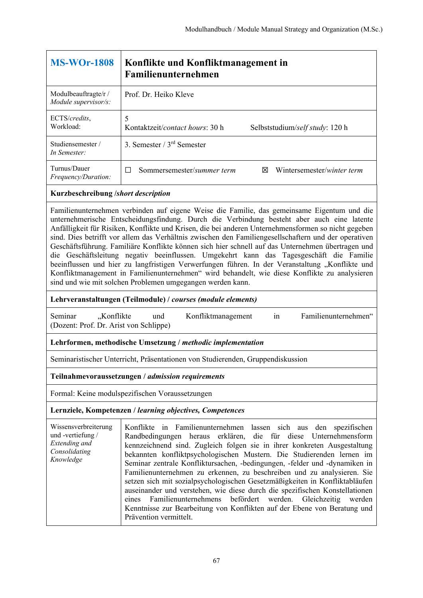| <b>MS-WOr-1808</b>                           | Konflikte und Konfliktmanagement in<br>Familienunternehmen                       |
|----------------------------------------------|----------------------------------------------------------------------------------|
| Modulbeauftragte/r /<br>Module supervisor/s: | Prof. Dr. Heiko Kleve                                                            |
| ECTS/credits,<br>Workload:                   | 5<br>Kontaktzeit/ <i>contact hours</i> : 30 h<br>Selbststudium/self study: 120 h |
| Studiensemester /<br>In Semester:            | 3. Semester $/3^{rd}$ Semester                                                   |
| Turnus/Dauer<br><i>Frequency/Duration:</i>   | Sommersemester/summer term<br>Wintersemester/winter term<br>⊠                    |

Familienunternehmen verbinden auf eigene Weise die Familie, das gemeinsame Eigentum und die unternehmerische Entscheidungsfindung. Durch die Verbindung besteht aber auch eine latente Anfälligkeit für Risiken, Konflikte und Krisen, die bei anderen Unternehmensformen so nicht gegeben sind. Dies betrifft vor allem das Verhältnis zwischen den Familiengesellschaftern und der operativen Geschäftsführung. Familiäre Konflikte können sich hier schnell auf das Unternehmen übertragen und die Geschäftsleitung negativ beeinflussen. Umgekehrt kann das Tagesgeschäft die Familie beeinflussen und hier zu langfristigen Verwerfungen führen. In der Veranstaltung "Konflikte und Konfliktmanagement in Familienunternehmen" wird behandelt, wie diese Konflikte zu analysieren sind und wie mit solchen Problemen umgegangen werden kann.

#### **Lehrveranstaltungen (Teilmodule) /** *courses (module elements)*

Seminar "Konflikte und Konfliktmanagement in Familienunternehmen" (Dozent: Prof. Dr. Arist von Schlippe)

#### **Lehrformen, methodische Umsetzung /** *methodic implementation*

Seminaristischer Unterricht, Präsentationen von Studierenden, Gruppendiskussion

#### **Teilnahmevoraussetzungen /** *admission requirements*

Formal: Keine modulspezifischen Voraussetzungen

#### **Lernziele, Kompetenzen /** *learning objectives, Competences*

Wissensverbreiterung und -vertiefung / *Extending and Consolidating Knowledge* Konflikte in Familienunternehmen lassen sich aus den spezifischen Randbedingungen heraus erklären, die für diese Unternehmensform kennzeichnend sind. Zugleich folgen sie in ihrer konkreten Ausgestaltung bekannten konfliktpsychologischen Mustern. Die Studierenden lernen im Seminar zentrale Konfliktursachen, -bedingungen, -felder und -dynamiken in Familienunternehmen zu erkennen, zu beschreiben und zu analysieren. Sie setzen sich mit sozialpsychologischen Gesetzmäßigkeiten in Konfliktabläufen auseinander und verstehen, wie diese durch die spezifischen Konstellationen eines Familienunternehmens befördert werden. Gleichzeitig werden Kenntnisse zur Bearbeitung von Konflikten auf der Ebene von Beratung und Prävention vermittelt.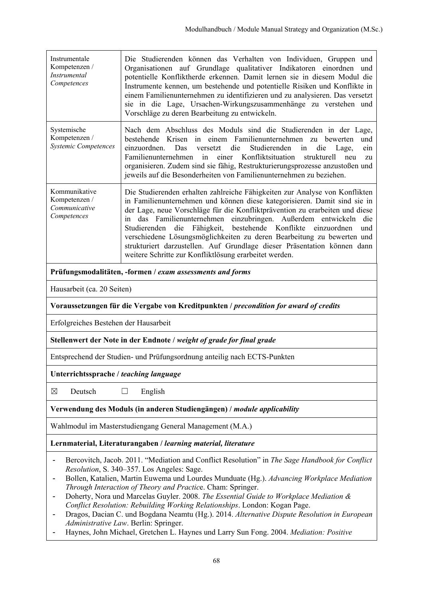| Instrumentale<br>Kompetenzen /<br>Instrumental<br>Competences                                                                                                                                                                                                                                                                                                                                         | Die Studierenden können das Verhalten von Individuen, Gruppen und<br>Organisationen auf Grundlage qualitativer Indikatoren einordnen und<br>potentielle Konfliktherde erkennen. Damit lernen sie in diesem Modul die<br>Instrumente kennen, um bestehende und potentielle Risiken und Konflikte in<br>einem Familienunternehmen zu identifizieren und zu analysieren. Das versetzt<br>sie in die Lage, Ursachen-Wirkungszusammenhänge zu verstehen und<br>Vorschläge zu deren Bearbeitung zu entwickeln.                                                                                                              |  |
|-------------------------------------------------------------------------------------------------------------------------------------------------------------------------------------------------------------------------------------------------------------------------------------------------------------------------------------------------------------------------------------------------------|-----------------------------------------------------------------------------------------------------------------------------------------------------------------------------------------------------------------------------------------------------------------------------------------------------------------------------------------------------------------------------------------------------------------------------------------------------------------------------------------------------------------------------------------------------------------------------------------------------------------------|--|
| Systemische<br>Kompetenzen /<br><b>Systemic Competences</b>                                                                                                                                                                                                                                                                                                                                           | Nach dem Abschluss des Moduls sind die Studierenden in der Lage,<br>bestehende Krisen in einem Familienunternehmen zu bewerten und<br>einzuordnen.<br>Das<br>die<br>Studierenden<br>in<br>versetzt<br>die<br>Lage,<br>ein<br>Familienunternehmen in<br>einer Konfliktsituation strukturell neu<br>zu<br>organisieren. Zudem sind sie fähig, Restrukturierungsprozesse anzustoßen und<br>jeweils auf die Besonderheiten von Familienunternehmen zu beziehen.                                                                                                                                                           |  |
| Kommunikative<br>Kompetenzen /<br>Communicative<br>Competences                                                                                                                                                                                                                                                                                                                                        | Die Studierenden erhalten zahlreiche Fähigkeiten zur Analyse von Konflikten<br>in Familienunternehmen und können diese kategorisieren. Damit sind sie in<br>der Lage, neue Vorschläge für die Konfliktprävention zu erarbeiten und diese<br>das Familienunternehmen einzubringen. Außerdem entwickeln<br>die<br>in<br>Fähigkeit,<br>bestehende Konflikte<br>einzuordnen<br>Studierenden<br>die<br>und<br>verschiedene Lösungsmöglichkeiten zu deren Bearbeitung zu bewerten und<br>strukturiert darzustellen. Auf Grundlage dieser Präsentation können dann<br>weitere Schritte zur Konfliktlösung erarbeitet werden. |  |
|                                                                                                                                                                                                                                                                                                                                                                                                       | Prüfungsmodalitäten, -formen / exam assessments and forms                                                                                                                                                                                                                                                                                                                                                                                                                                                                                                                                                             |  |
| Hausarbeit (ca. 20 Seiten)                                                                                                                                                                                                                                                                                                                                                                            |                                                                                                                                                                                                                                                                                                                                                                                                                                                                                                                                                                                                                       |  |
|                                                                                                                                                                                                                                                                                                                                                                                                       | Voraussetzungen für die Vergabe von Kreditpunkten / precondition for award of credits                                                                                                                                                                                                                                                                                                                                                                                                                                                                                                                                 |  |
| Erfolgreiches Bestehen der Hausarbeit                                                                                                                                                                                                                                                                                                                                                                 |                                                                                                                                                                                                                                                                                                                                                                                                                                                                                                                                                                                                                       |  |
| Stellenwert der Note in der Endnote / weight of grade for final grade                                                                                                                                                                                                                                                                                                                                 |                                                                                                                                                                                                                                                                                                                                                                                                                                                                                                                                                                                                                       |  |
| Entsprechend der Studien- und Prüfungsordnung anteilig nach ECTS-Punkten                                                                                                                                                                                                                                                                                                                              |                                                                                                                                                                                                                                                                                                                                                                                                                                                                                                                                                                                                                       |  |
| Unterrichtssprache / teaching language                                                                                                                                                                                                                                                                                                                                                                |                                                                                                                                                                                                                                                                                                                                                                                                                                                                                                                                                                                                                       |  |
| $\boxtimes$<br>Deutsch                                                                                                                                                                                                                                                                                                                                                                                | English<br>ப                                                                                                                                                                                                                                                                                                                                                                                                                                                                                                                                                                                                          |  |
| Verwendung des Moduls (in anderen Studiengängen) / module applicability                                                                                                                                                                                                                                                                                                                               |                                                                                                                                                                                                                                                                                                                                                                                                                                                                                                                                                                                                                       |  |
| Wahlmodul im Masterstudiengang General Management (M.A.)                                                                                                                                                                                                                                                                                                                                              |                                                                                                                                                                                                                                                                                                                                                                                                                                                                                                                                                                                                                       |  |
|                                                                                                                                                                                                                                                                                                                                                                                                       | Lernmaterial, Literaturangaben / learning material, literature                                                                                                                                                                                                                                                                                                                                                                                                                                                                                                                                                        |  |
| Bercovitch, Jacob. 2011. "Mediation and Conflict Resolution" in The Sage Handbook for Conflict<br>Resolution, S. 340–357. Los Angeles: Sage.<br>Bollen, Katalien, Martin Euwema und Lourdes Munduate (Hg.). Advancing Workplace Mediation<br>٠<br>Through Interaction of Theory and Practice. Cham: Springer.<br>Doberty Nora und Marcelas Guyler, 2008. The Essential Guide to Workplace Mediation & |                                                                                                                                                                                                                                                                                                                                                                                                                                                                                                                                                                                                                       |  |

- Doherty, Nora und Marcelas Guyler. 2008. *The Essential Guide to Workplace Mediation & Conflict Resolution: Rebuilding Working Relationships*. London: Kogan Page.
- Dragos, Dacian C. und Bogdana Neamtu (Hg.). 2014. *Alternative Dispute Resolution in European Administrative Law*. Berlin: Springer.
- Haynes, John Michael, Gretchen L. Haynes und Larry Sun Fong. 2004. *Mediation: Positive*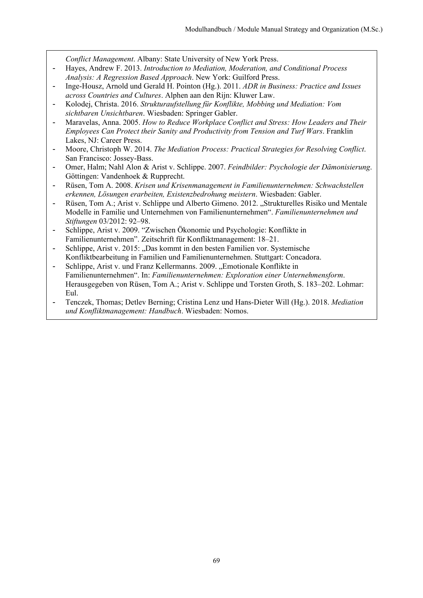*Conflict Management*. Albany: State University of New York Press.

- Hayes, Andrew F. 2013. *Introduction to Mediation, Moderation, and Conditional Process Analysis: A Regression Based Approach*. New York: Guilford Press.
- Inge-Housz, Arnold und Gerald H. Pointon (Hg.). 2011. *ADR in Business: Practice and Issues across Countries and Cultures*. Alphen aan den Rijn: Kluwer Law.
- Kolodej, Christa. 2016. *Strukturaufstellung für Konflikte, Mobbing und Mediation: Vom sichtbaren Unsichtbaren*. Wiesbaden: Springer Gabler.
- Maravelas, Anna. 2005. *How to Reduce Workplace Conflict and Stress: How Leaders and Their Employees Can Protect their Sanity and Productivity from Tension and Turf Wars*. Franklin Lakes, NJ: Career Press.
- Moore, Christoph W. 2014. *The Mediation Process: Practical Strategies for Resolving Conflict*. San Francisco: Jossey-Bass.
- Omer, Halm; Nahl Alon & Arist v. Schlippe. 2007. *Feindbilder: Psychologie der Dämonisierung*. Göttingen: Vandenhoek & Rupprecht.
- Rüsen, Tom A. 2008. *Krisen und Krisenmanagement in Familienunternehmen: Schwachstellen erkennen, Lösungen erarbeiten, Existenzbedrohung meistern*. Wiesbaden: Gabler.
- Rüsen, Tom A.; Arist v. Schlippe und Alberto Gimeno. 2012. "Strukturelles Risiko und Mentale Modelle in Familie und Unternehmen von Familienunternehmen". *Familienunternehmen und Stiftungen* 03/2012: 92–98.
- Schlippe, Arist v. 2009. "Zwischen Ökonomie und Psychologie: Konflikte in Familienunternehmen". Zeitschrift für Konfliktmanagement: 18–21.
- Schlippe, Arist v. 2015: "Das kommt in den besten Familien vor. Systemische Konfliktbearbeitung in Familien und Familienunternehmen. Stuttgart: Concadora.
- Schlippe, Arist v. und Franz Kellermanns. 2009. "Emotionale Konflikte in Familienunternehmen". In: *Familienunternehmen: Exploration einer Unternehmensform*. Herausgegeben von Rüsen, Tom A.; Arist v. Schlippe und Torsten Groth, S. 183–202. Lohmar: Eul.
- Tenczek, Thomas; Detlev Berning; Cristina Lenz und Hans-Dieter Will (Hg.). 2018. *Mediation und Konfliktmanagement: Handbuch*. Wiesbaden: Nomos.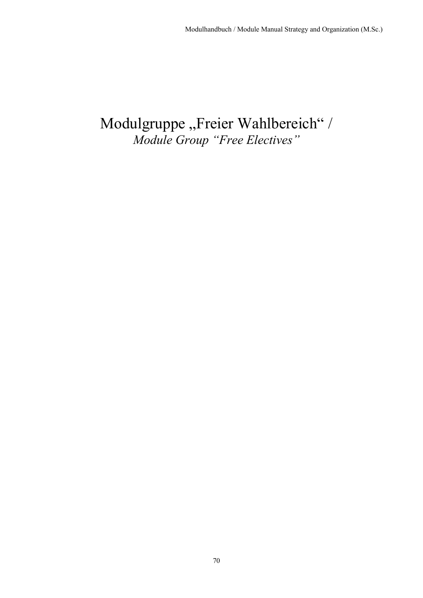# Modulgruppe "Freier Wahlbereich" / *Module Group "Free Electives"*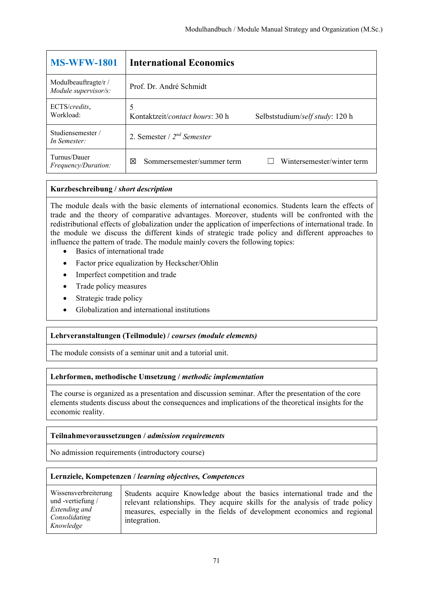| <b>MS-WFW-1801</b>                           | <b>International Economics</b>                                                   |
|----------------------------------------------|----------------------------------------------------------------------------------|
| Modulbeauftragte/r /<br>Module supervisor/s: | Prof. Dr. André Schmidt                                                          |
| ECTS/credits,<br>Workload:                   | 5<br>Kontaktzeit/ <i>contact hours</i> : 30 h<br>Selbststudium/self study: 120 h |
| Studiensemester/<br>In Semester:             | 2. Semester / $2^{nd}$ Semester                                                  |
| Turnus/Dauer<br>Frequency/Duration:          | Wintersemester/winter term<br>Sommersemester/summer term<br>冈                    |

The module deals with the basic elements of international economics. Students learn the effects of trade and the theory of comparative advantages. Moreover, students will be confronted with the redistributional effects of globalization under the application of imperfections of international trade. In the module we discuss the different kinds of strategic trade policy and different approaches to influence the pattern of trade. The module mainly covers the following topics:

- Basics of international trade
- Factor price equalization by Heckscher/Ohlin
- Imperfect competition and trade
- Trade policy measures
- Strategic trade policy
- Globalization and international institutions

## **Lehrveranstaltungen (Teilmodule) /** *courses (module elements)*

The module consists of a seminar unit and a tutorial unit.

## **Lehrformen, methodische Umsetzung /** *methodic implementation*

The course is organized as a presentation and discussion seminar. After the presentation of the core elements students discuss about the consequences and implications of the theoretical insights for the economic reality.

## **Teilnahmevoraussetzungen /** *admission requirements*

No admission requirements (introductory course)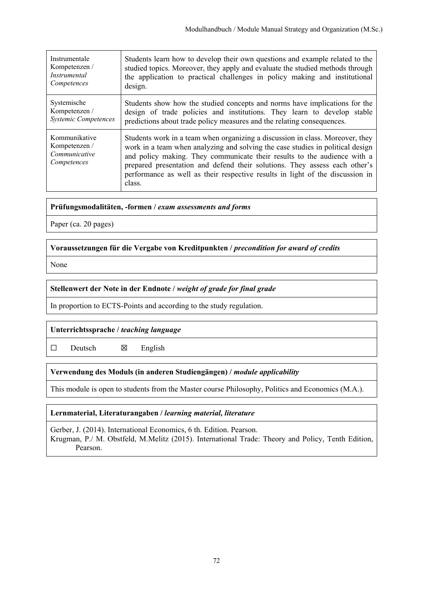| Instrumentale                                                  | Students learn how to develop their own questions and example related to the                                                                                                                                                                                                                                                                                                                                         |
|----------------------------------------------------------------|----------------------------------------------------------------------------------------------------------------------------------------------------------------------------------------------------------------------------------------------------------------------------------------------------------------------------------------------------------------------------------------------------------------------|
| Kompetenzen /                                                  | studied topics. Moreover, they apply and evaluate the studied methods through                                                                                                                                                                                                                                                                                                                                        |
| <i>Instrumental</i>                                            | the application to practical challenges in policy making and institutional                                                                                                                                                                                                                                                                                                                                           |
| Competences                                                    | design.                                                                                                                                                                                                                                                                                                                                                                                                              |
| Systemische                                                    | Students show how the studied concepts and norms have implications for the                                                                                                                                                                                                                                                                                                                                           |
| Kompetenzen /                                                  | design of trade policies and institutions. They learn to develop stable                                                                                                                                                                                                                                                                                                                                              |
| <b>Systemic Competences</b>                                    | predictions about trade policy measures and the relating consequences.                                                                                                                                                                                                                                                                                                                                               |
| Kommunikative<br>Kompetenzen /<br>Communicative<br>Competences | Students work in a team when organizing a discussion in class. Moreover, they<br>work in a team when analyzing and solving the case studies in political design<br>and policy making. They communicate their results to the audience with a<br>prepared presentation and defend their solutions. They assess each other's<br>performance as well as their respective results in light of the discussion in<br>class. |

## **Prüfungsmodalitäten, -formen /** *exam assessments and forms*

Paper (ca. 20 pages)

## **Voraussetzungen für die Vergabe von Kreditpunkten /** *precondition for award of credits*

None

## **Stellenwert der Note in der Endnote /** *weight of grade for final grade*

In proportion to ECTS-Points and according to the study regulation.

## **Unterrichtssprache /** *teaching language*

 $\square$  Deutsch  $\square$  English

## **Verwendung des Moduls (in anderen Studiengängen) /** *module applicability*

This module is open to students from the Master course Philosophy, Politics and Economics (M.A.).

## **Lernmaterial, Literaturangaben /** *learning material, literature*

Gerber, J. (2014). International Economics, 6 th. Edition. Pearson. Krugman, P./ M. Obstfeld, M.Melitz (2015). International Trade: Theory and Policy, Tenth Edition, Pearson.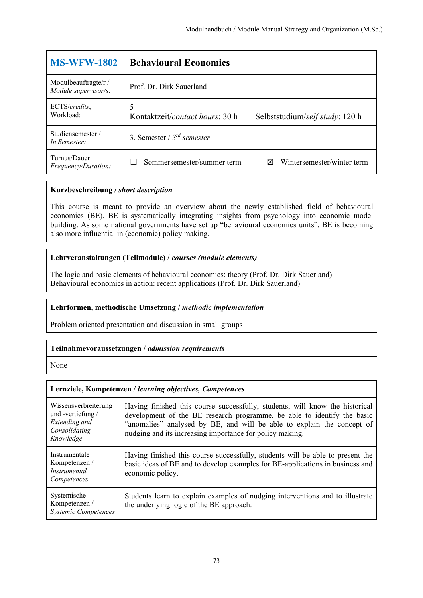| <b>MS-WFW-1802</b>                           | <b>Behavioural Economics</b>                                            |
|----------------------------------------------|-------------------------------------------------------------------------|
| Modulbeauftragte/r /<br>Module supervisor/s: | Prof. Dr. Dirk Sauerland                                                |
| ECTS/credits,<br>Workload:                   | 5<br>Kontaktzeit/contact hours: 30 h<br>Selbststudium/self study: 120 h |
| Studiensemester/<br>In Semester:             | 3. Semester / $3^{rd}$ semester                                         |
| Turnus/Dauer<br><i>Frequency/Duration:</i>   | Wintersemester/winter term<br>Sommersemester/summer term<br>⊠           |

This course is meant to provide an overview about the newly established field of behavioural economics (BE). BE is systematically integrating insights from psychology into economic model building. As some national governments have set up "behavioural economics units", BE is becoming also more influential in (economic) policy making.

# **Lehrveranstaltungen (Teilmodule) /** *courses (module elements)*

The logic and basic elements of behavioural economics: theory (Prof. Dr. Dirk Sauerland) Behavioural economics in action: recent applications (Prof. Dr. Dirk Sauerland)

## **Lehrformen, methodische Umsetzung /** *methodic implementation*

Problem oriented presentation and discussion in small groups

## **Teilnahmevoraussetzungen /** *admission requirements*

None

| Wissensverbreiterung<br>und -vertiefung /<br>Extending and<br>Consolidating<br>Knowledge | Having finished this course successfully, students, will know the historical<br>development of the BE research programme, be able to identify the basic<br>"anomalies" analysed by BE, and will be able to explain the concept of<br>nudging and its increasing importance for policy making. |
|------------------------------------------------------------------------------------------|-----------------------------------------------------------------------------------------------------------------------------------------------------------------------------------------------------------------------------------------------------------------------------------------------|
| Instrumentale<br>Kompetenzen /<br>Instrumental<br>Competences                            | Having finished this course successfully, students will be able to present the<br>basic ideas of BE and to develop examples for BE-applications in business and<br>economic policy.                                                                                                           |
| Systemische<br>Kompetenzen /<br><b>Systemic Competences</b>                              | Students learn to explain examples of nudging interventions and to illustrate<br>the underlying logic of the BE approach.                                                                                                                                                                     |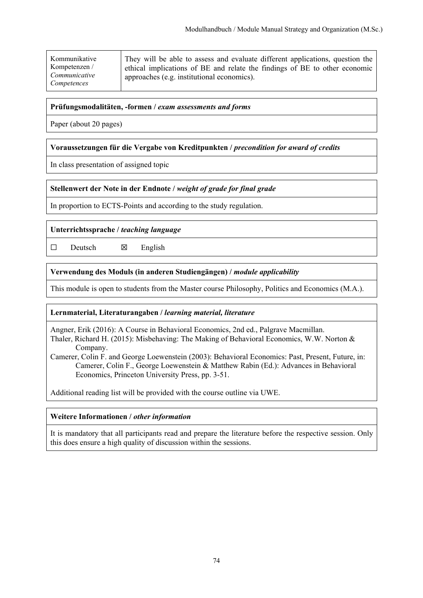| Kommunikative<br>Kompetenzen /<br>Communicative<br>Competences | They will be able to assess and evaluate different applications, question the<br>ethical implications of BE and relate the findings of BE to other economic<br>approaches (e.g. institutional economics). |
|----------------------------------------------------------------|-----------------------------------------------------------------------------------------------------------------------------------------------------------------------------------------------------------|
|----------------------------------------------------------------|-----------------------------------------------------------------------------------------------------------------------------------------------------------------------------------------------------------|

Paper (about 20 pages)

## **Voraussetzungen für die Vergabe von Kreditpunkten /** *precondition for award of credits*

In class presentation of assigned topic

## **Stellenwert der Note in der Endnote /** *weight of grade for final grade*

In proportion to ECTS-Points and according to the study regulation.

#### **Unterrichtssprache /** *teaching language*

 $\square$  Deutsch  $\square$  English

#### **Verwendung des Moduls (in anderen Studiengängen) /** *module applicability*

This module is open to students from the Master course Philosophy, Politics and Economics (M.A.).

## **Lernmaterial, Literaturangaben /** *learning material, literature*

Angner, Erik (2016): A Course in Behavioral Economics, 2nd ed., Palgrave Macmillan.

Thaler, Richard H. (2015): Misbehaving: The Making of Behavioral Economics, W.W. Norton & Company.

Camerer, Colin F. and George Loewenstein (2003): Behavioral Economics: Past, Present, Future, in: Camerer, Colin F., George Loewenstein & Matthew Rabin (Ed.): Advances in Behavioral Economics, Princeton University Press, pp. 3-51.

Additional reading list will be provided with the course outline via UWE.

#### **Weitere Informationen /** *other information*

It is mandatory that all participants read and prepare the literature before the respective session. Only this does ensure a high quality of discussion within the sessions.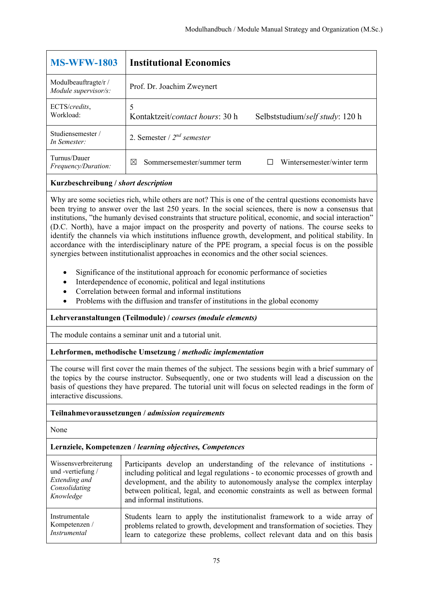| <b>MS-WFW-1803</b>                           | <b>Institutional Economics</b>                                          |
|----------------------------------------------|-------------------------------------------------------------------------|
| Modulbeauftragte/r /<br>Module supervisor/s: | Prof. Dr. Joachim Zweynert                                              |
| ECTS/credits,<br>Workload:                   | 5<br>Kontaktzeit/contact hours: 30 h<br>Selbststudium/self study: 120 h |
| Studiensemester/<br>In Semester:             | 2. Semester / $2^{nd}$ semester                                         |
| Turnus/Dauer<br><i>Frequency/Duration:</i>   | Wintersemester/winter term<br>Sommersemester/summer term<br>⊠           |

Why are some societies rich, while others are not? This is one of the central questions economists have been trying to answer over the last 250 years. In the social sciences, there is now a consensus that institutions, "the humanly devised constraints that structure political, economic, and social interaction" (D.C. North), have a major impact on the prosperity and poverty of nations. The course seeks to identify the channels via which institutions influence growth, development, and political stability. In accordance with the interdisciplinary nature of the PPE program, a special focus is on the possible synergies between institutionalist approaches in economics and the other social sciences.

- Significance of the institutional approach for economic performance of societies
- Interdependence of economic, political and legal institutions
- Correlation between formal and informal institutions
- Problems with the diffusion and transfer of institutions in the global economy

## **Lehrveranstaltungen (Teilmodule) /** *courses (module elements)*

The module contains a seminar unit and a tutorial unit.

## **Lehrformen, methodische Umsetzung /** *methodic implementation*

The course will first cover the main themes of the subject. The sessions begin with a brief summary of the topics by the course instructor. Subsequently, one or two students will lead a discussion on the basis of questions they have prepared. The tutorial unit will focus on selected readings in the form of interactive discussions.

## **Teilnahmevoraussetzungen /** *admission requirements*

None

| Wissensverbreiterung | Participants develop an understanding of the relevance of institutions -        |
|----------------------|---------------------------------------------------------------------------------|
| und -vertiefung /    | including political and legal regulations - to economic processes of growth and |
| Extending and        | development, and the ability to autonomously analyse the complex interplay      |
| Consolidating        | between political, legal, and economic constraints as well as between formal    |
| Knowledge            | and informal institutions.                                                      |
| Instrumentale        | Students learn to apply the institutionalist framework to a wide array of       |
| Kompetenzen /        | problems related to growth, development and transformation of societies. They   |
| Instrumental         | learn to categorize these problems, collect relevant data and on this basis     |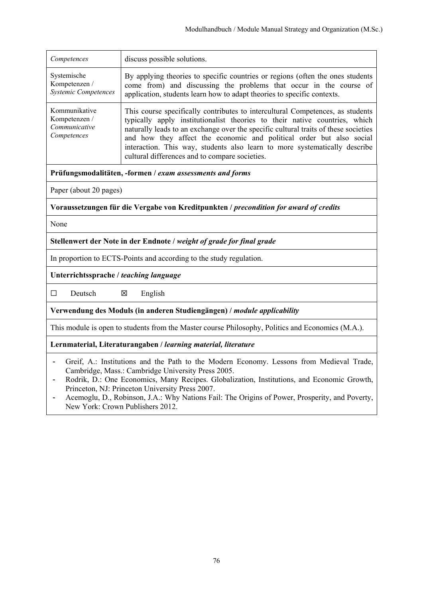| Competences                                                    | discuss possible solutions.                                                                                                                                                                                                                                                                                                                                                                                                                                 |
|----------------------------------------------------------------|-------------------------------------------------------------------------------------------------------------------------------------------------------------------------------------------------------------------------------------------------------------------------------------------------------------------------------------------------------------------------------------------------------------------------------------------------------------|
| Systemische<br>Kompetenzen /<br><b>Systemic Competences</b>    | By applying theories to specific countries or regions (often the ones students<br>come from) and discussing the problems that occur in the course of<br>application, students learn how to adapt theories to specific contexts.                                                                                                                                                                                                                             |
| Kommunikative<br>Kompetenzen /<br>Communicative<br>Competences | This course specifically contributes to intercultural Competences, as students<br>typically apply institutionalist theories to their native countries, which<br>naturally leads to an exchange over the specific cultural traits of these societies<br>and how they affect the economic and political order but also social<br>interaction. This way, students also learn to more systematically describe<br>cultural differences and to compare societies. |

Paper (about 20 pages)

**Voraussetzungen für die Vergabe von Kreditpunkten /** *precondition for award of credits*

None

**Stellenwert der Note in der Endnote /** *weight of grade for final grade*

In proportion to ECTS-Points and according to the study regulation.

**Unterrichtssprache /** *teaching language*

 $\square$  Deutsch  $\square$  English

**Verwendung des Moduls (in anderen Studiengängen) /** *module applicability* 

This module is open to students from the Master course Philosophy, Politics and Economics (M.A.).

**Lernmaterial, Literaturangaben /** *learning material, literature*

- Greif, A.: Institutions and the Path to the Modern Economy. Lessons from Medieval Trade, Cambridge, Mass.: Cambridge University Press 2005.
- Rodrik, D.: One Economics, Many Recipes. Globalization, Institutions, and Economic Growth, Princeton, NJ: Princeton University Press 2007.
- Acemoglu, D., Robinson, J.A.: Why Nations Fail: The Origins of Power, Prosperity, and Poverty, New York: Crown Publishers 2012.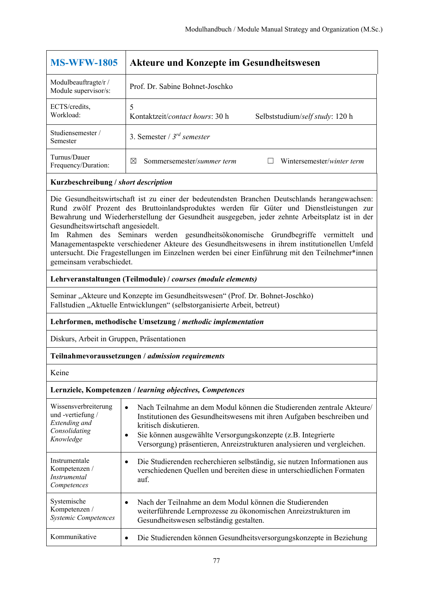| <b>MS-WFW-1805</b>                           | <b>Akteure und Konzepte im Gesundheitswesen</b>                                  |
|----------------------------------------------|----------------------------------------------------------------------------------|
| Modulbeauftragte/r /<br>Module supervisor/s: | Prof. Dr. Sabine Bohnet-Joschko                                                  |
| ECTS/credits.<br>Workload:                   | 5<br>Kontaktzeit/ <i>contact hours</i> : 30 h<br>Selbststudium/self study: 120 h |
| Studiensemester/<br>Semester                 | 3. Semester / $3^{rd}$ semester                                                  |
| Turnus/Dauer<br>Frequency/Duration:          | Sommersemester/summer term<br>Wintersemester/winter term<br>⊠                    |

Die Gesundheitswirtschaft ist zu einer der bedeutendsten Branchen Deutschlands herangewachsen: Rund zwölf Prozent des Bruttoinlandsproduktes werden für Güter und Dienstleistungen zur Bewahrung und Wiederherstellung der Gesundheit ausgegeben, jeder zehnte Arbeitsplatz ist in der Gesundheitswirtschaft angesiedelt.

Im Rahmen des Seminars werden gesundheitsökonomische Grundbegriffe vermittelt und Managementaspekte verschiedener Akteure des Gesundheitswesens in ihrem institutionellen Umfeld untersucht. Die Fragestellungen im Einzelnen werden bei einer Einführung mit den Teilnehmer\*innen gemeinsam verabschiedet.

# **Lehrveranstaltungen (Teilmodule) /** *courses (module elements)*

Seminar "Akteure und Konzepte im Gesundheitswesen" (Prof. Dr. Bohnet-Joschko) Fallstudien "Aktuelle Entwicklungen" (selbstorganisierte Arbeit, betreut)

# **Lehrformen, methodische Umsetzung /** *methodic implementation*

Diskurs, Arbeit in Gruppen, Präsentationen

## **Teilnahmevoraussetzungen /** *admission requirements*

Keine

| Wissensverbreiterung<br>und-vertiefung/<br>Extending and<br>Consolidating<br>Knowledge | $\bullet$<br>٠ | Nach Teilnahme an dem Modul können die Studierenden zentrale Akteure/<br>Institutionen des Gesundheitswesens mit ihren Aufgaben beschreiben und<br>kritisch diskutieren.<br>Sie können ausgewählte Versorgungskonzepte (z.B. Integrierte<br>Versorgung) präsentieren, Anreizstrukturen analysieren und vergleichen. |
|----------------------------------------------------------------------------------------|----------------|---------------------------------------------------------------------------------------------------------------------------------------------------------------------------------------------------------------------------------------------------------------------------------------------------------------------|
| Instrumentale<br>Kompetenzen /<br><i>Instrumental</i><br>Competences                   | $\bullet$      | Die Studierenden recherchieren selbständig, sie nutzen Informationen aus<br>verschiedenen Quellen und bereiten diese in unterschiedlichen Formaten<br>auf.                                                                                                                                                          |
| Systemische<br>Kompetenzen /<br><b>Systemic Competences</b>                            |                | Nach der Teilnahme an dem Modul können die Studierenden<br>weiterführende Lernprozesse zu ökonomischen Anreizstrukturen im<br>Gesundheitswesen selbständig gestalten.                                                                                                                                               |
| Kommunikative                                                                          |                | Die Studierenden können Gesundheitsversorgungskonzepte in Beziehung                                                                                                                                                                                                                                                 |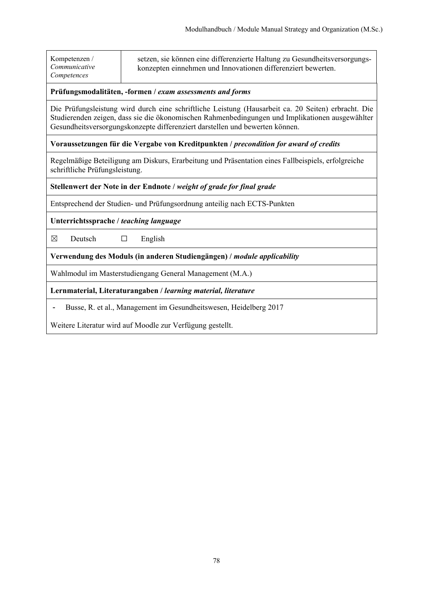| Kompetenzen /<br>Communicative<br>Competences                                                                                                                                                                                                                                          | setzen, sie können eine differenzierte Haltung zu Gesundheitsversorgungs-<br>konzepten einnehmen und Innovationen differenziert bewerten. |  |
|----------------------------------------------------------------------------------------------------------------------------------------------------------------------------------------------------------------------------------------------------------------------------------------|-------------------------------------------------------------------------------------------------------------------------------------------|--|
| Prüfungsmodalitäten, -formen / exam assessments and forms                                                                                                                                                                                                                              |                                                                                                                                           |  |
| Die Prüfungsleistung wird durch eine schriftliche Leistung (Hausarbeit ca. 20 Seiten) erbracht. Die<br>Studierenden zeigen, dass sie die ökonomischen Rahmenbedingungen und Implikationen ausgewählter<br>Gesundheitsversorgungskonzepte differenziert darstellen und bewerten können. |                                                                                                                                           |  |
| Voraussetzungen für die Vergabe von Kreditpunkten / precondition for award of credits                                                                                                                                                                                                  |                                                                                                                                           |  |
| Regelmäßige Beteiligung am Diskurs, Erarbeitung und Präsentation eines Fallbeispiels, erfolgreiche<br>schriftliche Prüfungsleistung.                                                                                                                                                   |                                                                                                                                           |  |
| Stellenwert der Note in der Endnote / weight of grade for final grade                                                                                                                                                                                                                  |                                                                                                                                           |  |
| Entsprechend der Studien- und Prüfungsordnung anteilig nach ECTS-Punkten                                                                                                                                                                                                               |                                                                                                                                           |  |
| Unterrichtssprache / teaching language                                                                                                                                                                                                                                                 |                                                                                                                                           |  |
| Deutsch<br>⊠                                                                                                                                                                                                                                                                           | English<br>□                                                                                                                              |  |
| Verwendung des Moduls (in anderen Studiengängen) / module applicability                                                                                                                                                                                                                |                                                                                                                                           |  |
| Wahlmodul im Masterstudiengang General Management (M.A.)                                                                                                                                                                                                                               |                                                                                                                                           |  |
| Lernmaterial, Literaturangaben / learning material, literature                                                                                                                                                                                                                         |                                                                                                                                           |  |
| Busse, R. et al., Management im Gesundheitswesen, Heidelberg 2017                                                                                                                                                                                                                      |                                                                                                                                           |  |

Weitere Literatur wird auf Moodle zur Verfügung gestellt.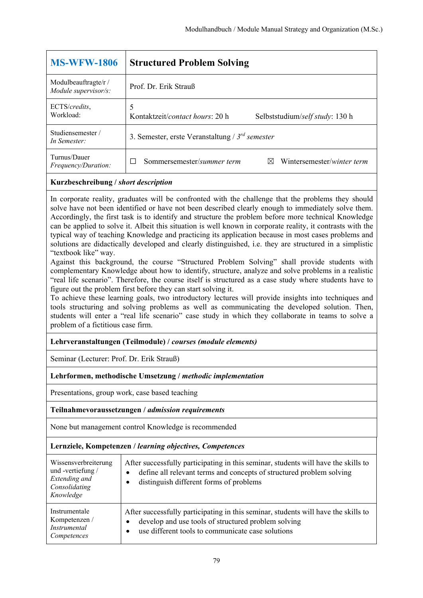| <b>MS-WFW-1806</b>                           | <b>Structured Problem Solving</b>                                                |
|----------------------------------------------|----------------------------------------------------------------------------------|
| Modulbeauftragte/r /<br>Module supervisor/s: | Prof. Dr. Erik Strauß                                                            |
| ECTS/credits,<br>Workload:                   | 5<br>Kontaktzeit/ <i>contact hours</i> : 20 h<br>Selbststudium/self study: 130 h |
| Studiensemester/<br>In Semester:             | 3. Semester, erste Veranstaltung / $3^{rd}$ semester                             |
| Turnus/Dauer<br>Frequency/Duration:          | Sommersemester/summer term<br>Wintersemester/winter term<br>⊠                    |

In corporate reality, graduates will be confronted with the challenge that the problems they should solve have not been identified or have not been described clearly enough to immediately solve them. Accordingly, the first task is to identify and structure the problem before more technical Knowledge can be applied to solve it. Albeit this situation is well known in corporate reality, it contrasts with the typical way of teaching Knowledge and practicing its application because in most cases problems and solutions are didactically developed and clearly distinguished, i.e. they are structured in a simplistic "textbook like" way.

Against this background, the course "Structured Problem Solving" shall provide students with complementary Knowledge about how to identify, structure, analyze and solve problems in a realistic "real life scenario". Therefore, the course itself is structured as a case study where students have to figure out the problem first before they can start solving it.

To achieve these learning goals, two introductory lectures will provide insights into techniques and tools structuring and solving problems as well as communicating the developed solution. Then, students will enter a "real life scenario" case study in which they collaborate in teams to solve a problem of a fictitious case firm.

## **Lehrveranstaltungen (Teilmodule) /** *courses (module elements)*

Seminar (Lecturer: Prof. Dr. Erik Strauß)

## **Lehrformen, methodische Umsetzung /** *methodic implementation*

Presentations, group work, case based teaching

**Teilnahmevoraussetzungen /** *admission requirements*

None but management control Knowledge is recommended

| Wissensverbreiterung<br>und -vertiefung /<br>Extending and<br>Consolidating<br>Knowledge | After successfully participating in this seminar, students will have the skills to<br>define all relevant terms and concepts of structured problem solving<br>distinguish different forms of problems |
|------------------------------------------------------------------------------------------|-------------------------------------------------------------------------------------------------------------------------------------------------------------------------------------------------------|
| Instrumentale                                                                            | After successfully participating in this seminar, students will have the skills to                                                                                                                    |
| Kompetenzen /                                                                            | develop and use tools of structured problem solving                                                                                                                                                   |
| Instrumental                                                                             | use different tools to communicate case solutions                                                                                                                                                     |
| Competences                                                                              | $\bullet$                                                                                                                                                                                             |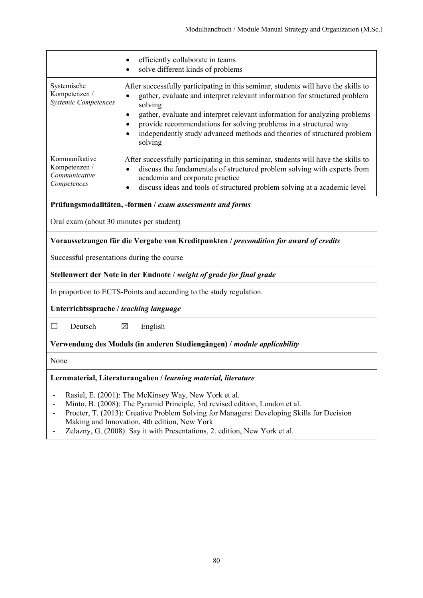|                                                                                                                                                                                                                                  | efficiently collaborate in teams<br>$\bullet$<br>solve different kinds of problems<br>$\bullet$                                                                                                                                                                                                                                                                                                                                                            |  |
|----------------------------------------------------------------------------------------------------------------------------------------------------------------------------------------------------------------------------------|------------------------------------------------------------------------------------------------------------------------------------------------------------------------------------------------------------------------------------------------------------------------------------------------------------------------------------------------------------------------------------------------------------------------------------------------------------|--|
| Systemische<br>Kompetenzen /<br>Systemic Competences                                                                                                                                                                             | After successfully participating in this seminar, students will have the skills to<br>gather, evaluate and interpret relevant information for structured problem<br>$\bullet$<br>solving<br>gather, evaluate and interpret relevant information for analyzing problems<br>$\bullet$<br>provide recommendations for solving problems in a structured way<br>$\bullet$<br>independently study advanced methods and theories of structured problem<br>solving |  |
| Kommunikative<br>Kompetenzen /<br>Communicative<br>Competences                                                                                                                                                                   | After successfully participating in this seminar, students will have the skills to<br>discuss the fundamentals of structured problem solving with experts from<br>$\bullet$<br>academia and corporate practice<br>discuss ideas and tools of structured problem solving at a academic level<br>$\bullet$                                                                                                                                                   |  |
| Prüfungsmodalitäten, -formen / exam assessments and forms                                                                                                                                                                        |                                                                                                                                                                                                                                                                                                                                                                                                                                                            |  |
| Oral exam (about 30 minutes per student)                                                                                                                                                                                         |                                                                                                                                                                                                                                                                                                                                                                                                                                                            |  |
| Voraussetzungen für die Vergabe von Kreditpunkten / precondition for award of credits                                                                                                                                            |                                                                                                                                                                                                                                                                                                                                                                                                                                                            |  |
| Successful presentations during the course                                                                                                                                                                                       |                                                                                                                                                                                                                                                                                                                                                                                                                                                            |  |
| Stellenwert der Note in der Endnote / weight of grade for final grade                                                                                                                                                            |                                                                                                                                                                                                                                                                                                                                                                                                                                                            |  |
| In proportion to ECTS-Points and according to the study regulation.                                                                                                                                                              |                                                                                                                                                                                                                                                                                                                                                                                                                                                            |  |
| Unterrichtssprache / teaching language                                                                                                                                                                                           |                                                                                                                                                                                                                                                                                                                                                                                                                                                            |  |
| П<br>Deutsch                                                                                                                                                                                                                     | $\boxtimes$<br>English                                                                                                                                                                                                                                                                                                                                                                                                                                     |  |
| Verwendung des Moduls (in anderen Studiengängen) / module applicability                                                                                                                                                          |                                                                                                                                                                                                                                                                                                                                                                                                                                                            |  |
| None                                                                                                                                                                                                                             |                                                                                                                                                                                                                                                                                                                                                                                                                                                            |  |
| Lernmaterial, Literaturangaben / learning material, literature                                                                                                                                                                   |                                                                                                                                                                                                                                                                                                                                                                                                                                                            |  |
| Rasiel, E. (2001): The McKinsey Way, New York et al.<br>Minto, B. (2008): The Pyramid Principle, 3rd revised edition, London et al.<br>Procter, T. (2013): Creative Problem Solving for Managers: Developing Skills for Decision |                                                                                                                                                                                                                                                                                                                                                                                                                                                            |  |

- Making and Innovation, 4th edition, New York
- Zelazny, G. (2008): Say it with Presentations, 2. edition, New York et al.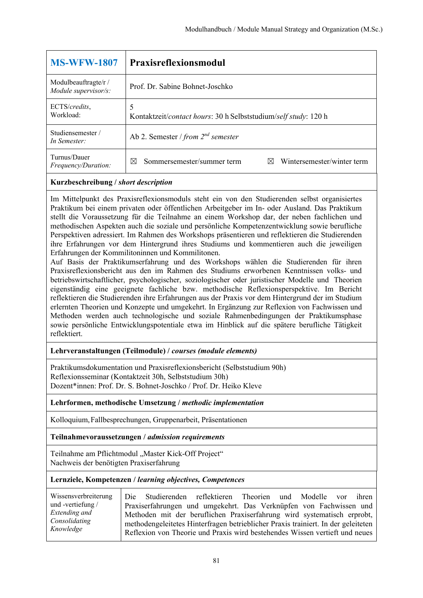| <b>MS-WFW-1807</b>                           | <b>Praxisreflexionsmodul</b>                                         |  |  |
|----------------------------------------------|----------------------------------------------------------------------|--|--|
| Modulbeauftragte/r /<br>Module supervisor/s: | Prof. Dr. Sabine Bohnet-Joschko                                      |  |  |
| ECTS/credits,<br>Workload:                   | 5<br>Kontaktzeit/contact hours: 30 h Selbststudium/self study: 120 h |  |  |
| Studiensemester/<br>In Semester:             | Ab 2. Semester / from $2^{nd}$ semester                              |  |  |
| Turnus/Dauer<br><i>Frequency/Duration:</i>   | Wintersemester/winter term<br>Sommersemester/summer term<br>⊠<br>M   |  |  |

Im Mittelpunkt des Praxisreflexionsmoduls steht ein von den Studierenden selbst organisiertes Praktikum bei einem privaten oder öffentlichen Arbeitgeber im In- oder Ausland. Das Praktikum stellt die Voraussetzung für die Teilnahme an einem Workshop dar, der neben fachlichen und methodischen Aspekten auch die soziale und persönliche Kompetenzentwicklung sowie berufliche Perspektiven adressiert. Im Rahmen des Workshops präsentieren und reflektieren die Studierenden ihre Erfahrungen vor dem Hintergrund ihres Studiums und kommentieren auch die jeweiligen Erfahrungen der Kommilitoninnen und Kommilitonen.

Auf Basis der Praktikumserfahrung und des Workshops wählen die Studierenden für ihren Praxisreflexionsbericht aus den im Rahmen des Studiums erworbenen Kenntnissen volks- und betriebswirtschaftlicher, psychologischer, soziologischer oder juristischer Modelle und Theorien eigenständig eine geeignete fachliche bzw. methodische Reflexionsperspektive. Im Bericht reflektieren die Studierenden ihre Erfahrungen aus der Praxis vor dem Hintergrund der im Studium erlernten Theorien und Konzepte und umgekehrt. In Ergänzung zur Reflexion von Fachwissen und Methoden werden auch technologische und soziale Rahmenbedingungen der Praktikumsphase sowie persönliche Entwicklungspotentiale etwa im Hinblick auf die spätere berufliche Tätigkeit reflektiert.

## **Lehrveranstaltungen (Teilmodule) /** *courses (module elements)*

Praktikumsdokumentation und Praxisreflexionsbericht (Selbststudium 90h) Reflexionsseminar (Kontaktzeit 30h, Selbststudium 30h) Dozent\*innen: Prof. Dr. S. Bohnet-Joschko / Prof. Dr. Heiko Kleve

## **Lehrformen, methodische Umsetzung /** *methodic implementation*

Kolloquium, Fallbesprechungen, Gruppenarbeit, Präsentationen

**Teilnahmevoraussetzungen /** *admission requirements*

Teilnahme am Pflichtmodul "Master Kick-Off Project" Nachweis der benötigten Praxiserfahrung

#### **Lernziele, Kompetenzen /** *learning objectives, Competences*

Wissensverbreiterung und -vertiefung / *Extending and Consolidating Knowledge* Die Studierenden reflektieren Theorien und Modelle vor ihren Praxiserfahrungen und umgekehrt. Das Verknüpfen von Fachwissen und Methoden mit der beruflichen Praxiserfahrung wird systematisch erprobt, methodengeleitetes Hinterfragen betrieblicher Praxis trainiert. In der geleiteten Reflexion von Theorie und Praxis wird bestehendes Wissen vertieft und neues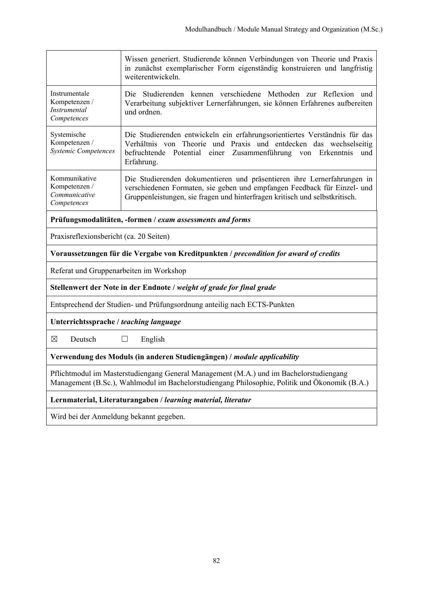|                                                                                                                                                                                         | Wissen generiert. Studierende können Verbindungen von Theorie und Praxis<br>in zunächst exemplarischer Form eigenständig konstruieren und langfristig<br>weiterentwickeln.                                                             |  |  |  |  |
|-----------------------------------------------------------------------------------------------------------------------------------------------------------------------------------------|----------------------------------------------------------------------------------------------------------------------------------------------------------------------------------------------------------------------------------------|--|--|--|--|
| Instrumentale<br>Kompetenzen /<br><b>Instrumental</b><br>Competences                                                                                                                    | Die Studierenden kennen verschiedene Methoden zur Reflexion und<br>Verarbeitung subjektiver Lernerfahrungen, sie können Erfahrenes aufbereiten<br>und ordnen.                                                                          |  |  |  |  |
| Systemische<br>Kompetenzen /<br><b>Systemic Competences</b>                                                                                                                             | Die Studierenden entwickeln ein erfahrungsorientiertes Verständnis für das<br>Verhältnis von Theorie und Praxis und entdecken das wechselseitig<br>Potential einer Zusammenführung von Erkenntnis<br>befruchtende<br>und<br>Erfahrung. |  |  |  |  |
| Kommunikative<br>Kompetenzen /<br>Communicative<br>Competences                                                                                                                          | Die Studierenden dokumentieren und präsentieren ihre Lernerfahrungen in<br>verschiedenen Formaten, sie geben und empfangen Feedback für Einzel- und<br>Gruppenleistungen, sie fragen und hinterfragen kritisch und selbstkritisch.     |  |  |  |  |
| Prüfungsmodalitäten, -formen / exam assessments and forms                                                                                                                               |                                                                                                                                                                                                                                        |  |  |  |  |
| Praxisreflexionsbericht (ca. 20 Seiten)                                                                                                                                                 |                                                                                                                                                                                                                                        |  |  |  |  |
| Voraussetzungen für die Vergabe von Kreditpunkten / precondition for award of credits                                                                                                   |                                                                                                                                                                                                                                        |  |  |  |  |
| Referat und Gruppenarbeiten im Workshop                                                                                                                                                 |                                                                                                                                                                                                                                        |  |  |  |  |
| Stellenwert der Note in der Endnote / weight of grade for final grade                                                                                                                   |                                                                                                                                                                                                                                        |  |  |  |  |
| Entsprechend der Studien- und Prüfungsordnung anteilig nach ECTS-Punkten                                                                                                                |                                                                                                                                                                                                                                        |  |  |  |  |
| Unterrichtssprache / teaching language                                                                                                                                                  |                                                                                                                                                                                                                                        |  |  |  |  |
| ⊠<br>Deutsch<br>English<br>⊔                                                                                                                                                            |                                                                                                                                                                                                                                        |  |  |  |  |
|                                                                                                                                                                                         | Verwendung des Moduls (in anderen Studiengängen) / module applicability                                                                                                                                                                |  |  |  |  |
| Pflichtmodul im Masterstudiengang General Management (M.A.) und im Bachelorstudiengang<br>Management (B.Sc.), Wahlmodul im Bachelorstudiengang Philosophie, Politik und Ökonomik (B.A.) |                                                                                                                                                                                                                                        |  |  |  |  |
| Lernmaterial, Literaturangaben / learning material, literatur                                                                                                                           |                                                                                                                                                                                                                                        |  |  |  |  |
|                                                                                                                                                                                         |                                                                                                                                                                                                                                        |  |  |  |  |

Wird bei der Anmeldung bekannt gegeben.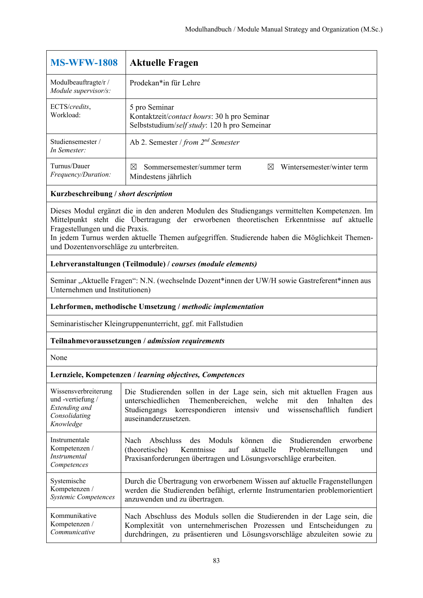| <b>MS-WFW-1808</b>                           | <b>Aktuelle Fragen</b>                                                                                       |  |  |  |
|----------------------------------------------|--------------------------------------------------------------------------------------------------------------|--|--|--|
| Modulbeauftragte/r /<br>Module supervisor/s: | Prodekan*in für Lehre                                                                                        |  |  |  |
| ECTS/credits,<br>Workload:                   | 5 pro Seminar<br>Kontaktzeit/contact hours: 30 h pro Seminar<br>Selbststudium/self study: 120 h pro Semeinar |  |  |  |
| Studiensemester/<br>In Semester:             | Ab 2. Semester / from $2^{nd}$ Semester                                                                      |  |  |  |
| Turnus/Dauer<br><i>Frequency/Duration:</i>   | Wintersemester/winter term<br>Sommersemester/summer term<br>M<br>$\boxtimes$<br>Mindestens jährlich          |  |  |  |

Dieses Modul ergänzt die in den anderen Modulen des Studiengangs vermittelten Kompetenzen. Im Mittelpunkt steht die Übertragung der erworbenen theoretischen Erkenntnisse auf aktuelle Fragestellungen und die Praxis.

In jedem Turnus werden aktuelle Themen aufgegriffen. Studierende haben die Möglichkeit Themenund Dozentenvorschläge zu unterbreiten.

## **Lehrveranstaltungen (Teilmodule) /** *courses (module elements)*

Seminar "Aktuelle Fragen": N.N. (wechselnde Dozent\*innen der UW/H sowie Gastreferent\*innen aus Unternehmen und Institutionen)

## **Lehrformen, methodische Umsetzung /** *methodic implementation*

Seminaristischer Kleingruppenunterricht, ggf. mit Fallstudien

#### **Teilnahmevoraussetzungen /** *admission requirements*

None

| Wissensverbreiterung<br>und -vertiefung /<br>Extending and<br>Consolidating<br>Knowledge | Die Studierenden sollen in der Lage sein, sich mit aktuellen Fragen aus<br>unterschiedlichen Themenbereichen, welche mit den Inhalten<br>des<br>Studiengangs korrespondieren intensiv und wissenschaftlich<br>fundiert<br>auseinanderzusetzen. |
|------------------------------------------------------------------------------------------|------------------------------------------------------------------------------------------------------------------------------------------------------------------------------------------------------------------------------------------------|
| Instrumentale<br>Kompetenzen /<br><i>Instrumental</i><br>Competences                     | Nach Abschluss des Moduls können die Studierenden erworbene<br>Kenntnisse auf aktuelle<br>(theoretische)<br>Problemstellungen<br>und<br>Praxisanforderungen übertragen und Lösungsvorschläge erarbeiten.                                       |
| Systemische                                                                              | Durch die Übertragung von erworbenem Wissen auf aktuelle Fragenstellungen                                                                                                                                                                      |
| Kompetenzen /                                                                            | werden die Studierenden befähigt, erlernte Instrumentarien problemorientiert                                                                                                                                                                   |
| <b>Systemic Competences</b>                                                              | anzuwenden und zu übertragen.                                                                                                                                                                                                                  |
| Kommunikative                                                                            | Nach Abschluss des Moduls sollen die Studierenden in der Lage sein, die                                                                                                                                                                        |
| Kompetenzen /                                                                            | Komplexität von unternehmerischen Prozessen und Entscheidungen zu                                                                                                                                                                              |
| Communicative                                                                            | durchdringen, zu präsentieren und Lösungsvorschläge abzuleiten sowie zu                                                                                                                                                                        |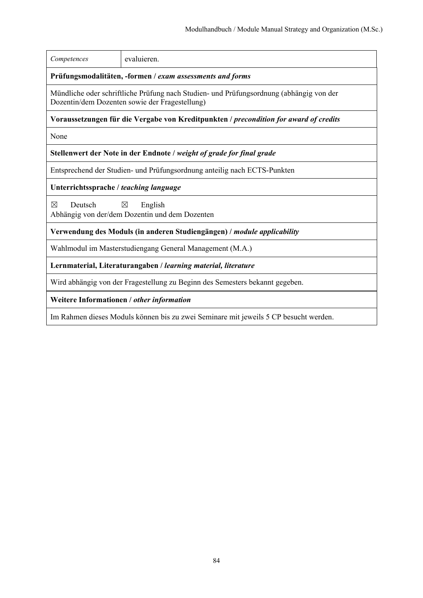| Competences                                                                                                                               | evaluieren.                                                              |  |  |
|-------------------------------------------------------------------------------------------------------------------------------------------|--------------------------------------------------------------------------|--|--|
| Prüfungsmodalitäten, -formen / exam assessments and forms                                                                                 |                                                                          |  |  |
| Mündliche oder schriftliche Prüfung nach Studien- und Prüfungsordnung (abhängig von der<br>Dozentin/dem Dozenten sowie der Fragestellung) |                                                                          |  |  |
| Voraussetzungen für die Vergabe von Kreditpunkten / <i>precondition for award of credits</i>                                              |                                                                          |  |  |
| None                                                                                                                                      |                                                                          |  |  |
|                                                                                                                                           | Stellenwert der Note in der Endnote / weight of grade for final grade    |  |  |
|                                                                                                                                           | Entsprechend der Studien- und Prüfungsordnung anteilig nach ECTS-Punkten |  |  |
| Unterrichtssprache / teaching language                                                                                                    |                                                                          |  |  |
| $\boxtimes$<br>Deutsch<br>English<br>⊠<br>Abhängig von der/dem Dozentin und dem Dozenten                                                  |                                                                          |  |  |
| Verwendung des Moduls (in anderen Studiengängen) / module applicability                                                                   |                                                                          |  |  |
| Wahlmodul im Masterstudiengang General Management (M.A.)                                                                                  |                                                                          |  |  |
| Lernmaterial, Literaturangaben / learning material, literature                                                                            |                                                                          |  |  |
| Wird abhängig von der Fragestellung zu Beginn des Semesters bekannt gegeben.                                                              |                                                                          |  |  |
| Weitere Informationen / other information                                                                                                 |                                                                          |  |  |
| Im Rahmen dieses Moduls können bis zu zwei Seminare mit jeweils 5 CP besucht werden.                                                      |                                                                          |  |  |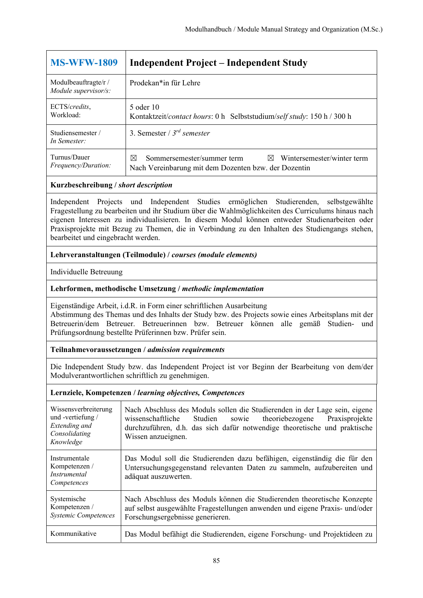| <b>MS-WFW-1809</b>                           | <b>Independent Project – Independent Study</b>                                                                                       |  |  |  |
|----------------------------------------------|--------------------------------------------------------------------------------------------------------------------------------------|--|--|--|
| Modulbeauftragte/r /<br>Module supervisor/s: | Prodekan*in für Lehre                                                                                                                |  |  |  |
| ECTS/credits.<br>Workload:                   | 5 oder 10<br>Kontaktzeit/contact hours: 0 h Selbststudium/self study: 150 h / 300 h                                                  |  |  |  |
| Studiensemester/<br>In Semester:             | 3. Semester / $3^{rd}$ semester                                                                                                      |  |  |  |
| Turnus/Dauer<br><i>Frequency/Duration:</i>   | Wintersemester/winter term<br>Sommersemester/summer term<br>⊠<br>$\boxtimes$<br>Nach Vereinbarung mit dem Dozenten bzw. der Dozentin |  |  |  |

Independent Projects und Independent Studies ermöglichen Studierenden, selbstgewählte Fragestellung zu bearbeiten und ihr Studium über die Wahlmöglichkeiten des Curriculums hinaus nach eigenen Interessen zu individualisieren. In diesem Modul können entweder Studienarbeiten oder Praxisprojekte mit Bezug zu Themen, die in Verbindung zu den Inhalten des Studiengangs stehen, bearbeitet und eingebracht werden.

# **Lehrveranstaltungen (Teilmodule) /** *courses (module elements)*

Individuelle Betreuung

# **Lehrformen, methodische Umsetzung /** *methodic implementation*

Eigenständige Arbeit, i.d.R. in Form einer schriftlichen Ausarbeitung Abstimmung des Themas und des Inhalts der Study bzw. des Projects sowie eines Arbeitsplans mit der Betreuerin/dem Betreuer. Betreuerinnen bzw. Betreuer können alle gemäß Studien- und Prüfungsordnung bestellte Prüferinnen bzw. Prüfer sein.

## **Teilnahmevoraussetzungen /** *admission requirements*

Die Independent Study bzw. das Independent Project ist vor Beginn der Bearbeitung von dem/der Modulverantwortlichen schriftlich zu genehmigen.

| Wissensverbreiterung<br>und-vertiefung/<br>Extending and<br>Consolidating<br>Knowledge | Nach Abschluss des Moduls sollen die Studierenden in der Lage sein, eigene<br>theoriebezogene<br>Praxisprojekte<br>Studien<br>wissenschaftliche<br>sowie<br>durchzuführen, d.h. das sich dafür notwendige theoretische und praktische<br>Wissen anzueignen. |
|----------------------------------------------------------------------------------------|-------------------------------------------------------------------------------------------------------------------------------------------------------------------------------------------------------------------------------------------------------------|
| Instrumentale<br>Kompetenzen /<br>Instrumental<br>Competences                          | Das Modul soll die Studierenden dazu befähigen, eigenständig die für den<br>Untersuchungsgegenstand relevanten Daten zu sammeln, aufzubereiten und<br>adäquat auszuwerten.                                                                                  |
| Systemische<br>Kompetenzen /<br><b>Systemic Competences</b>                            | Nach Abschluss des Moduls können die Studierenden theoretische Konzepte<br>auf selbst ausgewählte Fragestellungen anwenden und eigene Praxis- und/oder<br>Forschungsergebnisse generieren.                                                                  |
| Kommunikative                                                                          | Das Modul befähigt die Studierenden, eigene Forschung- und Projektideen zu                                                                                                                                                                                  |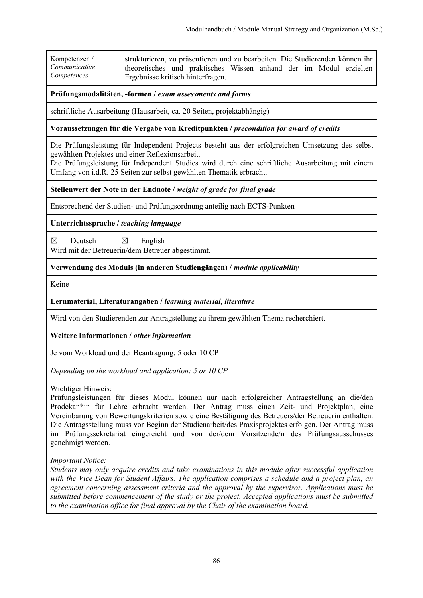| Kompetenzen /                | strukturieren, zu präsentieren und zu bearbeiten. Die Studierenden können ihr                           |  |  |  |  |
|------------------------------|---------------------------------------------------------------------------------------------------------|--|--|--|--|
| Communicative<br>Competences | theoretisches und praktisches Wissen anhand der im Modul erzielten<br>Ergebnisse kritisch hinterfragen. |  |  |  |  |

schriftliche Ausarbeitung (Hausarbeit, ca. 20 Seiten, projektabhängig)

#### **Voraussetzungen für die Vergabe von Kreditpunkten /** *precondition for award of credits*

Die Prüfungsleistung für Independent Projects besteht aus der erfolgreichen Umsetzung des selbst gewählten Projektes und einer Reflexionsarbeit.

Die Prüfungsleistung für Independent Studies wird durch eine schriftliche Ausarbeitung mit einem Umfang von i.d.R. 25 Seiten zur selbst gewählten Thematik erbracht.

**Stellenwert der Note in der Endnote /** *weight of grade for final grade*

Entsprechend der Studien- und Prüfungsordnung anteilig nach ECTS-Punkten

**Unterrichtssprache /** *teaching language*

 $\boxtimes$  Deutsch  $\boxtimes$  English Wird mit der Betreuerin/dem Betreuer abgestimmt.

**Verwendung des Moduls (in anderen Studiengängen) /** *module applicability* 

Keine

#### **Lernmaterial, Literaturangaben /** *learning material, literature*

Wird von den Studierenden zur Antragstellung zu ihrem gewählten Thema recherchiert.

**Weitere Informationen /** *other information*

Je vom Workload und der Beantragung: 5 oder 10 CP

*Depending on the workload and application: 5 or 10 CP* 

Wichtiger Hinweis:

Prüfungsleistungen für dieses Modul können nur nach erfolgreicher Antragstellung an die/den Prodekan\*in für Lehre erbracht werden. Der Antrag muss einen Zeit- und Projektplan, eine Vereinbarung von Bewertungskriterien sowie eine Bestätigung des Betreuers/der Betreuerin enthalten. Die Antragsstellung muss vor Beginn der Studienarbeit/des Praxisprojektes erfolgen. Der Antrag muss im Prüfungssekretariat eingereicht und von der/dem Vorsitzende/n des Prüfungsausschusses genehmigt werden.

## *Important Notice:*

*Students may only acquire credits and take examinations in this module after successful application with the Vice Dean for Student Affairs. The application comprises a schedule and a project plan, an agreement concerning assessment criteria and the approval by the supervisor. Applications must be submitted before commencement of the study or the project. Accepted applications must be submitted to the examination office for final approval by the Chair of the examination board.*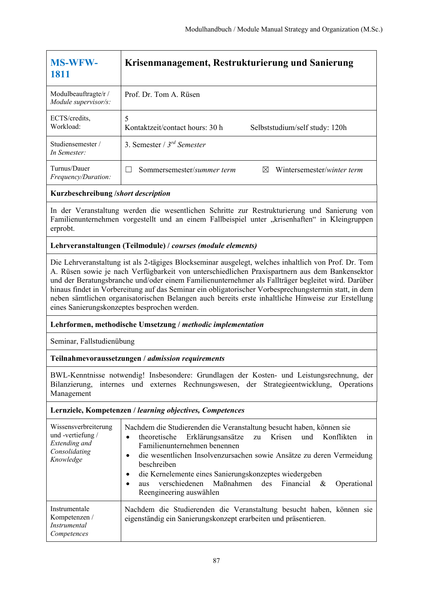| <b>MS-WFW-</b><br>1811                      | Krisenmanagement, Restrukturierung und Sanierung                       |  |  |
|---------------------------------------------|------------------------------------------------------------------------|--|--|
| Modulbeauftragte/r/<br>Module supervisor/s: | Prof. Dr. Tom A. Rüsen                                                 |  |  |
| ECTS/credits,<br>Workload:                  | 5<br>Kontaktzeit/contact hours: 30 h<br>Selbststudium/self study: 120h |  |  |
| Studiensemester/<br>In Semester:            | 3. Semester / $3^{rd}$ Semester                                        |  |  |
| Turnus/Dauer<br>Frequency/Duration:         | Sommersemester/summer term<br>Wintersemester/winter term<br>M          |  |  |
| Kurzbeschreibung /short description         |                                                                        |  |  |

In der Veranstaltung werden die wesentlichen Schritte zur Restrukturierung und Sanierung von Familienunternehmen vorgestellt und an einem Fallbeispiel unter "krisenhaften" in Kleingruppen erprobt.

# **Lehrveranstaltungen (Teilmodule) /** *courses (module elements)*

Die Lehrveranstaltung ist als 2-tägiges Blockseminar ausgelegt, welches inhaltlich von Prof. Dr. Tom A. Rüsen sowie je nach Verfügbarkeit von unterschiedlichen Praxispartnern aus dem Bankensektor und der Beratungsbranche und/oder einem Familienunternehmer als Fallträger begleitet wird. Darüber hinaus findet in Vorbereitung auf das Seminar ein obligatorischer Vorbesprechungstermin statt, in dem neben sämtlichen organisatorischen Belangen auch bereits erste inhaltliche Hinweise zur Erstellung eines Sanierungskonzeptes besprochen werden.

## **Lehrformen, methodische Umsetzung /** *methodic implementation*

Seminar, Fallstudienübung

## **Teilnahmevoraussetzungen /** *admission requirements*

BWL-Kenntnisse notwendig! Insbesondere: Grundlagen der Kosten- und Leistungsrechnung, der Bilanzierung, internes und externes Rechnungswesen, der Strategieentwicklung, Operations Management

| Wissensverbreiterung<br>und -vertiefung /<br>Extending and<br>Consolidating<br>Knowledge | Nachdem die Studierenden die Veranstaltung besucht haben, können sie<br>theoretische<br>Erklärungsansätze zu Krisen<br>und Konflikten<br>in<br>$\bullet$<br>Familienunternehmen benennen<br>die wesentlichen Insolvenzursachen sowie Ansätze zu deren Vermeidung<br>٠<br>beschreiben<br>die Kernelemente eines Sanierungskonzeptes wiedergeben<br>$\bullet$<br>verschiedenen Maßnahmen des Financial<br>Operational<br>&<br>aus<br>Reengineering auswählen |
|------------------------------------------------------------------------------------------|------------------------------------------------------------------------------------------------------------------------------------------------------------------------------------------------------------------------------------------------------------------------------------------------------------------------------------------------------------------------------------------------------------------------------------------------------------|
| Instrumentale<br>Kompetenzen /<br>Instrumental<br>Competences                            | Nachdem die Studierenden die Veranstaltung besucht haben, können sie<br>eigenständig ein Sanierungskonzept erarbeiten und präsentieren.                                                                                                                                                                                                                                                                                                                    |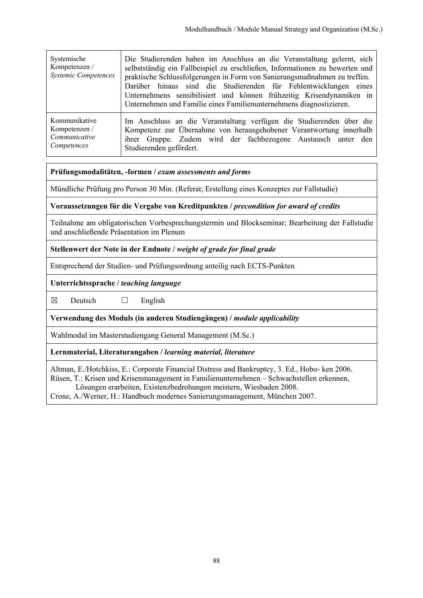| Systemische<br>Kompetenzen /<br><b>Systemic Competences</b> | Die Studierenden haben im Anschluss an die Veranstaltung gelernt, sich<br>selbstständig ein Fallbeispiel zu erschließen, Informationen zu bewerten und<br>praktische Schlussfolgerungen in Form von Sanierungsmaßnahmen zu treffen.<br>Darüber hinaus sind die Studierenden für Fehlentwicklungen eines<br>Unternehmens sensibilisiert und können frühzeitig Krisendynamiken in<br>Unternehmen und Familie eines Familienunternehmens diagnostizieren. |
|-------------------------------------------------------------|--------------------------------------------------------------------------------------------------------------------------------------------------------------------------------------------------------------------------------------------------------------------------------------------------------------------------------------------------------------------------------------------------------------------------------------------------------|
| Kommunikative                                               | Im Anschluss an die Veranstaltung verfügen die Studierenden über die                                                                                                                                                                                                                                                                                                                                                                                   |
| Kompetenzen /                                               | Kompetenz zur Übernahme von herausgehobener Verantwortung innerhalb                                                                                                                                                                                                                                                                                                                                                                                    |
| Communicative                                               | ihrer Gruppe. Zudem wird der fachbezogene Austausch unter den                                                                                                                                                                                                                                                                                                                                                                                          |
| Competences                                                 | Studierenden gefördert.                                                                                                                                                                                                                                                                                                                                                                                                                                |

Mündliche Prüfung pro Person 30 Min. (Referat; Erstellung eines Konzeptes zur Fallstudie)

#### **Voraussetzungen für die Vergabe von Kreditpunkten /** *precondition for award of credits*

Teilnahme am obligatorischen Vorbesprechungstermin und Blockseminar; Bearbeitung der Fallstudie und anschließende Präsentation im Plenum

#### **Stellenwert der Note in der Endnote /** *weight of grade for final grade*

Entsprechend der Studien- und Prüfungsordnung anteilig nach ECTS-Punkten

**Unterrichtssprache /** *teaching language*

 $\boxtimes$  Deutsch  $\Box$  English

**Verwendung des Moduls (in anderen Studiengängen) /** *module applicability*

Wahlmodul im Masterstudiengang General Management (M.Sc.)

#### **Lernmaterial, Literaturangaben /** *learning material, literature*

Altman, E./Hotchkiss, E.: Corporate Financial Distress and Bankruptcy, 3. Ed., Hobo- ken 2006. Rüsen, T.: Krisen und Krisenmanagement in Familienunternehmen – Schwachstellen erkennen, Lösungen erarbeiten, Existenzbedrohungen meistern, Wiesbaden 2008.

Crone, A./Werner, H.: Handbuch modernes Sanierungsmanagement, München 2007.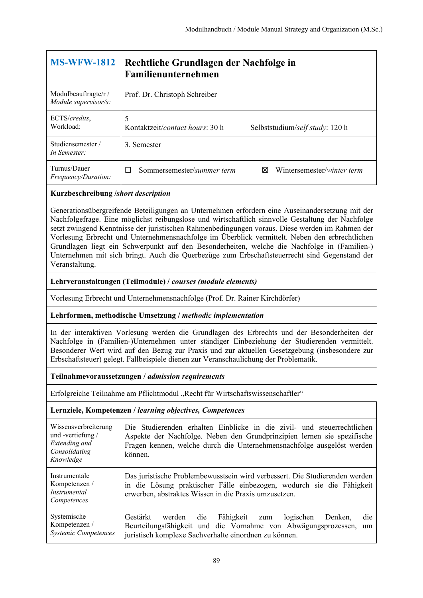| <b>MS-WFW-1812</b>                           | Rechtliche Grundlagen der Nachfolge in<br>Familienunternehmen                    |  |  |
|----------------------------------------------|----------------------------------------------------------------------------------|--|--|
| Modulbeauftragte/r /<br>Module supervisor/s: | Prof. Dr. Christoph Schreiber                                                    |  |  |
| ECTS/credits,<br>Workload:                   | 5<br>Kontaktzeit/ <i>contact hours</i> : 30 h<br>Selbststudium/self study: 120 h |  |  |
| Studiensemester/<br>In Semester:             | 3. Semester                                                                      |  |  |
| Turnus/Dauer<br><i>Frequency/Duration:</i>   | Sommersemester/summer term<br>Wintersemester/winter term<br>⊠                    |  |  |

Generationsübergreifende Beteiligungen an Unternehmen erfordern eine Auseinandersetzung mit der Nachfolgefrage. Eine möglichst reibungslose und wirtschaftlich sinnvolle Gestaltung der Nachfolge setzt zwingend Kenntnisse der juristischen Rahmenbedingungen voraus. Diese werden im Rahmen der Vorlesung Erbrecht und Unternehmensnachfolge im Überblick vermittelt. Neben den erbrechtlichen Grundlagen liegt ein Schwerpunkt auf den Besonderheiten, welche die Nachfolge in (Familien-) Unternehmen mit sich bringt. Auch die Querbezüge zum Erbschaftsteuerrecht sind Gegenstand der Veranstaltung.

## **Lehrveranstaltungen (Teilmodule) /** *courses (module elements)*

Vorlesung Erbrecht und Unternehmensnachfolge (Prof. Dr. Rainer Kirchdörfer)

## **Lehrformen, methodische Umsetzung /** *methodic implementation*

In der interaktiven Vorlesung werden die Grundlagen des Erbrechts und der Besonderheiten der Nachfolge in (Familien-)Unternehmen unter ständiger Einbeziehung der Studierenden vermittelt. Besonderer Wert wird auf den Bezug zur Praxis und zur aktuellen Gesetzgebung (insbesondere zur Erbschaftsteuer) gelegt. Fallbeispiele dienen zur Veranschaulichung der Problematik.

## **Teilnahmevoraussetzungen /** *admission requirements*

Erfolgreiche Teilnahme am Pflichtmodul "Recht für Wirtschaftswissenschaftler"

| Wissensverbreiterung<br>und -vertiefung /<br>Extending and<br>Consolidating<br>Knowledge | Die Studierenden erhalten Einblicke in die zivil- und steuerrechtlichen<br>Aspekte der Nachfolge. Neben den Grundprinzipien lernen sie spezifische<br>Fragen kennen, welche durch die Unternehmensnachfolge ausgelöst werden<br>können. |
|------------------------------------------------------------------------------------------|-----------------------------------------------------------------------------------------------------------------------------------------------------------------------------------------------------------------------------------------|
| Instrumentale<br>Kompetenzen /<br><i>Instrumental</i><br>Competences                     | Das juristische Problembewusstsein wird verbessert. Die Studierenden werden<br>in die Lösung praktischer Fälle einbezogen, wodurch sie die Fähigkeit<br>erwerben, abstraktes Wissen in die Praxis umzusetzen.                           |
| Systemische<br>Kompetenzen /<br><b>Systemic Competences</b>                              | die Fähigkeit zum<br>Gestärkt<br>die<br>werden<br>logischen<br>Denken.<br>Beurteilungsfähigkeit und die Vornahme von Abwägungsprozessen,<br>um<br>juristisch komplexe Sachverhalte einordnen zu können.                                 |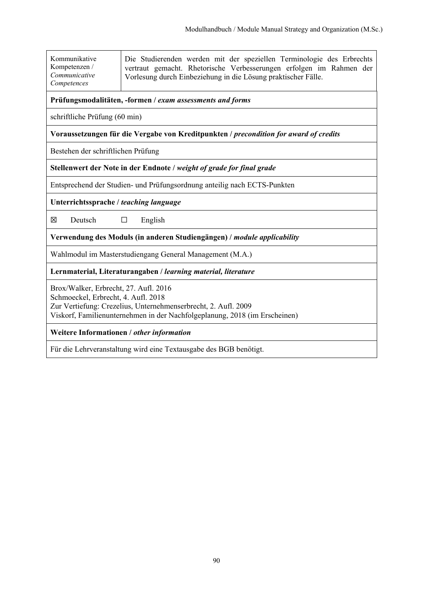| Kommunikative<br>Kompetenzen /<br>Communicative<br>Competences                        | Die Studierenden werden mit der speziellen Terminologie des Erbrechts<br>vertraut gemacht. Rhetorische Verbesserungen erfolgen im Rahmen der<br>Vorlesung durch Einbeziehung in die Lösung praktischer Fälle. |  |
|---------------------------------------------------------------------------------------|---------------------------------------------------------------------------------------------------------------------------------------------------------------------------------------------------------------|--|
| Prüfungsmodalitäten, -formen / exam assessments and forms                             |                                                                                                                                                                                                               |  |
| schriftliche Prüfung (60 min)                                                         |                                                                                                                                                                                                               |  |
| Voraussetzungen für die Vergabe von Kreditpunkten / precondition for award of credits |                                                                                                                                                                                                               |  |

Bestehen der schriftlichen Prüfung

**Stellenwert der Note in der Endnote /** *weight of grade for final grade*

Entsprechend der Studien- und Prüfungsordnung anteilig nach ECTS-Punkten

**Unterrichtssprache /** *teaching language*

 $\boxtimes$  Deutsch  $\Box$  English

**Verwendung des Moduls (in anderen Studiengängen) /** *module applicability*

Wahlmodul im Masterstudiengang General Management (M.A.)

**Lernmaterial, Literaturangaben /** *learning material, literature*

Brox/Walker, Erbrecht, 27. Aufl. 2016 Schmoeckel, Erbrecht, 4. Aufl. 2018 Zur Vertiefung: Crezelius, Unternehmenserbrecht, 2. Aufl. 2009 Viskorf, Familienunternehmen in der Nachfolgeplanung, 2018 (im Erscheinen)

**Weitere Informationen /** *other information*

Für die Lehrveranstaltung wird eine Textausgabe des BGB benötigt.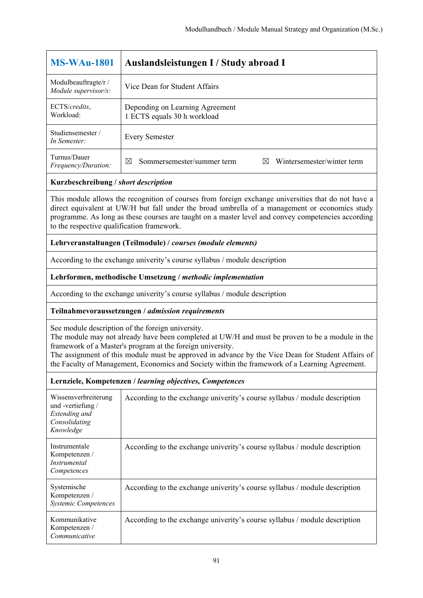| <b>MS-WAu-1801</b>                           | Auslandsleistungen I / Study abroad I                              |
|----------------------------------------------|--------------------------------------------------------------------|
| Modulbeauftragte/r /<br>Module supervisor/s: | Vice Dean for Student Affairs                                      |
| ECTS/credits,<br>Workload:                   | Depending on Learning Agreement<br>1 ECTS equals 30 h workload     |
| Studiensemester /<br>In Semester:            | <b>Every Semester</b>                                              |
| Turnus/Dauer<br>Frequency/Duration:          | Wintersemester/winter term<br>Sommersemester/summer term<br>⊠<br>⋈ |

This module allows the recognition of courses from foreign exchange universities that do not have a direct equivalent at UW/H but fall under the broad umbrella of a management or economics study programme. As long as these courses are taught on a master level and convey competencies according to the respective qualification framework.

## **Lehrveranstaltungen (Teilmodule) /** *courses (module elements)*

According to the exchange univerity's course syllabus / module description

## **Lehrformen, methodische Umsetzung /** *methodic implementation*

According to the exchange univerity's course syllabus / module description

## **Teilnahmevoraussetzungen /** *admission requirements*

See module description of the foreign university.

The module may not already have been completed at UW/H and must be proven to be a module in the framework of a Master's program at the foreign university.

The assignment of this module must be approved in advance by the Vice Dean for Student Affairs of the Faculty of Management, Economics and Society within the framework of a Learning Agreement.

| Wissensverbreiterung<br>und-vertiefung/<br>Extending and<br>Consolidating<br>Knowledge | According to the exchange univerity's course syllabus / module description |
|----------------------------------------------------------------------------------------|----------------------------------------------------------------------------|
| Instrumentale<br>Kompetenzen /<br><i>Instrumental</i><br>Competences                   | According to the exchange univerity's course syllabus / module description |
| Systemische<br>Kompetenzen /<br><b>Systemic Competences</b>                            | According to the exchange univerity's course syllabus / module description |
| Kommunikative<br>Kompetenzen /<br>Communicative                                        | According to the exchange univerity's course syllabus / module description |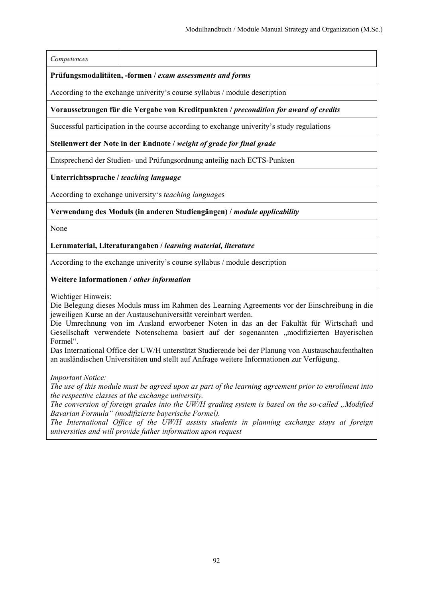#### *Competences*

#### **Prüfungsmodalitäten, -formen /** *exam assessments and forms*

According to the exchange univerity's course syllabus / module description

#### **Voraussetzungen für die Vergabe von Kreditpunkten /** *precondition for award of credits*

Successful participation in the course according to exchange univerity's study regulations

#### **Stellenwert der Note in der Endnote /** *weight of grade for final grade*

Entsprechend der Studien- und Prüfungsordnung anteilig nach ECTS-Punkten

#### **Unterrichtssprache /** *teaching language*

According to exchange university's *teaching language*s

#### **Verwendung des Moduls (in anderen Studiengängen) /** *module applicability*

None

#### **Lernmaterial, Literaturangaben /** *learning material, literature*

According to the exchange univerity's course syllabus / module description

#### **Weitere Informationen /** *other information*

Wichtiger Hinweis:

Die Belegung dieses Moduls muss im Rahmen des Learning Agreements vor der Einschreibung in die jeweiligen Kurse an der Austauschuniversität vereinbart werden.

Die Umrechnung von im Ausland erworbener Noten in das an der Fakultät für Wirtschaft und Gesellschaft verwendete Notenschema basiert auf der sogenannten "modifizierten Bayerischen Formel".

Das International Office der UW/H unterstützt Studierende bei der Planung von Austauschaufenthalten an ausländischen Universitäten und stellt auf Anfrage weitere Informationen zur Verfügung.

*Important Notice:* 

*The use of this module must be agreed upon as part of the learning agreement prior to enrollment into the respective classes at the exchange university.* 

*The conversion of foreign grades into the UW/H grading system is based on the so-called "Modified Bavarian Formula" (modifizierte bayerische Formel).* 

*The International Office of the UW/H assists students in planning exchange stays at foreign universities and will provide futher information upon request*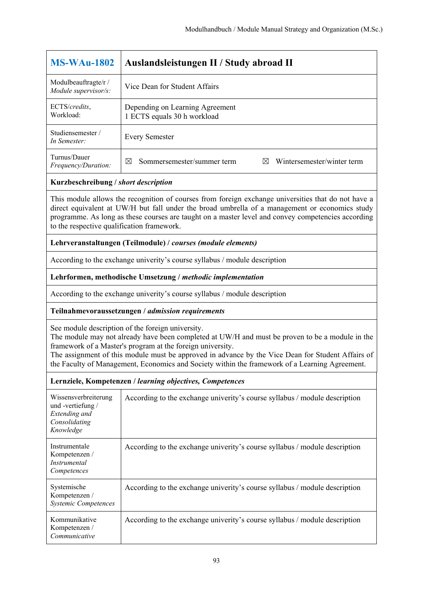| $MS-WAu-1802$                                | Auslandsleistungen II / Study abroad II                                                |
|----------------------------------------------|----------------------------------------------------------------------------------------|
| Modulbeauftragte/r /<br>Module supervisor/s: | Vice Dean for Student Affairs                                                          |
| ECTS/credits,<br>Workload:                   | Depending on Learning Agreement<br>1 ECTS equals 30 h workload                         |
| Studiensemester/<br>In Semester:             | <b>Every Semester</b>                                                                  |
| Turnus/Dauer<br>Frequency/Duration:          | Wintersemester/winter term<br>Sommersemester/summer term<br>$\boxtimes$<br>$\boxtimes$ |

This module allows the recognition of courses from foreign exchange universities that do not have a direct equivalent at UW/H but fall under the broad umbrella of a management or economics study programme. As long as these courses are taught on a master level and convey competencies according to the respective qualification framework.

## **Lehrveranstaltungen (Teilmodule) /** *courses (module elements)*

According to the exchange univerity's course syllabus / module description

## **Lehrformen, methodische Umsetzung /** *methodic implementation*

According to the exchange univerity's course syllabus / module description

## **Teilnahmevoraussetzungen /** *admission requirements*

See module description of the foreign university.

The module may not already have been completed at UW/H and must be proven to be a module in the framework of a Master's program at the foreign university.

The assignment of this module must be approved in advance by the Vice Dean for Student Affairs of the Faculty of Management, Economics and Society within the framework of a Learning Agreement.

| Wissensverbreiterung<br>und-vertiefung/<br>Extending and<br>Consolidating<br>Knowledge | According to the exchange univerity's course syllabus / module description |
|----------------------------------------------------------------------------------------|----------------------------------------------------------------------------|
| Instrumentale<br>Kompetenzen /<br><i>Instrumental</i><br>Competences                   | According to the exchange univerity's course syllabus / module description |
| Systemische<br>Kompetenzen /<br><b>Systemic Competences</b>                            | According to the exchange univerity's course syllabus / module description |
| Kommunikative<br>Kompetenzen /<br>Communicative                                        | According to the exchange univerity's course syllabus / module description |